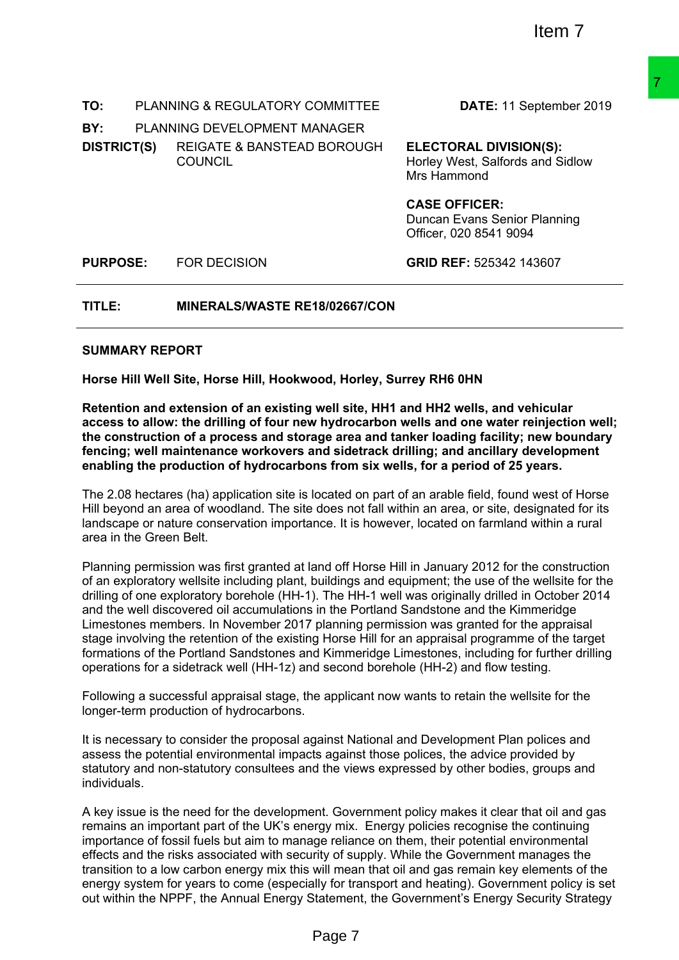| TO:                     | <b>PLANNING &amp; REGULATORY COMMITTEE</b>                                                                                                                                                                                                                                                                                                                                                                                                                                                                                                                                                                                                                                                                                                                                                         | DATE: 11 September 2019                                                          |
|-------------------------|----------------------------------------------------------------------------------------------------------------------------------------------------------------------------------------------------------------------------------------------------------------------------------------------------------------------------------------------------------------------------------------------------------------------------------------------------------------------------------------------------------------------------------------------------------------------------------------------------------------------------------------------------------------------------------------------------------------------------------------------------------------------------------------------------|----------------------------------------------------------------------------------|
| BY:                     | PLANNING DEVELOPMENT MANAGER                                                                                                                                                                                                                                                                                                                                                                                                                                                                                                                                                                                                                                                                                                                                                                       |                                                                                  |
| <b>DISTRICT(S)</b>      | <b>REIGATE &amp; BANSTEAD BOROUGH</b><br><b>COUNCIL</b>                                                                                                                                                                                                                                                                                                                                                                                                                                                                                                                                                                                                                                                                                                                                            | <b>ELECTORAL DIVISION(S):</b><br>Horley West, Salfords and Sidlow<br>Mrs Hammond |
|                         |                                                                                                                                                                                                                                                                                                                                                                                                                                                                                                                                                                                                                                                                                                                                                                                                    | <b>CASE OFFICER:</b><br>Duncan Evans Senior Planning<br>Officer, 020 8541 9094   |
| <b>PURPOSE:</b>         | <b>FOR DECISION</b>                                                                                                                                                                                                                                                                                                                                                                                                                                                                                                                                                                                                                                                                                                                                                                                | GRID REF: 525342 143607                                                          |
| TITLE:                  | MINERALS/WASTE RE18/02667/CON                                                                                                                                                                                                                                                                                                                                                                                                                                                                                                                                                                                                                                                                                                                                                                      |                                                                                  |
| <b>SUMMARY REPORT</b>   |                                                                                                                                                                                                                                                                                                                                                                                                                                                                                                                                                                                                                                                                                                                                                                                                    |                                                                                  |
|                         | Horse Hill Well Site, Horse Hill, Hookwood, Horley, Surrey RH6 0HN                                                                                                                                                                                                                                                                                                                                                                                                                                                                                                                                                                                                                                                                                                                                 |                                                                                  |
|                         | Retention and extension of an existing well site, HH1 and HH2 wells, and vehicular<br>access to allow: the drilling of four new hydrocarbon wells and one water reinjection well;<br>the construction of a process and storage area and tanker loading facility; new boundary<br>fencing; well maintenance workovers and sidetrack drilling; and ancillary development<br>enabling the production of hydrocarbons from six wells, for a period of 25 years.                                                                                                                                                                                                                                                                                                                                        |                                                                                  |
| area in the Green Belt. | The 2.08 hectares (ha) application site is located on part of an arable field, found west of Horse<br>Hill beyond an area of woodland. The site does not fall within an area, or site, designated for its<br>landscape or nature conservation importance. It is however, located on farmland within a rural                                                                                                                                                                                                                                                                                                                                                                                                                                                                                        |                                                                                  |
|                         | Planning permission was first granted at land off Horse Hill in January 2012 for the construction<br>of an exploratory wellsite including plant, buildings and equipment; the use of the wellsite for the<br>drilling of one exploratory borehole (HH-1). The HH-1 well was originally drilled in October 2014<br>and the well discovered oil accumulations in the Portland Sandstone and the Kimmeridge<br>Limestones members. In November 2017 planning permission was granted for the appraisal<br>stage involving the retention of the existing Horse Hill for an appraisal programme of the target<br>formations of the Portland Sandstones and Kimmeridge Limestones, including for further drilling<br>operations for a sidetrack well (HH-1z) and second borehole (HH-2) and flow testing. |                                                                                  |
|                         | Following a successful appraisal stage, the applicant now wants to retain the wellsite for the<br>longer-term production of hydrocarbons.                                                                                                                                                                                                                                                                                                                                                                                                                                                                                                                                                                                                                                                          |                                                                                  |
| individuals.            | It is necessary to consider the proposal against National and Development Plan polices and<br>assess the potential environmental impacts against those polices, the advice provided by<br>statutory and non-statutory consultees and the views expressed by other bodies, groups and                                                                                                                                                                                                                                                                                                                                                                                                                                                                                                               |                                                                                  |
|                         | A key issue is the need for the development. Government policy makes it clear that oil and gas<br>remains an important part of the UK's energy mix. Energy policies recognise the continuing<br>importance of fossil fuels but aim to manage reliance on them, their potential environmental<br>effects and the risks associated with security of supply. While the Government manages the<br>transition to a low carbon energy mix this will mean that oil and gas remain key elements of the<br>energy system for years to come (especially for transport and heating). Government policy is set<br>out within the NPPF, the Annual Energy Statement, the Government's Energy Security Strategy                                                                                                  |                                                                                  |
|                         | Page 7                                                                                                                                                                                                                                                                                                                                                                                                                                                                                                                                                                                                                                                                                                                                                                                             |                                                                                  |

#### **SUMMARY REPORT**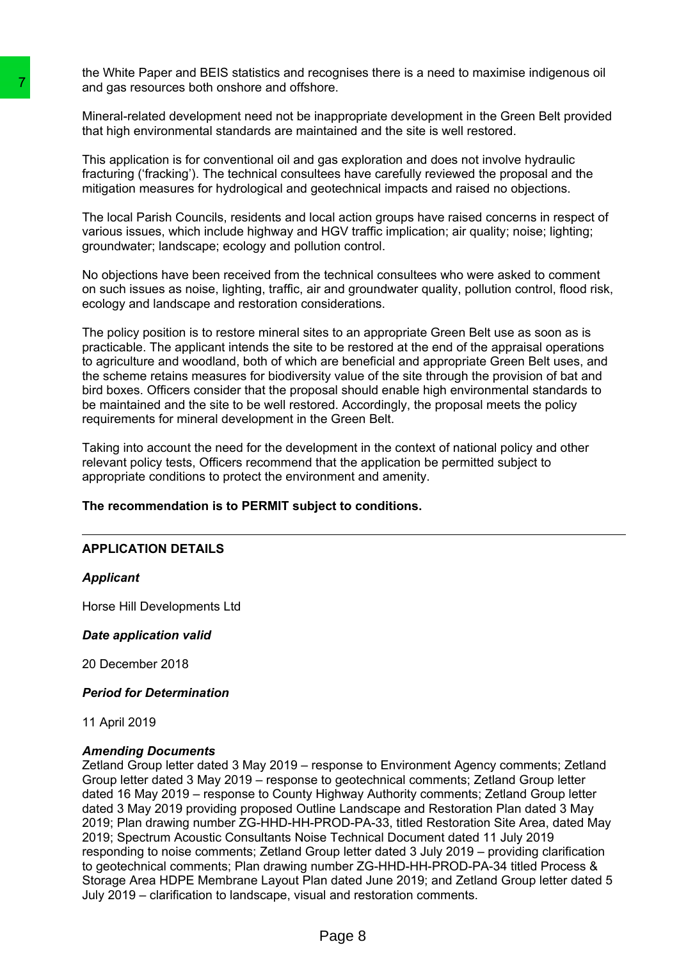the White Paper and BEIS statistics and recognises there is a need to maximise indigenous oil and gas resources both onshore and offshore.

Mineral-related development need not be inappropriate development in the Green Belt provided that high environmental standards are maintained and the site is well restored.

This application is for conventional oil and gas exploration and does not involve hydraulic fracturing ('fracking'). The technical consultees have carefully reviewed the proposal and the mitigation measures for hydrological and geotechnical impacts and raised no objections.

The local Parish Councils, residents and local action groups have raised concerns in respect of various issues, which include highway and HGV traffic implication; air quality; noise; lighting; groundwater; landscape; ecology and pollution control.

No objections have been received from the technical consultees who were asked to comment on such issues as noise, lighting, traffic, air and groundwater quality, pollution control, flood risk, ecology and landscape and restoration considerations.

The policy position is to restore mineral sites to an appropriate Green Belt use as soon as is practicable. The applicant intends the site to be restored at the end of the appraisal operations to agriculture and woodland, both of which are beneficial and appropriate Green Belt uses, and the scheme retains measures for biodiversity value of the site through the provision of bat and bird boxes. Officers consider that the proposal should enable high environmental standards to be maintained and the site to be well restored. Accordingly, the proposal meets the policy requirements for mineral development in the Green Belt.

Taking into account the need for the development in the context of national policy and other relevant policy tests, Officers recommend that the application be permitted subject to appropriate conditions to protect the environment and amenity.

#### **The recommendation is to PERMIT subject to conditions.**

#### **APPLICATION DETAILS**

#### *Applicant*

Horse Hill Developments Ltd

#### *Date application valid*

20 December 2018

#### *Period for Determination*

11 April 2019

#### *Amending Documents*

Zetland Group letter dated 3 May 2019 – response to Environment Agency comments; Zetland Group letter dated 3 May 2019 – response to geotechnical comments; Zetland Group letter dated 16 May 2019 – response to County Highway Authority comments; Zetland Group letter dated 3 May 2019 providing proposed Outline Landscape and Restoration Plan dated 3 May 2019; Plan drawing number ZG-HHD-HH-PROD-PA-33, titled Restoration Site Area, dated May 2019; Spectrum Acoustic Consultants Noise Technical Document dated 11 July 2019 responding to noise comments; Zetland Group letter dated 3 July 2019 – providing clarification to geotechnical comments; Plan drawing number ZG-HHD-HH-PROD-PA-34 titled Process & Storage Area HDPE Membrane Layout Plan dated June 2019; and Zetland Group letter dated 5 July 2019 – clarification to landscape, visual and restoration comments. Translate development need not be inappropriated and gas resources both onshore and offshore.<br>
Minaral-related development need not be inappropriated development<br>
that high environmental standards are maintained<br>
This appl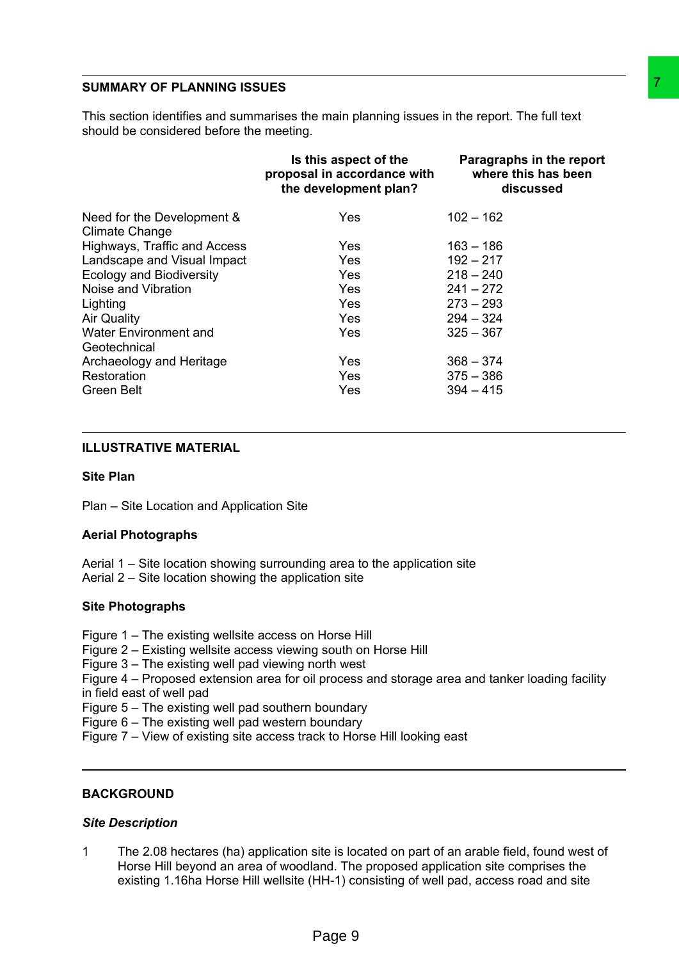#### **SUMMARY OF PLANNING ISSUES**

| should be considered before the meeting.                                                                                                                                                                                                             | This section identifies and summarises the main planning issues in the report. The full text                                                                                                                                                                                  |                                                              |  |
|------------------------------------------------------------------------------------------------------------------------------------------------------------------------------------------------------------------------------------------------------|-------------------------------------------------------------------------------------------------------------------------------------------------------------------------------------------------------------------------------------------------------------------------------|--------------------------------------------------------------|--|
|                                                                                                                                                                                                                                                      | Is this aspect of the<br>proposal in accordance with<br>the development plan?                                                                                                                                                                                                 | Paragraphs in the report<br>where this has been<br>discussed |  |
| Need for the Development &<br><b>Climate Change</b>                                                                                                                                                                                                  | Yes                                                                                                                                                                                                                                                                           | $102 - 162$                                                  |  |
| Highways, Traffic and Access                                                                                                                                                                                                                         | Yes                                                                                                                                                                                                                                                                           | $163 - 186$                                                  |  |
| Landscape and Visual Impact                                                                                                                                                                                                                          | Yes                                                                                                                                                                                                                                                                           | $192 - 217$                                                  |  |
| <b>Ecology and Biodiversity</b>                                                                                                                                                                                                                      | Yes                                                                                                                                                                                                                                                                           | $218 - 240$                                                  |  |
| Noise and Vibration                                                                                                                                                                                                                                  | Yes                                                                                                                                                                                                                                                                           | $241 - 272$                                                  |  |
| Lighting                                                                                                                                                                                                                                             | Yes                                                                                                                                                                                                                                                                           | $273 - 293$                                                  |  |
| <b>Air Quality</b>                                                                                                                                                                                                                                   | Yes                                                                                                                                                                                                                                                                           | $294 - 324$                                                  |  |
| <b>Water Environment and</b>                                                                                                                                                                                                                         | Yes                                                                                                                                                                                                                                                                           | $325 - 367$                                                  |  |
| Geotechnical                                                                                                                                                                                                                                         |                                                                                                                                                                                                                                                                               |                                                              |  |
| Archaeology and Heritage                                                                                                                                                                                                                             | Yes                                                                                                                                                                                                                                                                           | $368 - 374$                                                  |  |
| Restoration                                                                                                                                                                                                                                          | Yes                                                                                                                                                                                                                                                                           | $375 - 386$                                                  |  |
| <b>Green Belt</b>                                                                                                                                                                                                                                    | Yes                                                                                                                                                                                                                                                                           | $394 - 415$                                                  |  |
| <b>ILLUSTRATIVE MATERIAL</b>                                                                                                                                                                                                                         |                                                                                                                                                                                                                                                                               |                                                              |  |
| <b>Site Plan</b>                                                                                                                                                                                                                                     |                                                                                                                                                                                                                                                                               |                                                              |  |
| Plan - Site Location and Application Site                                                                                                                                                                                                            |                                                                                                                                                                                                                                                                               |                                                              |  |
| <b>Aerial Photographs</b>                                                                                                                                                                                                                            |                                                                                                                                                                                                                                                                               |                                                              |  |
| Aerial 2 – Site location showing the application site                                                                                                                                                                                                | Aerial 1 – Site location showing surrounding area to the application site                                                                                                                                                                                                     |                                                              |  |
| <b>Site Photographs</b>                                                                                                                                                                                                                              |                                                                                                                                                                                                                                                                               |                                                              |  |
| Figure 1 – The existing wellsite access on Horse Hill<br>Figure 3 - The existing well pad viewing north west<br>in field east of well pad<br>Figure 5 – The existing well pad southern boundary<br>Figure 6 – The existing well pad western boundary | Figure 2 – Existing wellsite access viewing south on Horse Hill<br>Figure 4 – Proposed extension area for oil process and storage area and tanker loading facility<br>Figure 7 – View of existing site access track to Horse Hill looking east                                |                                                              |  |
| <b>BACKGROUND</b>                                                                                                                                                                                                                                    |                                                                                                                                                                                                                                                                               |                                                              |  |
| <b>Site Description</b>                                                                                                                                                                                                                              |                                                                                                                                                                                                                                                                               |                                                              |  |
| 1                                                                                                                                                                                                                                                    | The 2.08 hectares (ha) application site is located on part of an arable field, found west of<br>Horse Hill beyond an area of woodland. The proposed application site comprises the<br>existing 1.16ha Horse Hill wellsite (HH-1) consisting of well pad, access road and site |                                                              |  |
|                                                                                                                                                                                                                                                      | Page 9                                                                                                                                                                                                                                                                        |                                                              |  |

# **ILLUSTRATIVE MATERIAL**

#### **Site Plan**

# **Aerial Photographs**

- Aerial 1 Site location showing surrounding area to the application site
- Aerial 2 Site location showing the application site

# **Site Photographs**

- Figure 1 The existing wellsite access on Horse Hill
- Figure 2 Existing wellsite access viewing south on Horse Hill
- Figure 3 The existing well pad viewing north west

# **BACKGROUND**

#### *Site Description*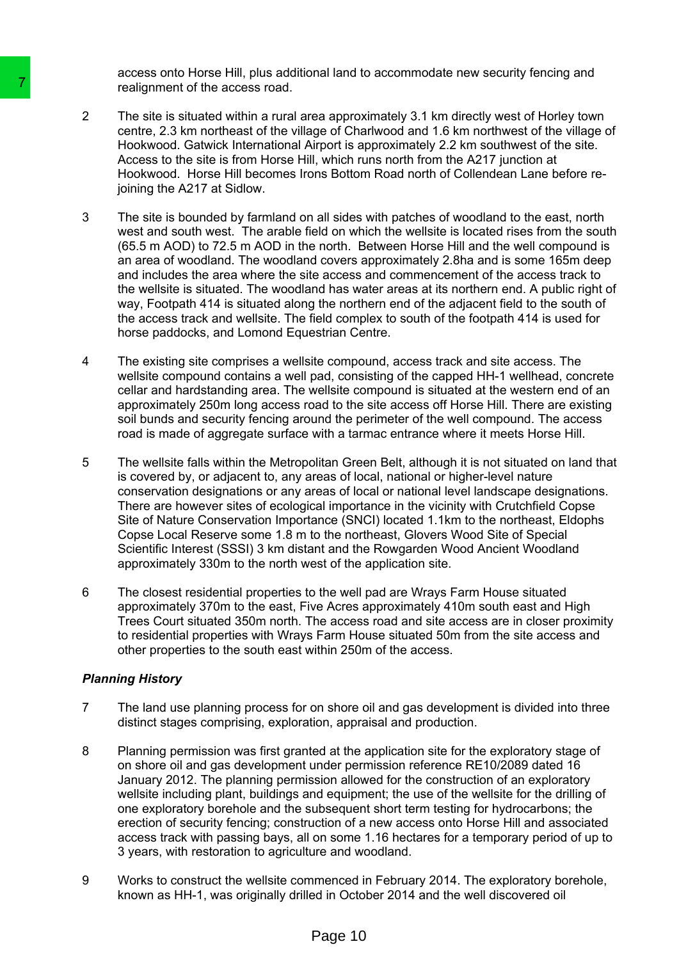access onto Horse Hill, plus additional land to accommodate new security fencing and realignment of the access road.

- 2 The site is situated within a rural area approximately 3.1 km directly west of Horley town centre, 2.3 km northeast of the village of Charlwood and 1.6 km northwest of the village of Hookwood. Gatwick International Airport is approximately 2.2 km southwest of the site. Access to the site is from Horse Hill, which runs north from the A217 junction at Hookwood. Horse Hill becomes Irons Bottom Road north of Collendean Lane before rejoining the A217 at Sidlow.
- 3 The site is bounded by farmland on all sides with patches of woodland to the east, north west and south west. The arable field on which the wellsite is located rises from the south (65.5 m AOD) to 72.5 m AOD in the north. Between Horse Hill and the well compound is an area of woodland. The woodland covers approximately 2.8ha and is some 165m deep and includes the area where the site access and commencement of the access track to the wellsite is situated. The woodland has water areas at its northern end. A public right of way, Footpath 414 is situated along the northern end of the adjacent field to the south of the access track and wellsite. The field complex to south of the footpath 414 is used for horse paddocks, and Lomond Equestrian Centre. The site is situated within a rural area approximately The site is studied with a rural area approximate a constrolation of the site is from Honse Hindow Access to the site is from Honse Hill, which n Hookwood. Galwick he
	- 4 The existing site comprises a wellsite compound, access track and site access. The wellsite compound contains a well pad, consisting of the capped HH-1 wellhead, concrete cellar and hardstanding area. The wellsite compound is situated at the western end of an approximately 250m long access road to the site access off Horse Hill. There are existing soil bunds and security fencing around the perimeter of the well compound. The access road is made of aggregate surface with a tarmac entrance where it meets Horse Hill.
	- 5 The wellsite falls within the Metropolitan Green Belt, although it is not situated on land that is covered by, or adjacent to, any areas of local, national or higher-level nature conservation designations or any areas of local or national level landscape designations. There are however sites of ecological importance in the vicinity with Crutchfield Copse Site of Nature Conservation Importance (SNCI) located 1.1km to the northeast, Eldophs Copse Local Reserve some 1.8 m to the northeast, Glovers Wood Site of Special Scientific Interest (SSSI) 3 km distant and the Rowgarden Wood Ancient Woodland approximately 330m to the north west of the application site.
	- 6 The closest residential properties to the well pad are Wrays Farm House situated approximately 370m to the east, Five Acres approximately 410m south east and High Trees Court situated 350m north. The access road and site access are in closer proximity to residential properties with Wrays Farm House situated 50m from the site access and other properties to the south east within 250m of the access.

# *Planning History*

- 7 The land use planning process for on shore oil and gas development is divided into three distinct stages comprising, exploration, appraisal and production.
- 8 Planning permission was first granted at the application site for the exploratory stage of on shore oil and gas development under permission reference RE10/2089 dated 16 January 2012. The planning permission allowed for the construction of an exploratory wellsite including plant, buildings and equipment; the use of the wellsite for the drilling of one exploratory borehole and the subsequent short term testing for hydrocarbons; the erection of security fencing; construction of a new access onto Horse Hill and associated access track with passing bays, all on some 1.16 hectares for a temporary period of up to 3 years, with restoration to agriculture and woodland.
- 9 Works to construct the wellsite commenced in February 2014. The exploratory borehole, known as HH-1, was originally drilled in October 2014 and the well discovered oil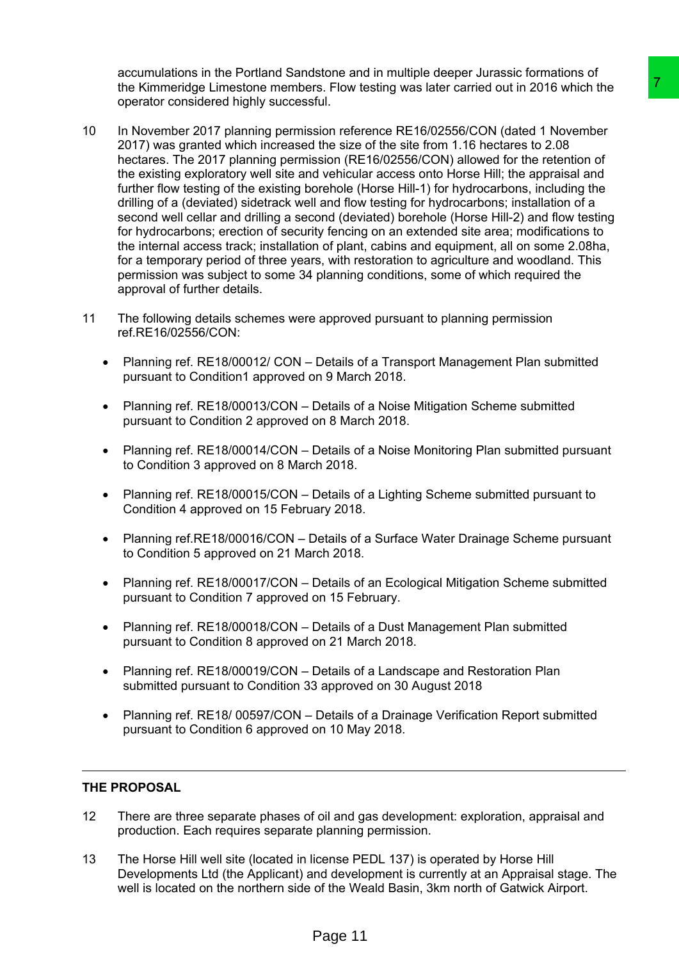accumulations in the Portland Sandstone and in multiple deeper Jurassic formations of the Kimmeridge Limestone members. Flow testing was later carried out in 2016 which the operator considered highly successful.

- 10 In November 2017 planning permission reference RE16/02556/CON (dated 1 November 2017) was granted which increased the size of the site from 1.16 hectares to 2.08 hectares. The 2017 planning permission (RE16/02556/CON) allowed for the retention of the existing exploratory well site and vehicular access onto Horse Hill; the appraisal and further flow testing of the existing borehole (Horse Hill-1) for hydrocarbons, including the drilling of a (deviated) sidetrack well and flow testing for hydrocarbons; installation of a second well cellar and drilling a second (deviated) borehole (Horse Hill-2) and flow testing for hydrocarbons; erection of security fencing on an extended site area; modifications to the internal access track; installation of plant, cabins and equipment, all on some 2.08ha, for a temporary period of three years, with restoration to agriculture and woodland. This permission was subject to some 34 planning conditions, some of which required the approval of further details. is Flow testing was later carried out in 2016 which the<br>Thu,<br>In Sin Fow testing was later carried out in 2016 which the<br>Inti-<br>Inti-<br>Inti-<br>Inti-<br>Inti-<br>Inti-<br>Inti-<br>Inti-<br>Inti-<br>Inti-<br>Inti-<br>Inti-<br>Inti-<br>Inti-<br>Inti-<br>Inti-<br>Inti-<br>
- 11 The following details schemes were approved pursuant to planning permission ref.RE16/02556/CON:
	- Planning ref. RE18/00012/ CON Details of a Transport Management Plan submitted pursuant to Condition1 approved on 9 March 2018.
	- Planning ref. RE18/00013/CON Details of a Noise Mitigation Scheme submitted pursuant to Condition 2 approved on 8 March 2018.
	- Planning ref. RE18/00014/CON Details of a Noise Monitoring Plan submitted pursuant to Condition 3 approved on 8 March 2018.
	- Planning ref. RE18/00015/CON Details of a Lighting Scheme submitted pursuant to Condition 4 approved on 15 February 2018.
	- Planning ref.RE18/00016/CON Details of a Surface Water Drainage Scheme pursuant to Condition 5 approved on 21 March 2018.
	- Planning ref. RE18/00017/CON Details of an Ecological Mitigation Scheme submitted pursuant to Condition 7 approved on 15 February.
	- Planning ref. RE18/00018/CON Details of a Dust Management Plan submitted pursuant to Condition 8 approved on 21 March 2018.
	- Planning ref. RE18/00019/CON Details of a Landscape and Restoration Plan submitted pursuant to Condition 33 approved on 30 August 2018
	- Planning ref. RE18/ 00597/CON Details of a Drainage Verification Report submitted pursuant to Condition 6 approved on 10 May 2018.

# **THE PROPOSAL**

- 12 There are three separate phases of oil and gas development: exploration, appraisal and production. Each requires separate planning permission.
- 13 The Horse Hill well site (located in license PEDL 137) is operated by Horse Hill Developments Ltd (the Applicant) and development is currently at an Appraisal stage. The well is located on the northern side of the Weald Basin, 3km north of Gatwick Airport.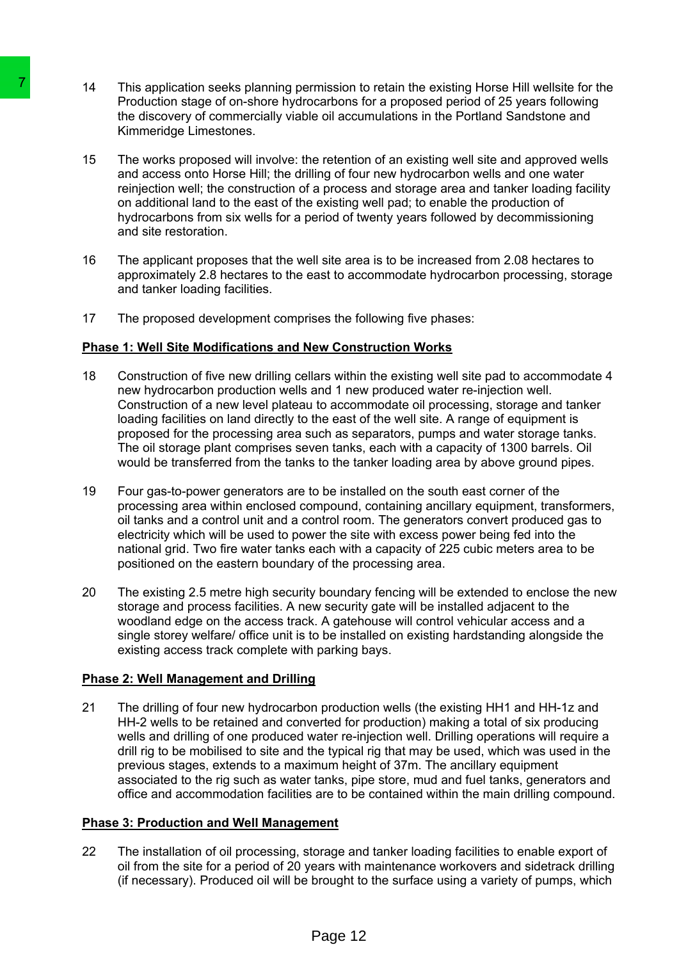- 14 This application seeks planning permission to retain the existing Horse Hill wellsite for the Production stage of on-shore hydrocarbons for a proposed period of 25 years following the discovery of commercially viable oil accumulations in the Portland Sandstone and Kimmeridge Limestones.
- 15 The works proposed will involve: the retention of an existing well site and approved wells and access onto Horse Hill; the drilling of four new hydrocarbon wells and one water reinjection well; the construction of a process and storage area and tanker loading facility on additional land to the east of the existing well pad; to enable the production of hydrocarbons from six wells for a period of twenty years followed by decommissioning and site restoration.
- 16 The applicant proposes that the well site area is to be increased from 2.08 hectares to approximately 2.8 hectares to the east to accommodate hydrocarbon processing, storage and tanker loading facilities.
- 17 The proposed development comprises the following five phases:

# **Phase 1: Well Site Modifications and New Construction Works**

- 18 Construction of five new drilling cellars within the existing well site pad to accommodate 4 new hydrocarbon production wells and 1 new produced water re-injection well. Construction of a new level plateau to accommodate oil processing, storage and tanker loading facilities on land directly to the east of the well site. A range of equipment is proposed for the processing area such as separators, pumps and water storage tanks. The oil storage plant comprises seven tanks, each with a capacity of 1300 barrels. Oil would be transferred from the tanks to the tanker loading area by above ground pipes. This application seeks planning permission throughous and<br>
Production stage of on-shore hydrocarbons the discovery of commercially viable oil accurations the discovery of commercially viable oil accurations Kimmeridge Lime
	- 19 Four gas-to-power generators are to be installed on the south east corner of the processing area within enclosed compound, containing ancillary equipment, transformers, oil tanks and a control unit and a control room. The generators convert produced gas to electricity which will be used to power the site with excess power being fed into the national grid. Two fire water tanks each with a capacity of 225 cubic meters area to be positioned on the eastern boundary of the processing area.
	- 20 The existing 2.5 metre high security boundary fencing will be extended to enclose the new storage and process facilities. A new security gate will be installed adjacent to the woodland edge on the access track. A gatehouse will control vehicular access and a single storey welfare/ office unit is to be installed on existing hardstanding alongside the existing access track complete with parking bays.

# **Phase 2: Well Management and Drilling**

21 The drilling of four new hydrocarbon production wells (the existing HH1 and HH-1z and HH-2 wells to be retained and converted for production) making a total of six producing wells and drilling of one produced water re-injection well. Drilling operations will require a drill rig to be mobilised to site and the typical rig that may be used, which was used in the previous stages, extends to a maximum height of 37m. The ancillary equipment associated to the rig such as water tanks, pipe store, mud and fuel tanks, generators and office and accommodation facilities are to be contained within the main drilling compound.

# **Phase 3: Production and Well Management**

22 The installation of oil processing, storage and tanker loading facilities to enable export of oil from the site for a period of 20 years with maintenance workovers and sidetrack drilling (if necessary). Produced oil will be brought to the surface using a variety of pumps, which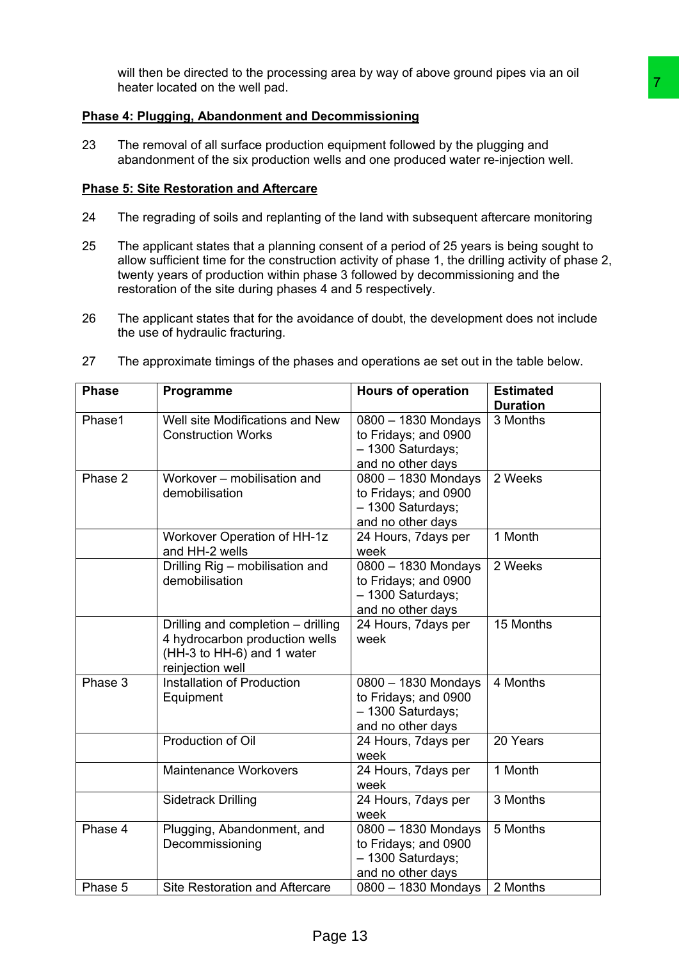will then be directed to the processing area by way of above ground pipes via an oil heater located on the well pad.

# **Phase 4: Plugging, Abandonment and Decommissioning**

# **Phase 5: Site Restoration and Aftercare**

- 24 The regrading of soils and replanting of the land with subsequent aftercare monitoring
- 25 The applicant states that a planning consent of a period of 25 years is being sought to allow sufficient time for the construction activity of phase 1, the drilling activity of phase 2, twenty years of production within phase 3 followed by decommissioning and the restoration of the site during phases 4 and 5 respectively.
- 26 The applicant states that for the avoidance of doubt, the development does not include the use of hydraulic fracturing.

| 27 |  |  |  | The approximate timings of the phases and operations ae set out in the table below. |
|----|--|--|--|-------------------------------------------------------------------------------------|
|----|--|--|--|-------------------------------------------------------------------------------------|

|              |  | heater located on the well pad.                                                                                                                                                                                                                                                                                                              |                                                                                       |                                     |  |  |
|--------------|--|----------------------------------------------------------------------------------------------------------------------------------------------------------------------------------------------------------------------------------------------------------------------------------------------------------------------------------------------|---------------------------------------------------------------------------------------|-------------------------------------|--|--|
|              |  | Phase 4: Plugging, Abandonment and Decommissioning                                                                                                                                                                                                                                                                                           |                                                                                       |                                     |  |  |
| 23           |  | The removal of all surface production equipment followed by the plugging and<br>abandonment of the six production wells and one produced water re-injection well.                                                                                                                                                                            |                                                                                       |                                     |  |  |
|              |  | <b>Phase 5: Site Restoration and Aftercare</b>                                                                                                                                                                                                                                                                                               |                                                                                       |                                     |  |  |
| 24           |  | The regrading of soils and replanting of the land with subsequent aftercare monitoring                                                                                                                                                                                                                                                       |                                                                                       |                                     |  |  |
| 25           |  | The applicant states that a planning consent of a period of 25 years is being sought to<br>allow sufficient time for the construction activity of phase 1, the drilling activity of phase 2,<br>twenty years of production within phase 3 followed by decommissioning and the<br>restoration of the site during phases 4 and 5 respectively. |                                                                                       |                                     |  |  |
| 26           |  | The applicant states that for the avoidance of doubt, the development does not include<br>the use of hydraulic fracturing.                                                                                                                                                                                                                   |                                                                                       |                                     |  |  |
| 27           |  | The approximate timings of the phases and operations ae set out in the table below.                                                                                                                                                                                                                                                          |                                                                                       |                                     |  |  |
| <b>Phase</b> |  | Programme                                                                                                                                                                                                                                                                                                                                    | <b>Hours of operation</b>                                                             | <b>Estimated</b><br><b>Duration</b> |  |  |
| Phase1       |  | Well site Modifications and New<br><b>Construction Works</b>                                                                                                                                                                                                                                                                                 | 0800 - 1830 Mondays<br>to Fridays; and 0900<br>- 1300 Saturdays;<br>and no other days | 3 Months                            |  |  |
| Phase 2      |  | Workover - mobilisation and<br>demobilisation                                                                                                                                                                                                                                                                                                | 0800 - 1830 Mondays<br>to Fridays; and 0900<br>- 1300 Saturdays;<br>and no other days | 2 Weeks                             |  |  |
|              |  | Workover Operation of HH-1z<br>and HH-2 wells                                                                                                                                                                                                                                                                                                | 24 Hours, 7days per<br>week                                                           | 1 Month                             |  |  |
|              |  | Drilling Rig - mobilisation and<br>demobilisation                                                                                                                                                                                                                                                                                            | 0800 - 1830 Mondays<br>to Fridays; and 0900<br>- 1300 Saturdays;<br>and no other days | 2 Weeks                             |  |  |
|              |  | Drilling and completion - drilling<br>4 hydrocarbon production wells<br>(HH-3 to HH-6) and 1 water<br>reinjection well                                                                                                                                                                                                                       | 24 Hours, 7days per<br>week                                                           | 15 Months                           |  |  |
| Phase 3      |  | Installation of Production<br>Equipment                                                                                                                                                                                                                                                                                                      | 0800 - 1830 Mondays<br>to Fridays; and 0900<br>- 1300 Saturdays;<br>and no other days | 4 Months                            |  |  |
|              |  | Production of Oil                                                                                                                                                                                                                                                                                                                            | 24 Hours, 7days per                                                                   | 20 Years                            |  |  |
|              |  |                                                                                                                                                                                                                                                                                                                                              | week                                                                                  |                                     |  |  |
|              |  | <b>Maintenance Workovers</b>                                                                                                                                                                                                                                                                                                                 | 24 Hours, 7days per                                                                   | 1 Month                             |  |  |
|              |  | <b>Sidetrack Drilling</b>                                                                                                                                                                                                                                                                                                                    | week<br>24 Hours, 7days per<br>week                                                   | 3 Months                            |  |  |
| Phase 4      |  | Plugging, Abandonment, and<br>Decommissioning                                                                                                                                                                                                                                                                                                | 0800 - 1830 Mondays<br>to Fridays; and 0900<br>- 1300 Saturdays;<br>and no other days | 5 Months                            |  |  |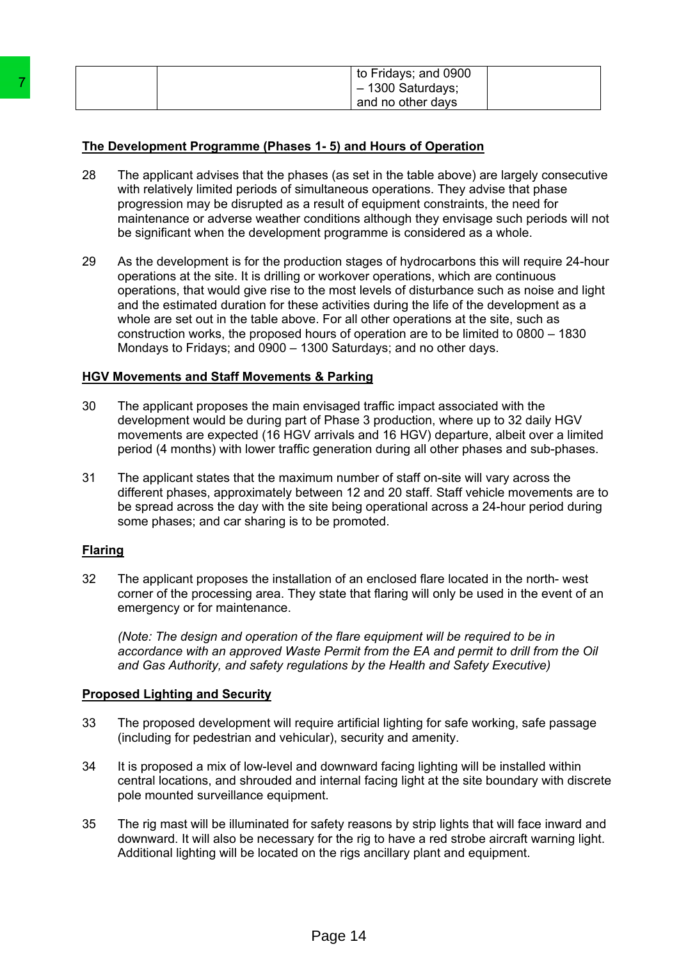| to Fridays; and 0900<br>$-1300$ Saturdays; |
|--------------------------------------------|
| and no other days                          |

# **The Development Programme (Phases 1- 5) and Hours of Operation**

- 28 The applicant advises that the phases (as set in the table above) are largely consecutive with relatively limited periods of simultaneous operations. They advise that phase progression may be disrupted as a result of equipment constraints, the need for maintenance or adverse weather conditions although they envisage such periods will not be significant when the development programme is considered as a whole.
- 29 As the development is for the production stages of hydrocarbons this will require 24-hour operations at the site. It is drilling or workover operations, which are continuous operations, that would give rise to the most levels of disturbance such as noise and light and the estimated duration for these activities during the life of the development as a whole are set out in the table above. For all other operations at the site, such as construction works, the proposed hours of operation are to be limited to 0800 – 1830 Mondays to Fridays; and 0900 – 1300 Saturdays; and no other days. The Development Programme (Phases 4 - 5) and<br>
26 The applicant advises that the phases as a set with relatively limited periods of simultaneous<br>
progression may be disrupted as a result of eigencomparison maintenance or a

# **HGV Movements and Staff Movements & Parking**

- 30 The applicant proposes the main envisaged traffic impact associated with the development would be during part of Phase 3 production, where up to 32 daily HGV movements are expected (16 HGV arrivals and 16 HGV) departure, albeit over a limited period (4 months) with lower traffic generation during all other phases and sub-phases.
- 31 The applicant states that the maximum number of staff on-site will vary across the different phases, approximately between 12 and 20 staff. Staff vehicle movements are to be spread across the day with the site being operational across a 24-hour period during some phases; and car sharing is to be promoted.

# **Flaring**

32 The applicant proposes the installation of an enclosed flare located in the north- west corner of the processing area. They state that flaring will only be used in the event of an emergency or for maintenance.

*(Note: The design and operation of the flare equipment will be required to be in accordance with an approved Waste Permit from the EA and permit to drill from the Oil and Gas Authority, and safety regulations by the Health and Safety Executive)*

# **Proposed Lighting and Security**

- 33 The proposed development will require artificial lighting for safe working, safe passage (including for pedestrian and vehicular), security and amenity.
- 34 It is proposed a mix of low-level and downward facing lighting will be installed within central locations, and shrouded and internal facing light at the site boundary with discrete pole mounted surveillance equipment.
- 35 The rig mast will be illuminated for safety reasons by strip lights that will face inward and downward. It will also be necessary for the rig to have a red strobe aircraft warning light. Additional lighting will be located on the rigs ancillary plant and equipment.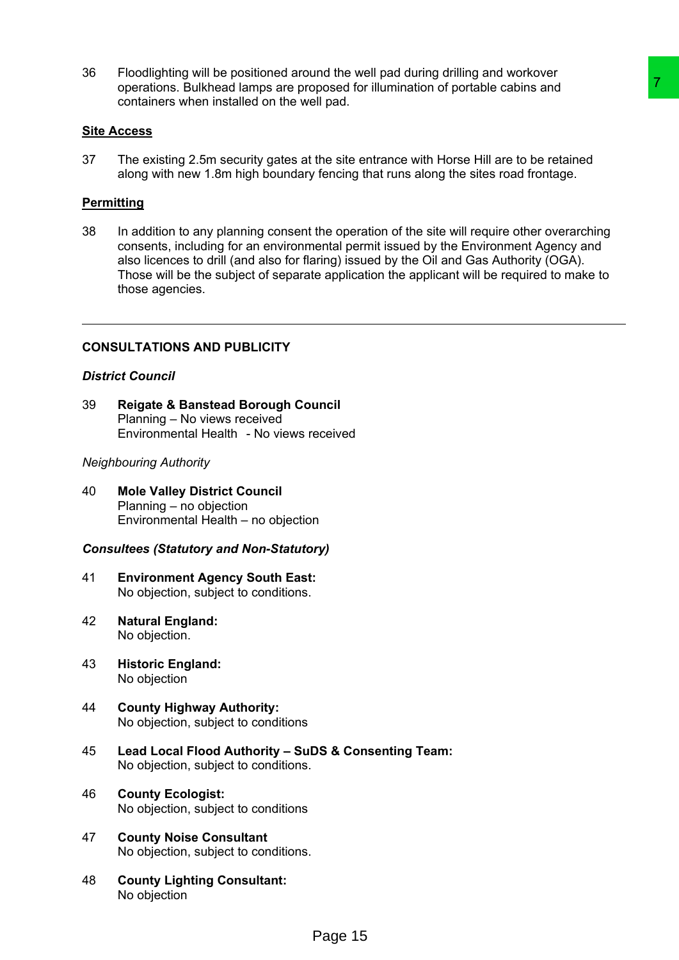36 Floodlighting will be positioned around the well pad during drilling and workover operations. Bulkhead lamps are proposed for illumination of portable cabins and containers when installed on the well pad.

#### **Site Access**

37 The existing 2.5m security gates at the site entrance with Horse Hill are to be retained along with new 1.8m high boundary fencing that runs along the sites road frontage.

#### **Permitting**

38 In addition to any planning consent the operation of the site will require other overarching consents, including for an environmental permit issued by the Environment Agency and also licences to drill (and also for flaring) issued by the Oil and Gas Authority (OGA). Those will be the subject of separate application the applicant will be required to make to those agencies. prosed for illumination of portable cabins and<br>
Ill pad.<br>
the site entrance with Horse Hill are to be retained<br>
fencing that runs along the sites road frontage.<br>
the operation of the site will require other overarching<br>
th

# **CONSULTATIONS AND PUBLICITY**

#### *District Council*

39 **Reigate & Banstead Borough Council** Planning – No views received Environmental Health - No views received

#### *Neighbouring Authority*

40 **Mole Valley District Council** Planning – no objection Environmental Health – no objection

#### *Consultees (Statutory and Non-Statutory)*

- 41 **Environment Agency South East:** No objection, subject to conditions.
- 42 **Natural England:** No objection.
- 43 **Historic England:** No objection
- 44 **County Highway Authority:** No objection, subject to conditions
- 45 **Lead Local Flood Authority – SuDS & Consenting Team:** No objection, subject to conditions.
- 46 **County Ecologist:** No objection, subject to conditions
- 47 **County Noise Consultant** No objection, subject to conditions.
- 48 **County Lighting Consultant:** No objection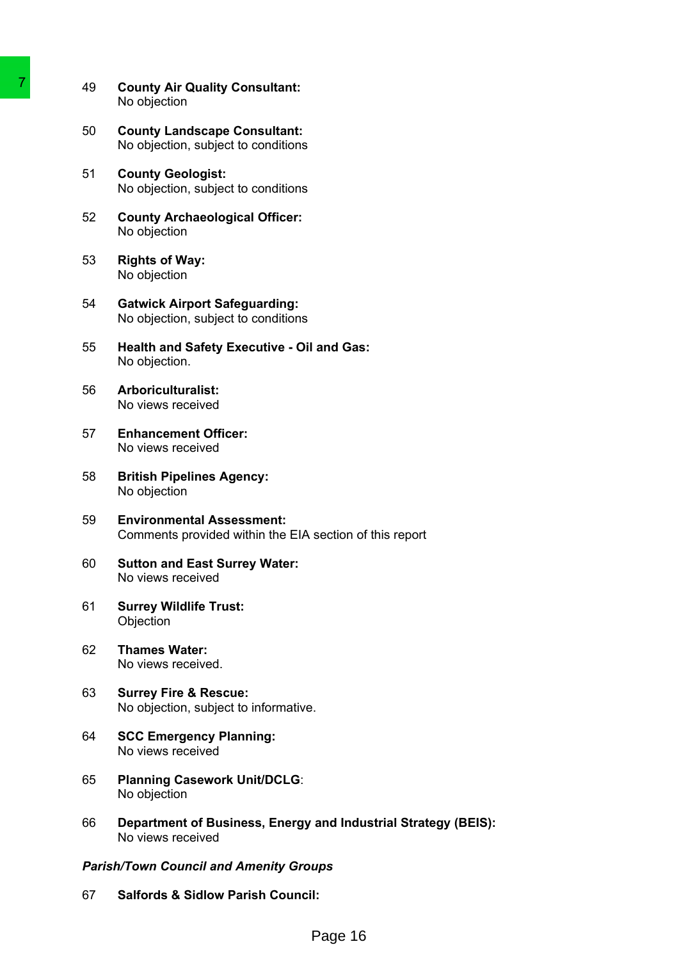- 49 **County Air Quality Consultant:** No objection
- 50 **County Landscape Consultant:** No objection, subject to conditions
- 51 **County Geologist:** No objection, subject to conditions
- 52 **County Archaeological Officer:** No objection
- 53 **Rights of Way:** No objection
- 54 **Gatwick Airport Safeguarding:** No objection, subject to conditions
- 55 **Health and Safety Executive - Oil and Gas:** No objection.
- 56 **Arboriculturalist:** No views received
- 57 **Enhancement Officer:** No views received
- 58 **British Pipelines Agency:** No objection
- 59 **Environmental Assessment:** Comments provided within the EIA section of this report
- 60 **Sutton and East Surrey Water:** No views received
- 61 **Surrey Wildlife Trust: Objection**
- 62 **Thames Water:** No views received.
- 63 **Surrey Fire & Rescue:** No objection, subject to informative.
- 64 **SCC Emergency Planning:** No views received
- 65 **Planning Casework Unit/DCLG**: No objection
- 66 **Department of Business, Energy and Industrial Strategy (BEIS):** No views received 20 County Air Quality Consultant:<br>
No objection<br>
County Landscape Consultant:<br>
No objection, subject to conditions<br>
51 County Landscape Consultant:<br>
No objection, subject to conditions<br>
52 County Archaeological Officer:<br>
N

# *Parish/Town Council and Amenity Groups*

67 **Salfords & Sidlow Parish Council:**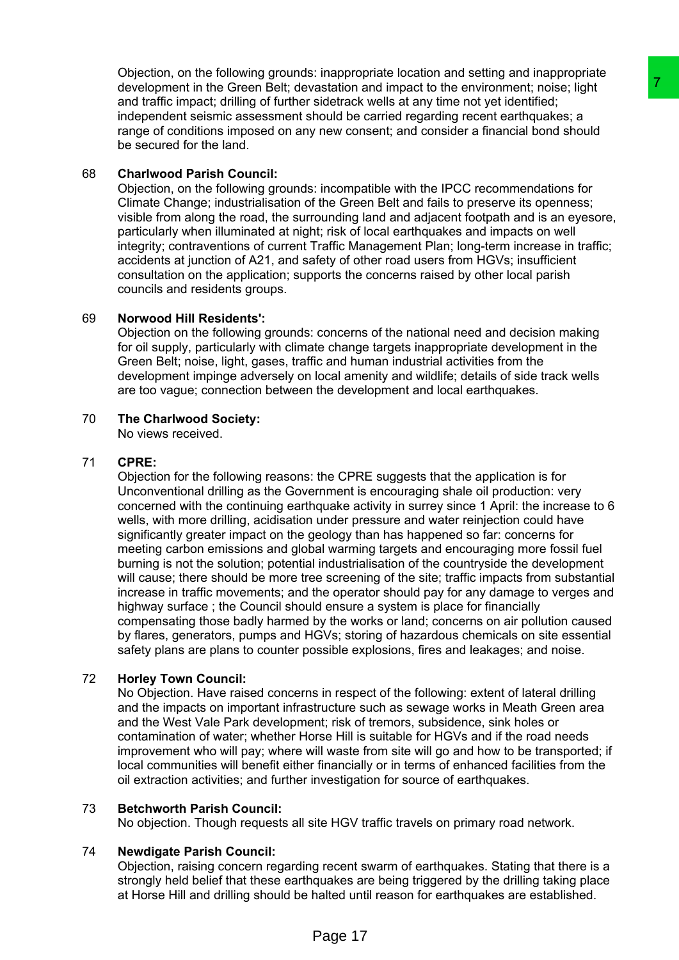Objection, on the following grounds: inappropriate location and setting and inappropriate development in the Green Belt; devastation and impact to the environment; noise; light and traffic impact; drilling of further sidetrack wells at any time not yet identified; independent seismic assessment should be carried regarding recent earthquakes; a range of conditions imposed on any new consent; and consider a financial bond should be secured for the land.

# 68 **Charlwood Parish Council:**

Objection, on the following grounds: incompatible with the IPCC recommendations for Climate Change; industrialisation of the Green Belt and fails to preserve its openness; visible from along the road, the surrounding land and adjacent footpath and is an eyesore, particularly when illuminated at night; risk of local earthquakes and impacts on well integrity; contraventions of current Traffic Management Plan; long-term increase in traffic; accidents at junction of A21, and safety of other road users from HGVs; insufficient consultation on the application; supports the concerns raised by other local parish councils and residents groups.

# 69 **Norwood Hill Residents':**

Objection on the following grounds: concerns of the national need and decision making for oil supply, particularly with climate change targets inappropriate development in the Green Belt; noise, light, gases, traffic and human industrial activities from the development impinge adversely on local amenity and wildlife; details of side track wells are too vague; connection between the development and local earthquakes.

# 70 **The Charlwood Society:**

No views received.

# 71 **CPRE:**

Objection for the following reasons: the CPRE suggests that the application is for Unconventional drilling as the Government is encouraging shale oil production: very concerned with the continuing earthquake activity in surrey since 1 April: the increase to 6 wells, with more drilling, acidisation under pressure and water reinjection could have significantly greater impact on the geology than has happened so far: concerns for meeting carbon emissions and global warming targets and encouraging more fossil fuel burning is not the solution; potential industrialisation of the countryside the development will cause; there should be more tree screening of the site; traffic impacts from substantial increase in traffic movements; and the operator should pay for any damage to verges and highway surface ; the Council should ensure a system is place for financially compensating those badly harmed by the works or land; concerns on air pollution caused by flares, generators, pumps and HGVs; storing of hazardous chemicals on site essential safety plans are plans to counter possible explosions, fires and leakages; and noise. assistion and innear to the environment robe. Ignt<br>asternack wells at any time not yet identified;<br>staterack wells at any time not yet identified;<br>bould be carried regarding recent earthquakes; a<br>new consent; and consider

# 72 **Horley Town Council:**

No Objection. Have raised concerns in respect of the following: extent of lateral drilling and the impacts on important infrastructure such as sewage works in Meath Green area and the West Vale Park development; risk of tremors, subsidence, sink holes or contamination of water; whether Horse Hill is suitable for HGVs and if the road needs improvement who will pay; where will waste from site will go and how to be transported; if local communities will benefit either financially or in terms of enhanced facilities from the oil extraction activities; and further investigation for source of earthquakes.

# 73 **Betchworth Parish Council:**

No objection. Though requests all site HGV traffic travels on primary road network.

# 74 **Newdigate Parish Council:**

Objection, raising concern regarding recent swarm of earthquakes. Stating that there is a strongly held belief that these earthquakes are being triggered by the drilling taking place at Horse Hill and drilling should be halted until reason for earthquakes are established.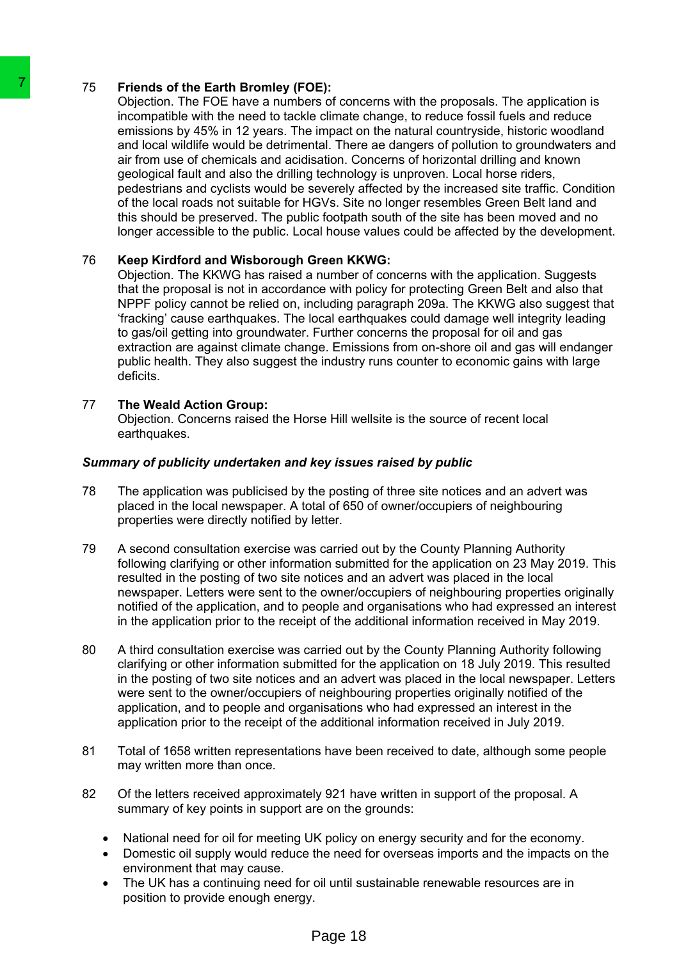# 75 **Friends of the Earth Bromley (FOE):**

Objection. The FOE have a numbers of concerns with the proposals. The application is incompatible with the need to tackle climate change, to reduce fossil fuels and reduce emissions by 45% in 12 years. The impact on the natural countryside, historic woodland and local wildlife would be detrimental. There ae dangers of pollution to groundwaters and air from use of chemicals and acidisation. Concerns of horizontal drilling and known geological fault and also the drilling technology is unproven. Local horse riders, pedestrians and cyclists would be severely affected by the increased site traffic. Condition of the local roads not suitable for HGVs. Site no longer resembles Green Belt land and this should be preserved. The public footpath south of the site has been moved and no longer accessible to the public. Local house values could be affected by the development. 76 Friends of the Earth Brombye (FOD):<br>
Delection: The FCE have a numbers of concernent<br>
increasing the with the need to tackle climate of<br>
emissions by 45% in 12 years. The limpact of<br>
and local wididiffe would be electi

# 76 **Keep Kirdford and Wisborough Green KKWG:**

Objection. The KKWG has raised a number of concerns with the application. Suggests that the proposal is not in accordance with policy for protecting Green Belt and also that NPPF policy cannot be relied on, including paragraph 209a. The KKWG also suggest that 'fracking' cause earthquakes. The local earthquakes could damage well integrity leading to gas/oil getting into groundwater. Further concerns the proposal for oil and gas extraction are against climate change. Emissions from on-shore oil and gas will endanger public health. They also suggest the industry runs counter to economic gains with large deficits.

# 77 **The Weald Action Group:**

Objection. Concerns raised the Horse Hill wellsite is the source of recent local earthquakes.

# *Summary of publicity undertaken and key issues raised by public*

- 78 The application was publicised by the posting of three site notices and an advert was placed in the local newspaper. A total of 650 of owner/occupiers of neighbouring properties were directly notified by letter*.*
- 79 A second consultation exercise was carried out by the County Planning Authority following clarifying or other information submitted for the application on 23 May 2019. This resulted in the posting of two site notices and an advert was placed in the local newspaper. Letters were sent to the owner/occupiers of neighbouring properties originally notified of the application, and to people and organisations who had expressed an interest in the application prior to the receipt of the additional information received in May 2019.
- 80 A third consultation exercise was carried out by the County Planning Authority following clarifying or other information submitted for the application on 18 July 2019. This resulted in the posting of two site notices and an advert was placed in the local newspaper. Letters were sent to the owner/occupiers of neighbouring properties originally notified of the application, and to people and organisations who had expressed an interest in the application prior to the receipt of the additional information received in July 2019.
- 81 Total of 1658 written representations have been received to date, although some people may written more than once.
- 82 Of the letters received approximately 921 have written in support of the proposal. A summary of key points in support are on the grounds:
	- National need for oil for meeting UK policy on energy security and for the economy.
	- Domestic oil supply would reduce the need for overseas imports and the impacts on the environment that may cause.
	- The UK has a continuing need for oil until sustainable renewable resources are in position to provide enough energy.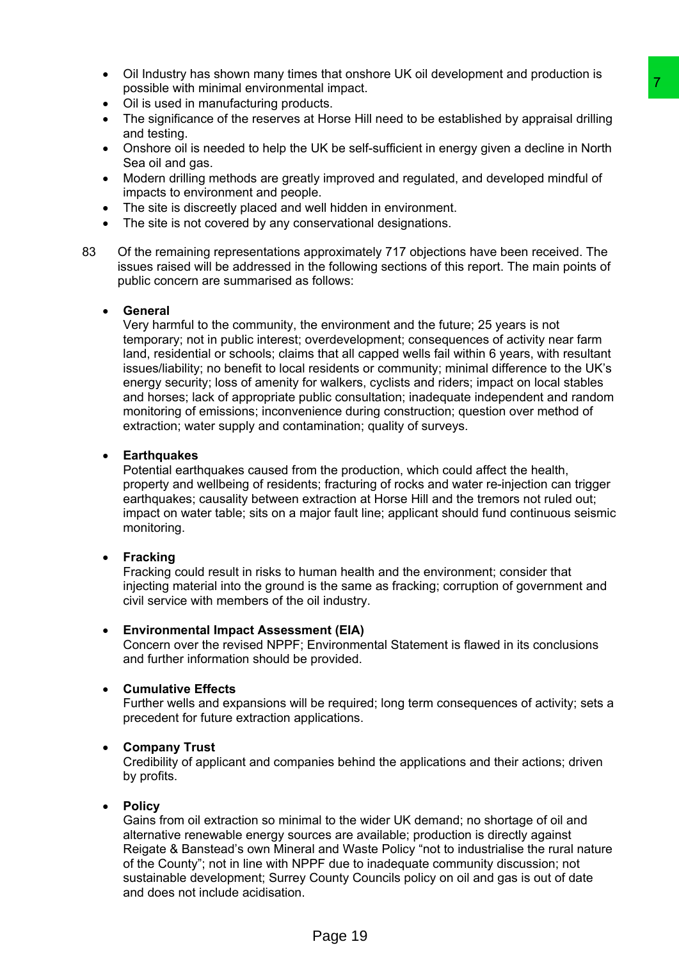- Oil Industry has shown many times that onshore UK oil development and production is possible with minimal environmental impact.
- Oil is used in manufacturing products.
- The significance of the reserves at Horse Hill need to be established by appraisal drilling and testing.
- Onshore oil is needed to help the UK be self-sufficient in energy given a decline in North Sea oil and gas.
- Modern drilling methods are greatly improved and regulated, and developed mindful of impacts to environment and people.
- The site is discreetly placed and well hidden in environment.
- The site is not covered by any conservational designations.
- 83 Of the remaining representations approximately 717 objections have been received. The issues raised will be addressed in the following sections of this report. The main points of public concern are summarised as follows:

#### **General**

Very harmful to the community, the environment and the future; 25 years is not temporary; not in public interest; overdevelopment; consequences of activity near farm land, residential or schools; claims that all capped wells fail within 6 years, with resultant issues/liability; no benefit to local residents or community; minimal difference to the UK's energy security; loss of amenity for walkers, cyclists and riders; impact on local stables and horses; lack of appropriate public consultation; inadequate independent and random monitoring of emissions; inconvenience during construction; question over method of extraction; water supply and contamination; quality of surveys. Trainmost<br>
Trainmost<br>
Internaction of the distribution and placetation and<br>
Internaction and regulated, and developed mindful of<br>
Internet Hill need to be established by appraisal drilling<br>
UK be self-sufficient in energy

# **Earthquakes**

Potential earthquakes caused from the production, which could affect the health, property and wellbeing of residents; fracturing of rocks and water re-injection can trigger earthquakes; causality between extraction at Horse Hill and the tremors not ruled out; impact on water table; sits on a major fault line; applicant should fund continuous seismic monitoring.

# **Fracking**

Fracking could result in risks to human health and the environment; consider that injecting material into the ground is the same as fracking; corruption of government and civil service with members of the oil industry.

# **Environmental Impact Assessment (EIA)**

Concern over the revised NPPF; Environmental Statement is flawed in its conclusions and further information should be provided.

# **Cumulative Effects**

Further wells and expansions will be required; long term consequences of activity; sets a precedent for future extraction applications.

# **Company Trust**

Credibility of applicant and companies behind the applications and their actions; driven by profits.

# **Policy**

Gains from oil extraction so minimal to the wider UK demand; no shortage of oil and alternative renewable energy sources are available; production is directly against Reigate & Banstead's own Mineral and Waste Policy "not to industrialise the rural nature of the County"; not in line with NPPF due to inadequate community discussion; not sustainable development; Surrey County Councils policy on oil and gas is out of date and does not include acidisation.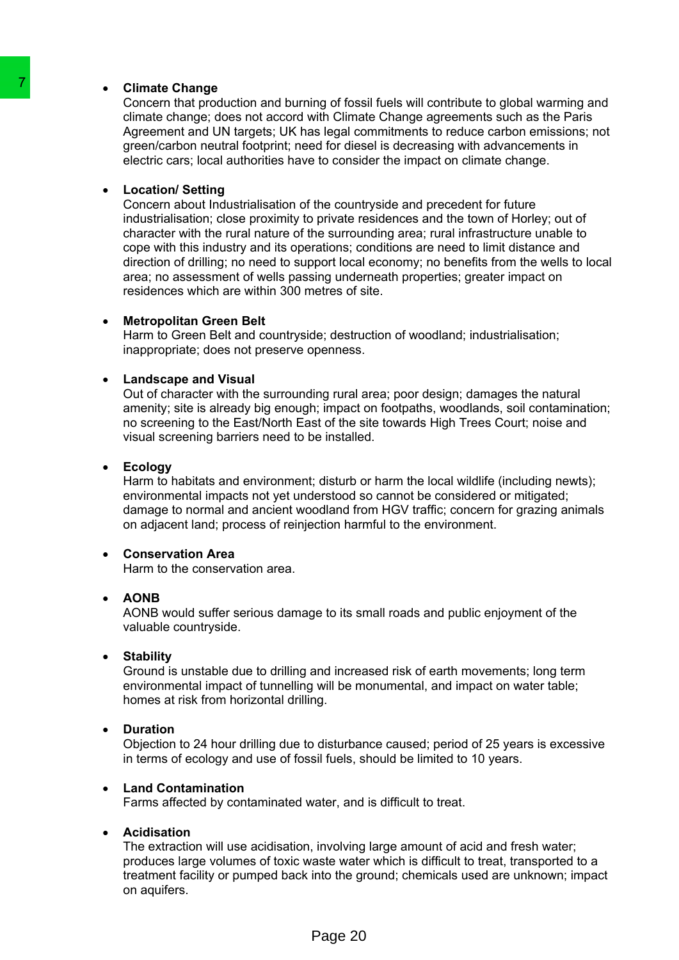### **Climate Change**

Concern that production and burning of fossil fuels will contribute to global warming and climate change; does not accord with Climate Change agreements such as the Paris Agreement and UN targets; UK has legal commitments to reduce carbon emissions; not green/carbon neutral footprint; need for diesel is decreasing with advancements in electric cars; local authorities have to consider the impact on climate change.

#### **Location/ Setting**

Concern about Industrialisation of the countryside and precedent for future industrialisation; close proximity to private residences and the town of Horley; out of character with the rural nature of the surrounding area; rural infrastructure unable to cope with this industry and its operations; conditions are need to limit distance and direction of drilling; no need to support local economy; no benefits from the wells to local area; no assessment of wells passing underneath properties; greater impact on residences which are within 300 metres of site. 7 Climate Change (close to a closed to wind Climate change of the Concern that production and burning of fosser<br>alimate change, close not according the Agreement and UN largets: UK has legal co<br>greenent candot with Climate

#### **Metropolitan Green Belt**

Harm to Green Belt and countryside; destruction of woodland; industrialisation; inappropriate; does not preserve openness.

#### **Landscape and Visual**

Out of character with the surrounding rural area; poor design; damages the natural amenity; site is already big enough; impact on footpaths, woodlands, soil contamination; no screening to the East/North East of the site towards High Trees Court; noise and visual screening barriers need to be installed.

#### **Ecology**

Harm to habitats and environment; disturb or harm the local wildlife (including newts); environmental impacts not yet understood so cannot be considered or mitigated; damage to normal and ancient woodland from HGV traffic; concern for grazing animals on adjacent land; process of reinjection harmful to the environment.

# **Conservation Area**

Harm to the conservation area.

#### **AONB**

AONB would suffer serious damage to its small roads and public enjoyment of the valuable countryside.

#### **Stability**

Ground is unstable due to drilling and increased risk of earth movements; long term environmental impact of tunnelling will be monumental, and impact on water table; homes at risk from horizontal drilling.

#### **Duration**

Objection to 24 hour drilling due to disturbance caused; period of 25 years is excessive in terms of ecology and use of fossil fuels, should be limited to 10 years.

#### **Land Contamination**

Farms affected by contaminated water, and is difficult to treat.

#### **Acidisation**

The extraction will use acidisation, involving large amount of acid and fresh water; produces large volumes of toxic waste water which is difficult to treat, transported to a treatment facility or pumped back into the ground; chemicals used are unknown; impact on aquifers.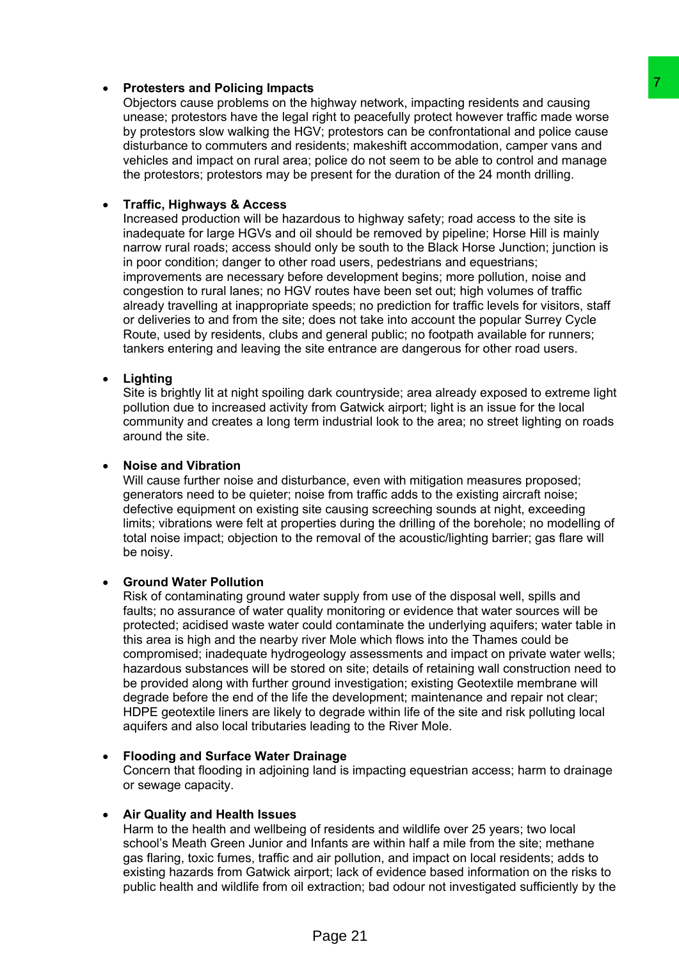# **Protesters and Policing Impacts**

Objectors cause problems on the highway network, impacting residents and causing unease; protestors have the legal right to peacefully protect however traffic made worse by protestors slow walking the HGV; protestors can be confrontational and police cause disturbance to commuters and residents; makeshift accommodation, camper vans and vehicles and impact on rural area; police do not seem to be able to control and manage the protestors; protestors may be present for the duration of the 24 month drilling.

# **Traffic, Highways & Access**

Increased production will be hazardous to highway safety; road access to the site is inadequate for large HGVs and oil should be removed by pipeline; Horse Hill is mainly narrow rural roads; access should only be south to the Black Horse Junction; junction is in poor condition; danger to other road users, pedestrians and equestrians; improvements are necessary before development begins; more pollution, noise and congestion to rural lanes; no HGV routes have been set out; high volumes of traffic already travelling at inappropriate speeds; no prediction for traffic levels for visitors, staff or deliveries to and from the site; does not take into account the popular Surrey Cycle Route, used by residents, clubs and general public; no footpath available for runners; tankers entering and leaving the site entrance are dangerous for other road users.

# **Lighting**

Site is brightly lit at night spoiling dark countryside; area already exposed to extreme light pollution due to increased activity from Gatwick airport; light is an issue for the local community and creates a long term industrial look to the area; no street lighting on roads around the site.

# **Noise and Vibration**

Will cause further noise and disturbance, even with mitigation measures proposed; generators need to be quieter; noise from traffic adds to the existing aircraft noise; defective equipment on existing site causing screeching sounds at night, exceeding limits; vibrations were felt at properties during the drilling of the borehole; no modelling of total noise impact; objection to the removal of the acoustic/lighting barrier; gas flare will be noisy.

# **Ground Water Pollution**

Risk of contaminating ground water supply from use of the disposal well, spills and faults; no assurance of water quality monitoring or evidence that water sources will be protected; acidised waste water could contaminate the underlying aquifers; water table in this area is high and the nearby river Mole which flows into the Thames could be compromised; inadequate hydrogeology assessments and impact on private water wells; hazardous substances will be stored on site; details of retaining wall construction need to be provided along with further ground investigation; existing Geotextile membrane will degrade before the end of the life the development; maintenance and repair not clear; HDPE geotextile liners are likely to degrade within life of the site and risk polluting local aquifers and also local tributaries leading to the River Mole. individual methods. Impacting residents and causing<br>inciphory network, impacting residents and causing eignith to peacetally protect however traffic mate worse<br>U: protestors can be confrontational and police cause<br>of the c

# **Flooding and Surface Water Drainage**

Concern that flooding in adjoining land is impacting equestrian access; harm to drainage or sewage capacity.

# **Air Quality and Health Issues**

Harm to the health and wellbeing of residents and wildlife over 25 years; two local school's Meath Green Junior and Infants are within half a mile from the site; methane gas flaring, toxic fumes, traffic and air pollution, and impact on local residents; adds to existing hazards from Gatwick airport; lack of evidence based information on the risks to public health and wildlife from oil extraction; bad odour not investigated sufficiently by the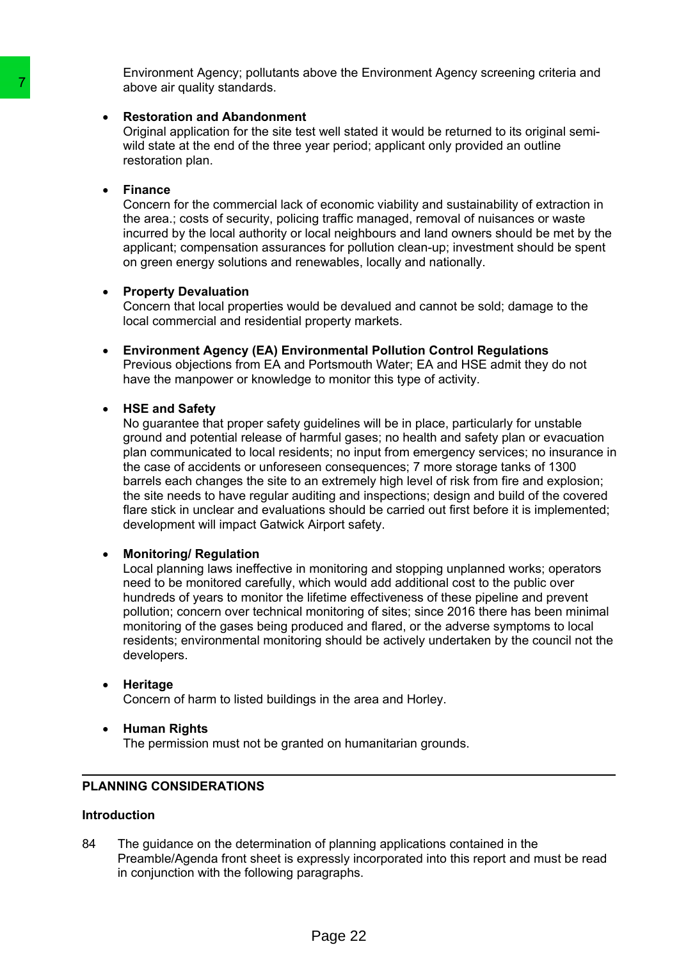Environment Agency; pollutants above the Environment Agency screening criteria and above air quality standards.

# **Restoration and Abandonment**

Original application for the site test well stated it would be returned to its original semiwild state at the end of the three year period; applicant only provided an outline restoration plan.

#### **Finance**

Concern for the commercial lack of economic viability and sustainability of extraction in the area.; costs of security, policing traffic managed, removal of nuisances or waste incurred by the local authority or local neighbours and land owners should be met by the applicant; compensation assurances for pollution clean-up; investment should be spent on green energy solutions and renewables, locally and nationally.

#### **Property Devaluation**

Concern that local properties would be devalued and cannot be sold; damage to the local commercial and residential property markets.

 **Environment Agency (EA) Environmental Pollution Control Regulations**  Previous objections from EA and Portsmouth Water; EA and HSE admit they do not have the manpower or knowledge to monitor this type of activity.

# **HSE and Safety**

No guarantee that proper safety guidelines will be in place, particularly for unstable ground and potential release of harmful gases; no health and safety plan or evacuation plan communicated to local residents; no input from emergency services; no insurance in the case of accidents or unforeseen consequences; 7 more storage tanks of 1300 barrels each changes the site to an extremely high level of risk from fire and explosion; the site needs to have regular auditing and inspections; design and build of the covered flare stick in unclear and evaluations should be carried out first before it is implemented; development will impact Gatwick Airport safety. The state than distant and the state of the state of the state of the parameterization and a control of the site test well state will state will state will state will state will state will state will state will state will

# **Monitoring/ Regulation**

Local planning laws ineffective in monitoring and stopping unplanned works; operators need to be monitored carefully, which would add additional cost to the public over hundreds of years to monitor the lifetime effectiveness of these pipeline and prevent pollution; concern over technical monitoring of sites; since 2016 there has been minimal monitoring of the gases being produced and flared, or the adverse symptoms to local residents; environmental monitoring should be actively undertaken by the council not the developers.

# **Heritage**

Concern of harm to listed buildings in the area and Horley.

 **Human Rights** The permission must not be granted on humanitarian grounds.

# **PLANNING CONSIDERATIONS**

# **Introduction**

84 The guidance on the determination of planning applications contained in the Preamble/Agenda front sheet is expressly incorporated into this report and must be read in conjunction with the following paragraphs.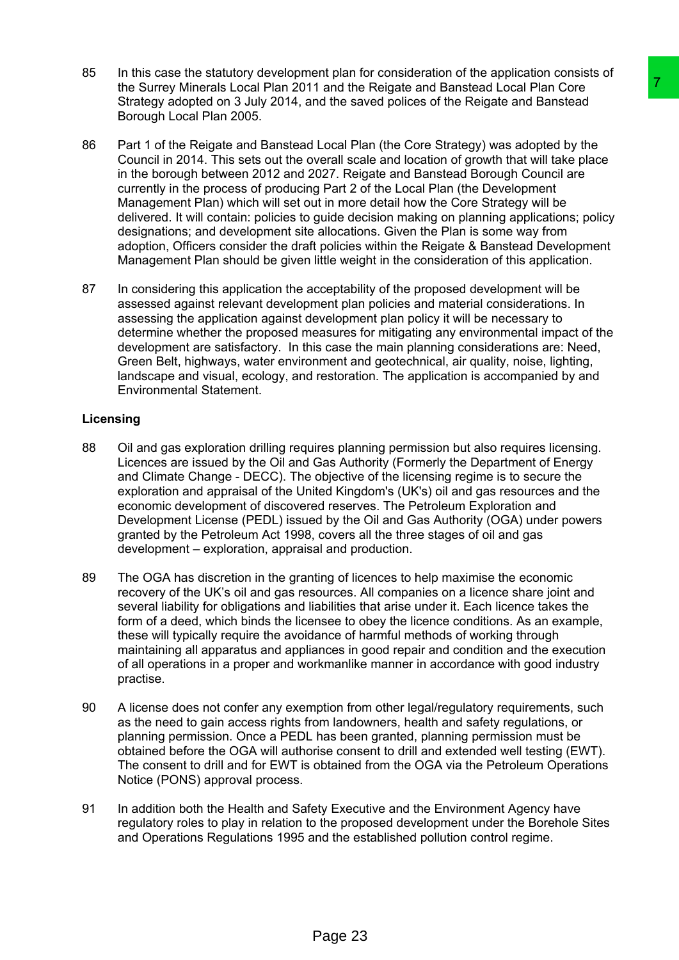- 85 In this case the statutory development plan for consideration of the application consists of the Surrey Minerals Local Plan 2011 and the Reigate and Banstead Local Plan Core Strategy adopted on 3 July 2014, and the saved polices of the Reigate and Banstead Borough Local Plan 2005.
- 86 Part 1 of the Reigate and Banstead Local Plan (the Core Strategy) was adopted by the Council in 2014. This sets out the overall scale and location of growth that will take place in the borough between 2012 and 2027. Reigate and Banstead Borough Council are currently in the process of producing Part 2 of the Local Plan (the Development Management Plan) which will set out in more detail how the Core Strategy will be delivered. It will contain: policies to guide decision making on planning applications; policy designations; and development site allocations. Given the Plan is some way from adoption, Officers consider the draft policies within the Reigate & Banstead Development Management Plan should be given little weight in the consideration of this application. 1 and the Reigate and Banstead Local Plan Core<br>
and the Reigate and Banstead Local Plan Core<br>
ord the saved polices of the Reigate and Banstead Cocal Plan Core<br>
Uccal Plan (the Core Strategy) was adopted by the<br>
Uccal Plan
- 87 In considering this application the acceptability of the proposed development will be assessed against relevant development plan policies and material considerations. In assessing the application against development plan policy it will be necessary to determine whether the proposed measures for mitigating any environmental impact of the development are satisfactory. In this case the main planning considerations are: Need, Green Belt, highways, water environment and geotechnical, air quality, noise, lighting, landscape and visual, ecology, and restoration. The application is accompanied by and Environmental Statement.

# **Licensing**

- 88 Oil and gas exploration drilling requires planning permission but also requires licensing. Licences are issued by the Oil and Gas Authority (Formerly the Department of Energy and Climate Change - DECC). The objective of the licensing regime is to secure the exploration and appraisal of the United Kingdom's (UK's) oil and gas resources and the economic development of discovered reserves. The Petroleum Exploration and Development License (PEDL) issued by the Oil and Gas Authority (OGA) under powers granted by the Petroleum Act 1998, covers all the three stages of oil and gas development – exploration, appraisal and production.
- 89 The OGA has discretion in the granting of licences to help maximise the economic recovery of the UK's oil and gas resources. All companies on a licence share joint and several liability for obligations and liabilities that arise under it. Each licence takes the form of a deed, which binds the licensee to obey the licence conditions. As an example, these will typically require the avoidance of harmful methods of working through maintaining all apparatus and appliances in good repair and condition and the execution of all operations in a proper and workmanlike manner in accordance with good industry practise.
- 90 A license does not confer any exemption from other legal/regulatory requirements, such as the need to gain access rights from landowners, health and safety regulations, or planning permission. Once a PEDL has been granted, planning permission must be obtained before the OGA will authorise consent to drill and extended well testing (EWT). The consent to drill and for EWT is obtained from the OGA via the Petroleum Operations Notice (PONS) approval process.
- 91 In addition both the Health and Safety Executive and the Environment Agency have regulatory roles to play in relation to the proposed development under the Borehole Sites and Operations Regulations 1995 and the established pollution control regime.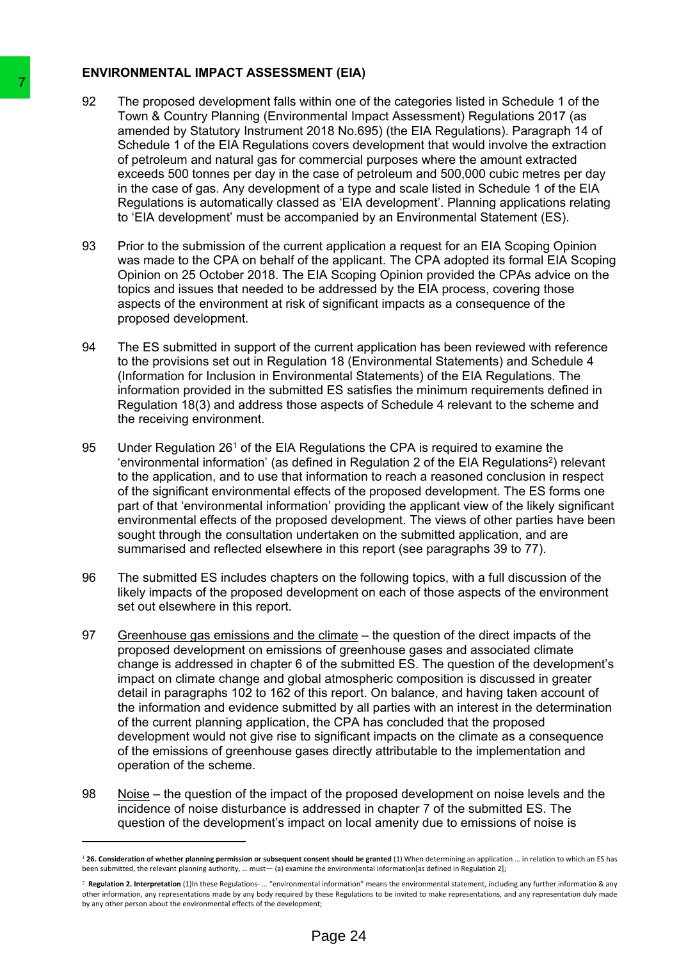# **ENVIRONMENTAL IMPACT ASSESSMENT (EIA)**

- 92 The proposed development falls within one of the categories listed in Schedule 1 of the Town & Country Planning (Environmental Impact Assessment) Regulations 2017 (as amended by Statutory Instrument 2018 No.695) (the EIA Regulations). Paragraph 14 of Schedule 1 of the EIA Regulations covers development that would involve the extraction of petroleum and natural gas for commercial purposes where the amount extracted exceeds 500 tonnes per day in the case of petroleum and 500,000 cubic metres per day in the case of gas. Any development of a type and scale listed in Schedule 1 of the EIA Regulations is automatically classed as 'EIA development'. Planning applications relating to 'EIA development' must be accompanied by an Environmental Statement (ES).
- 93 Prior to the submission of the current application a request for an EIA Scoping Opinion was made to the CPA on behalf of the applicant. The CPA adopted its formal EIA Scoping Opinion on 25 October 2018. The EIA Scoping Opinion provided the CPAs advice on the topics and issues that needed to be addressed by the EIA process, covering those aspects of the environment at risk of significant impacts as a consequence of the proposed development.
- 94 The ES submitted in support of the current application has been reviewed with reference to the provisions set out in Regulation 18 (Environmental Statements) and Schedule 4 (Information for Inclusion in Environmental Statements) of the EIA Regulations. The information provided in the submitted ES satisfies the minimum requirements defined in Regulation 18(3) and address those aspects of Schedule 4 relevant to the scheme and the receiving environment.
- 95 Under Regulation 26<sup>1</sup> of the EIA Regulations the CPA is required to examine the 'environmental information' (as defined in Regulation 2 of the EIA Regulations<sup>2</sup>) relevant to the application, and to use that information to reach a reasoned conclusion in respect of the significant environmental effects of the proposed development. The ES forms one part of that 'environmental information' providing the applicant view of the likely significant environmental effects of the proposed development. The views of other parties have been sought through the consultation undertaken on the submitted application, and are summarised and reflected elsewhere in this report (see paragraphs 39 to 77).
- 96 The submitted ES includes chapters on the following topics, with a full discussion of the likely impacts of the proposed development on each of those aspects of the environment set out elsewhere in this report.
- 97 Greenhouse gas emissions and the climate the question of the direct impacts of the proposed development on emissions of greenhouse gases and associated climate change is addressed in chapter 6 of the submitted ES. The question of the development's impact on climate change and global atmospheric composition is discussed in greater detail in paragraphs 102 to 162 of this report. On balance, and having taken account of the information and evidence submitted by all parties with an interest in the determination of the current planning application, the CPA has concluded that the proposed development would not give rise to significant impacts on the climate as a consequence of the emissions of greenhouse gases directly attributable to the implementation and operation of the scheme. The proposed development falls within one of<br>
The proposed development falls within one of<br>
ammedded by Statutory Iranitrument 2018 No.6<br>
samended by Statutory Iranitrument 2018 No.6<br>
schedule 1 of the EiA Regulations corr
	- 98 Noise the question of the impact of the proposed development on noise levels and the incidence of noise disturbance is addressed in chapter 7 of the submitted ES. The question of the development's impact on local amenity due to emissions of noise is

 $126$ . Consideration of whether planning permission or subsequent consent should be granted (1) When determining an application ... in relation to which an ES has been submitted, the relevant planning authority, … must— (a) examine the environmental information[as defined in Regulation 2];

<sup>2</sup> **Regulation 2. Interpretation** (1)In these Regulations- … "environmental information" means the environmental statement, including any further information & any other information, any representations made by any body required by these Regulations to be invited to make representations, and any representation duly made by any other person about the environmental effects of the development;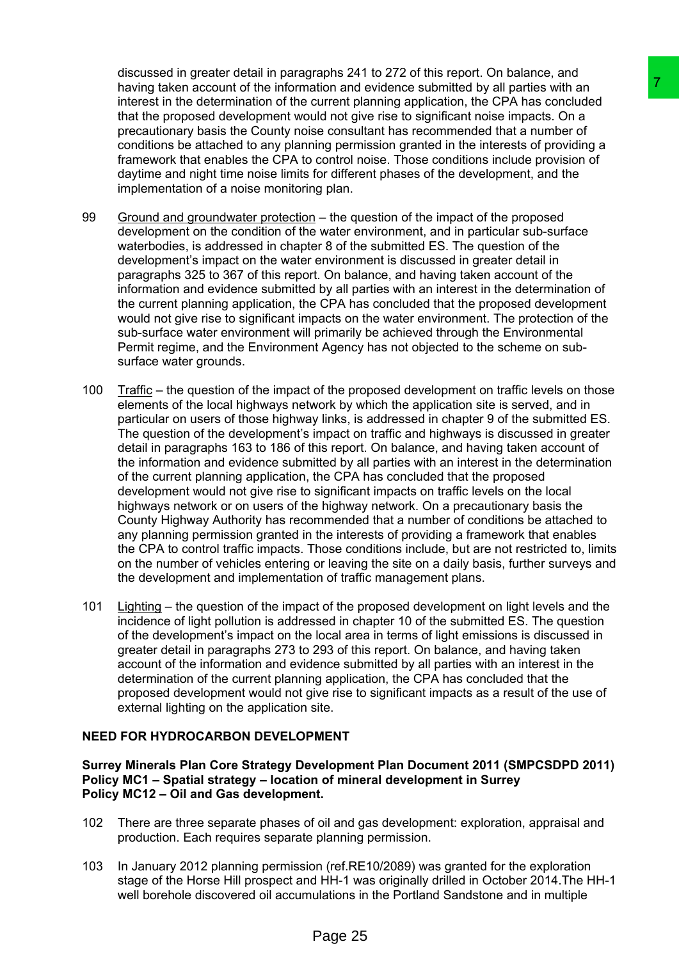discussed in greater detail in paragraphs 241 to 272 of this report. On balance, and having taken account of the information and evidence submitted by all parties with an interest in the determination of the current planning application, the CPA has concluded that the proposed development would not give rise to significant noise impacts. On a precautionary basis the County noise consultant has recommended that a number of conditions be attached to any planning permission granted in the interests of providing a framework that enables the CPA to control noise. Those conditions include provision of daytime and night time noise limits for different phases of the development, and the implementation of a noise monitoring plan.

- 99 Ground and groundwater protection the question of the impact of the proposed development on the condition of the water environment, and in particular sub-surface waterbodies, is addressed in chapter 8 of the submitted ES. The question of the development's impact on the water environment is discussed in greater detail in paragraphs 325 to 367 of this report. On balance, and having taken account of the information and evidence submitted by all parties with an interest in the determination of the current planning application, the CPA has concluded that the proposed development would not give rise to significant impacts on the water environment. The protection of the sub-surface water environment will primarily be achieved through the Environmental Permit regime, and the Environment Agency has not objected to the scheme on subsurface water grounds.
- 100 Traffic the question of the impact of the proposed development on traffic levels on those elements of the local highways network by which the application site is served, and in particular on users of those highway links, is addressed in chapter 9 of the submitted ES. The question of the development's impact on traffic and highways is discussed in greater detail in paragraphs 163 to 186 of this report. On balance, and having taken account of the information and evidence submitted by all parties with an interest in the determination of the current planning application, the CPA has concluded that the proposed development would not give rise to significant impacts on traffic levels on the local highways network or on users of the highway network. On a precautionary basis the County Highway Authority has recommended that a number of conditions be attached to any planning permission granted in the interests of providing a framework that enables the CPA to control traffic impacts. Those conditions include, but are not restricted to, limits on the number of vehicles entering or leaving the site on a daily basis, further surveys and the development and implementation of traffic management plans. althou and evidence submitted by all parties with an<br>experiment plane and evidence submitted by all parties with an<br>experimetric product of the CPA has conducted<br>and ond tyie rise to significant moles imposed. On a<br>second
- 101 Lighting the question of the impact of the proposed development on light levels and the incidence of light pollution is addressed in chapter 10 of the submitted ES. The question of the development's impact on the local area in terms of light emissions is discussed in greater detail in paragraphs 273 to 293 of this report. On balance, and having taken account of the information and evidence submitted by all parties with an interest in the determination of the current planning application, the CPA has concluded that the proposed development would not give rise to significant impacts as a result of the use of external lighting on the application site.

# **NEED FOR HYDROCARBON DEVELOPMENT**

**Surrey Minerals Plan Core Strategy Development Plan Document 2011 (SMPCSDPD 2011) Policy MC1 – Spatial strategy – location of mineral development in Surrey Policy MC12 – Oil and Gas development.**

- 102 There are three separate phases of oil and gas development: exploration, appraisal and production. Each requires separate planning permission.
- 103 In January 2012 planning permission (ref.RE10/2089) was granted for the exploration stage of the Horse Hill prospect and HH-1 was originally drilled in October 2014.The HH-1 well borehole discovered oil accumulations in the Portland Sandstone and in multiple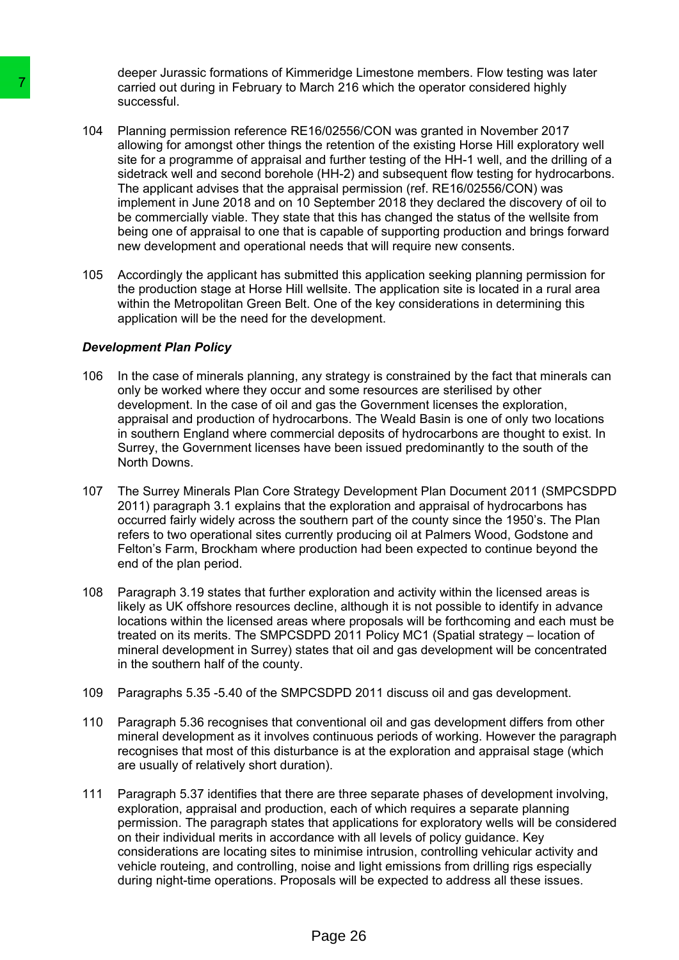deeper Jurassic formations of Kimmeridge Limestone members. Flow testing was later carried out during in February to March 216 which the operator considered highly successful.

- 104 Planning permission reference RE16/02556/CON was granted in November 2017 allowing for amongst other things the retention of the existing Horse Hill exploratory well site for a programme of appraisal and further testing of the HH-1 well, and the drilling of a sidetrack well and second borehole (HH-2) and subsequent flow testing for hydrocarbons. The applicant advises that the appraisal permission (ref. RE16/02556/CON) was implement in June 2018 and on 10 September 2018 they declared the discovery of oil to be commercially viable. They state that this has changed the status of the wellsite from being one of appraisal to one that is capable of supporting production and brings forward new development and operational needs that will require new consents. The carried out during in February to March 2216<br>
technology and Page 26 7 and Page 26 7 and Page 26 8 and Window To remove star and second star that the restrict set for a programme of appraisal and furthern-<br>
site for a
	- 105 Accordingly the applicant has submitted this application seeking planning permission for the production stage at Horse Hill wellsite. The application site is located in a rural area within the Metropolitan Green Belt. One of the key considerations in determining this application will be the need for the development.

#### *Development Plan Policy*

- 106 In the case of minerals planning, any strategy is constrained by the fact that minerals can only be worked where they occur and some resources are sterilised by other development. In the case of oil and gas the Government licenses the exploration, appraisal and production of hydrocarbons. The Weald Basin is one of only two locations in southern England where commercial deposits of hydrocarbons are thought to exist. In Surrey, the Government licenses have been issued predominantly to the south of the North Downs.
- 107 The Surrey Minerals Plan Core Strategy Development Plan Document 2011 (SMPCSDPD 2011) paragraph 3.1 explains that the exploration and appraisal of hydrocarbons has occurred fairly widely across the southern part of the county since the 1950's. The Plan refers to two operational sites currently producing oil at Palmers Wood, Godstone and Felton's Farm, Brockham where production had been expected to continue beyond the end of the plan period.
- 108 Paragraph 3.19 states that further exploration and activity within the licensed areas is likely as UK offshore resources decline, although it is not possible to identify in advance locations within the licensed areas where proposals will be forthcoming and each must be treated on its merits. The SMPCSDPD 2011 Policy MC1 (Spatial strategy – location of mineral development in Surrey) states that oil and gas development will be concentrated in the southern half of the county.
- 109 Paragraphs 5.35 -5.40 of the SMPCSDPD 2011 discuss oil and gas development.
- 110 Paragraph 5.36 recognises that conventional oil and gas development differs from other mineral development as it involves continuous periods of working. However the paragraph recognises that most of this disturbance is at the exploration and appraisal stage (which are usually of relatively short duration).
- 111 Paragraph 5.37 identifies that there are three separate phases of development involving, exploration, appraisal and production, each of which requires a separate planning permission. The paragraph states that applications for exploratory wells will be considered on their individual merits in accordance with all levels of policy guidance. Key considerations are locating sites to minimise intrusion, controlling vehicular activity and vehicle routeing, and controlling, noise and light emissions from drilling rigs especially during night-time operations. Proposals will be expected to address all these issues.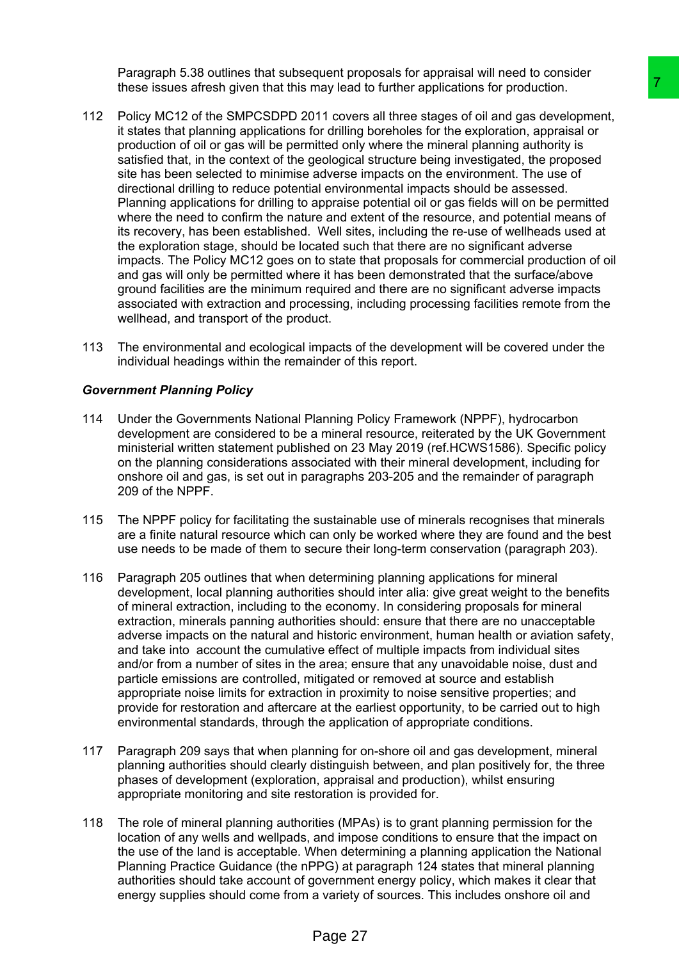Paragraph 5.38 outlines that subsequent proposals for appraisal will need to consider these issues afresh given that this may lead to further applications for production.

- 112 Policy MC12 of the SMPCSDPD 2011 covers all three stages of oil and gas development, it states that planning applications for drilling boreholes for the exploration, appraisal or production of oil or gas will be permitted only where the mineral planning authority is satisfied that, in the context of the geological structure being investigated, the proposed site has been selected to minimise adverse impacts on the environment. The use of directional drilling to reduce potential environmental impacts should be assessed. Planning applications for drilling to appraise potential oil or gas fields will on be permitted where the need to confirm the nature and extent of the resource, and potential means of its recovery, has been established. Well sites, including the re-use of wellheads used at the exploration stage, should be located such that there are no significant adverse impacts. The Policy MC12 goes on to state that proposals for commercial production of oil and gas will only be permitted where it has been demonstrated that the surface/above ground facilities are the minimum required and there are no significant adverse impacts associated with extraction and processing, including processing facilities remote from the wellhead, and transport of the product. may lead to further applications for production.<br>That cover all three stages of oil and gas development,<br>for drilling boreholes for the exploration, approaching the ordinary of ordinary between the minimage and<br>interaction
- 113 The environmental and ecological impacts of the development will be covered under the individual headings within the remainder of this report.

# *Government Planning Policy*

- 114 Under the Governments National Planning Policy Framework (NPPF), hydrocarbon development are considered to be a mineral resource, reiterated by the UK Government ministerial written statement published on 23 May 2019 (ref.HCWS1586). Specific policy on the planning considerations associated with their mineral development, including for onshore oil and gas, is set out in paragraphs 203-205 and the remainder of paragraph 209 of the NPPF.
- 115 The NPPF policy for facilitating the sustainable use of minerals recognises that minerals are a finite natural resource which can only be worked where they are found and the best use needs to be made of them to secure their long-term conservation (paragraph 203).
- 116 Paragraph 205 outlines that when determining planning applications for mineral development, local planning authorities should inter alia: give great weight to the benefits of mineral extraction, including to the economy. In considering proposals for mineral extraction, minerals panning authorities should: ensure that there are no unacceptable adverse impacts on the natural and historic environment, human health or aviation safety, and take into account the cumulative effect of multiple impacts from individual sites and/or from a number of sites in the area; ensure that any unavoidable noise, dust and particle emissions are controlled, mitigated or removed at source and establish appropriate noise limits for extraction in proximity to noise sensitive properties; and provide for restoration and aftercare at the earliest opportunity, to be carried out to high environmental standards, through the application of appropriate conditions.
- 117 Paragraph 209 says that when planning for on-shore oil and gas development, mineral planning authorities should clearly distinguish between, and plan positively for, the three phases of development (exploration, appraisal and production), whilst ensuring appropriate monitoring and site restoration is provided for.
- 118 The role of mineral planning authorities (MPAs) is to grant planning permission for the location of any wells and wellpads, and impose conditions to ensure that the impact on the use of the land is acceptable. When determining a planning application the National Planning Practice Guidance (the nPPG) at paragraph 124 states that mineral planning authorities should take account of government energy policy, which makes it clear that energy supplies should come from a variety of sources. This includes onshore oil and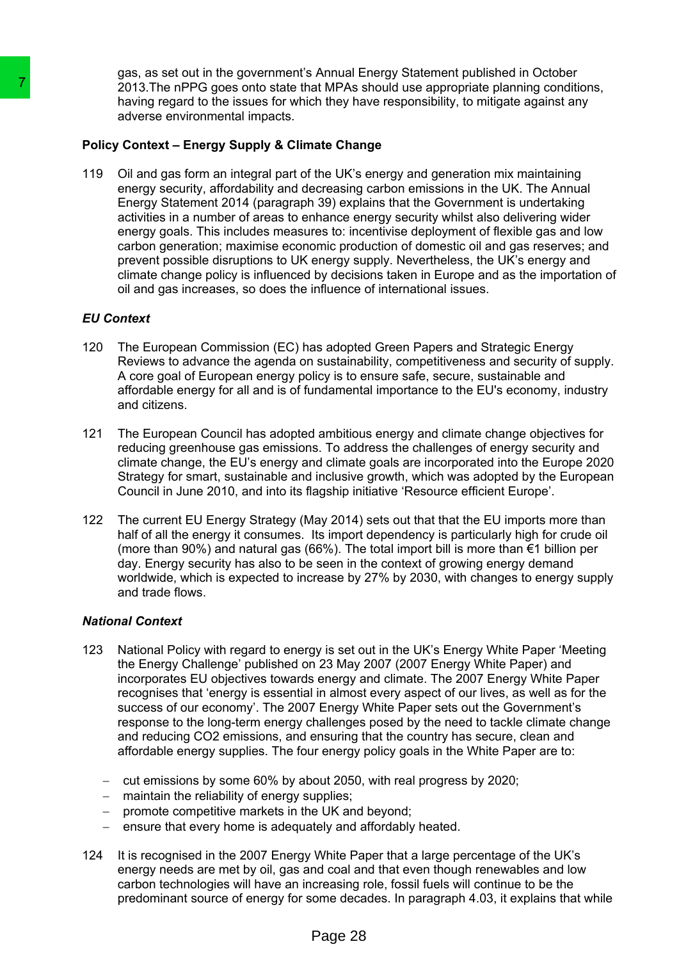gas, as set out in the government's Annual Energy Statement published in October 2013.The nPPG goes onto state that MPAs should use appropriate planning conditions, having regard to the issues for which they have responsibility, to mitigate against any adverse environmental impacts.

# **Policy Context – Energy Supply & Climate Change**

119 Oil and gas form an integral part of the UK's energy and generation mix maintaining energy security, affordability and decreasing carbon emissions in the UK. The Annual Energy Statement 2014 (paragraph 39) explains that the Government is undertaking activities in a number of areas to enhance energy security whilst also delivering wider energy goals. This includes measures to: incentivise deployment of flexible gas and low carbon generation; maximise economic production of domestic oil and gas reserves; and prevent possible disruptions to UK energy supply. Nevertheless, the UK's energy and climate change policy is influenced by decisions taken in Europe and as the importation of oil and gas increases, so does the influence of international issues. The nPPG goes omo talte that MPAs and 10.0<br>
Inaving regard to the Issues for which they had<br>
Inaving regard to the Issues for which they had<br>
anying regard to the Issues for which they had<br>
only a course environmental imp

# *EU Context*

- 120 The European Commission (EC) has adopted Green Papers and Strategic Energy Reviews to advance the agenda on sustainability, competitiveness and security of supply. A core goal of European energy policy is to ensure safe, secure, sustainable and affordable energy for all and is of fundamental importance to the EU's economy, industry and citizens.
- 121 The European Council has adopted ambitious energy and climate change objectives for reducing greenhouse gas emissions. To address the challenges of energy security and climate change, the EU's energy and climate goals are incorporated into the Europe 2020 Strategy for smart, sustainable and inclusive growth, which was adopted by the European Council in June 2010, and into its flagship initiative 'Resource efficient Europe'.
- 122 The current EU Energy Strategy (May 2014) sets out that that the EU imports more than half of all the energy it consumes. Its import dependency is particularly high for crude oil (more than 90%) and natural gas (66%). The total import bill is more than €1 billion per day. Energy security has also to be seen in the context of growing energy demand worldwide, which is expected to increase by 27% by 2030, with changes to energy supply and trade flows.

# *National Context*

- 123 National Policy with regard to energy is set out in the UK's Energy White Paper 'Meeting the Energy Challenge' published on 23 May 2007 (2007 Energy White Paper) and incorporates EU objectives towards energy and climate. The 2007 Energy White Paper recognises that 'energy is essential in almost every aspect of our lives, as well as for the success of our economy'. The 2007 Energy White Paper sets out the Government's response to the long-term energy challenges posed by the need to tackle climate change and reducing CO2 emissions, and ensuring that the country has secure, clean and affordable energy supplies. The four energy policy goals in the White Paper are to:
	- $-$  cut emissions by some 60% by about 2050, with real progress by 2020;
	- maintain the reliability of energy supplies;
	- promote competitive markets in the UK and beyond;
	- $\overline{a}$  ensure that every home is adequately and affordably heated.
- 124 It is recognised in the 2007 Energy White Paper that a large percentage of the UK's energy needs are met by oil, gas and coal and that even though renewables and low carbon technologies will have an increasing role, fossil fuels will continue to be the predominant source of energy for some decades. In paragraph 4.03, it explains that while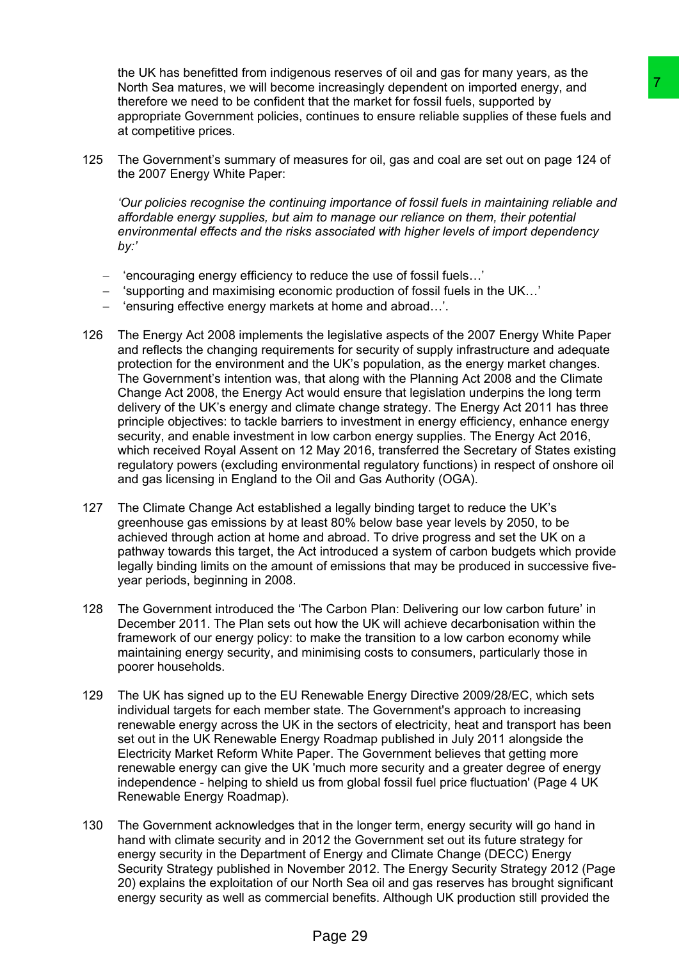the UK has benefitted from indigenous reserves of oil and gas for many years, as the North Sea matures, we will become increasingly dependent on imported energy, and therefore we need to be confident that the market for fossil fuels, supported by appropriate Government policies, continues to ensure reliable supplies of these fuels and at competitive prices.

125 The Government's summary of measures for oil, gas and coal are set out on page 124 of the 2007 Energy White Paper:

*'Our policies recognise the continuing importance of fossil fuels in maintaining reliable and affordable energy supplies, but aim to manage our reliance on them, their potential environmental effects and the risks associated with higher levels of import dependency by:'*

- 'encouraging energy efficiency to reduce the use of fossil fuels…'
- 'supporting and maximising economic production of fossil fuels in the UK…'
- 'ensuring effective energy markets at home and abroad…'.
- 126 The Energy Act 2008 implements the legislative aspects of the 2007 Energy White Paper and reflects the changing requirements for security of supply infrastructure and adequate protection for the environment and the UK's population, as the energy market changes. The Government's intention was, that along with the Planning Act 2008 and the Climate Change Act 2008, the Energy Act would ensure that legislation underpins the long term delivery of the UK's energy and climate change strategy. The Energy Act 2011 has three principle objectives: to tackle barriers to investment in energy efficiency, enhance energy security, and enable investment in low carbon energy supplies. The Energy Act 2016, which received Royal Assent on 12 May 2016, transferred the Secretary of States existing regulatory powers (excluding environmental regulatory functions) in respect of onshore oil and gas licensing in England to the Oil and Gas Authority (OGA). increasingly dependent on imported energy<br>
in increasingly dependent on imported energy and<br>
inta the market for fossil fuels, supported by , and<br>
online the form the control and are set out on page 124 of<br>
onlines to ensu
- 127 The Climate Change Act established a legally binding target to reduce the UK's greenhouse gas emissions by at least 80% below base year levels by 2050, to be achieved through action at home and abroad. To drive progress and set the UK on a pathway towards this target, the Act introduced a system of carbon budgets which provide legally binding limits on the amount of emissions that may be produced in successive fiveyear periods, beginning in 2008.
- 128 The Government introduced the 'The Carbon Plan: Delivering our low carbon future' in December 2011. The Plan sets out how the UK will achieve decarbonisation within the framework of our energy policy: to make the transition to a low carbon economy while maintaining energy security, and minimising costs to consumers, particularly those in poorer households.
- 129 The UK has signed up to the EU Renewable Energy Directive 2009/28/EC, which sets individual targets for each member state. The Government's approach to increasing renewable energy across the UK in the sectors of electricity, heat and transport has been set out in the UK Renewable Energy Roadmap published in July 2011 alongside the Electricity Market Reform White Paper. The Government believes that getting more renewable energy can give the UK 'much more security and a greater degree of energy independence - helping to shield us from global fossil fuel price fluctuation' (Page 4 UK Renewable Energy Roadmap).
- 130 The Government acknowledges that in the longer term, energy security will go hand in hand with climate security and in 2012 the Government set out its future strategy for energy security in the Department of Energy and Climate Change (DECC) Energy Security Strategy published in November 2012. The Energy Security Strategy 2012 (Page 20) explains the exploitation of our North Sea oil and gas reserves has brought significant energy security as well as commercial benefits. Although UK production still provided the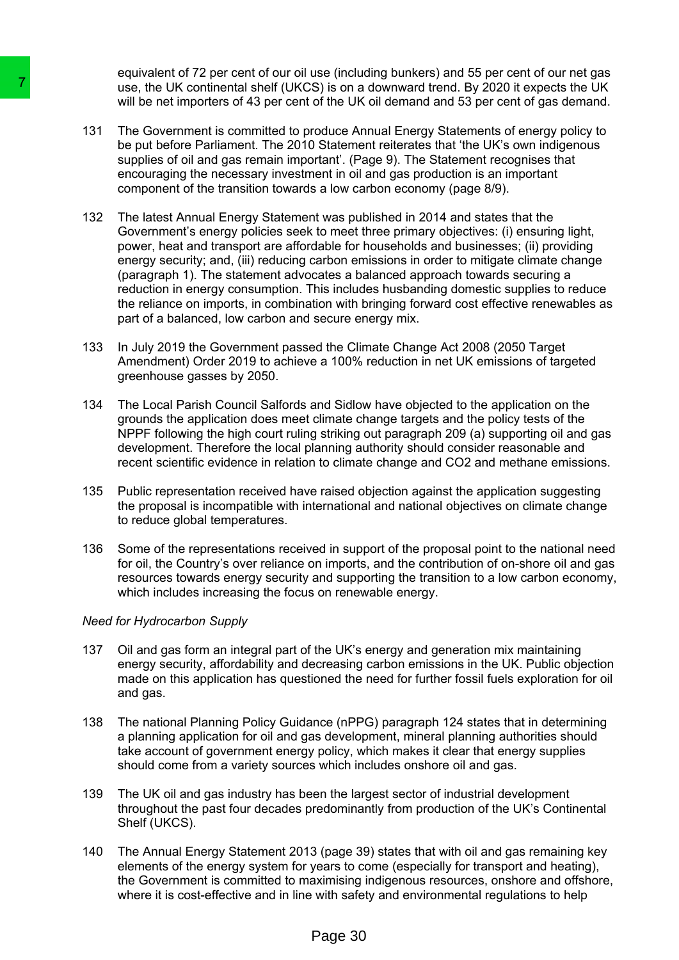equivalent of 72 per cent of our oil use (including bunkers) and 55 per cent of our net gas use, the UK continental shelf (UKCS) is on a downward trend. By 2020 it expects the UK will be net importers of 43 per cent of the UK oil demand and 53 per cent of gas demand.

- 131 The Government is committed to produce Annual Energy Statements of energy policy to be put before Parliament. The 2010 Statement reiterates that 'the UK's own indigenous supplies of oil and gas remain important'. (Page 9). The Statement recognises that encouraging the necessary investment in oil and gas production is an important component of the transition towards a low carbon economy (page 8/9).
- 132 The latest Annual Energy Statement was published in 2014 and states that the Government's energy policies seek to meet three primary objectives: (i) ensuring light, power, heat and transport are affordable for households and businesses; (ii) providing energy security; and, (iii) reducing carbon emissions in order to mitigate climate change (paragraph 1). The statement advocates a balanced approach towards securing a reduction in energy consumption. This includes husbanding domestic supplies to reduce the reliance on imports, in combination with bringing forward cost effective renewables as part of a balanced, low carbon and secure energy mix. The UK confinential shelf (UKCS) is on a<br>sign, the libe to the methanolic shelf (UKCS) is on a<br>the net importers of 43 per cent of the UK<br>be put be net importers of 43 per cent of the UK<br>encouging the necessary investment.
	- 133 In July 2019 the Government passed the Climate Change Act 2008 (2050 Target Amendment) Order 2019 to achieve a 100% reduction in net UK emissions of targeted greenhouse gasses by 2050.
	- 134 The Local Parish Council Salfords and Sidlow have objected to the application on the grounds the application does meet climate change targets and the policy tests of the NPPF following the high court ruling striking out paragraph 209 (a) supporting oil and gas development. Therefore the local planning authority should consider reasonable and recent scientific evidence in relation to climate change and CO2 and methane emissions.
	- 135 Public representation received have raised objection against the application suggesting the proposal is incompatible with international and national objectives on climate change to reduce global temperatures.
	- 136 Some of the representations received in support of the proposal point to the national need for oil, the Country's over reliance on imports, and the contribution of on-shore oil and gas resources towards energy security and supporting the transition to a low carbon economy, which includes increasing the focus on renewable energy.

#### *Need for Hydrocarbon Supply*

- 137 Oil and gas form an integral part of the UK's energy and generation mix maintaining energy security, affordability and decreasing carbon emissions in the UK. Public objection made on this application has questioned the need for further fossil fuels exploration for oil and gas.
- 138 The national Planning Policy Guidance (nPPG) paragraph 124 states that in determining a planning application for oil and gas development, mineral planning authorities should take account of government energy policy, which makes it clear that energy supplies should come from a variety sources which includes onshore oil and gas.
- 139 The UK oil and gas industry has been the largest sector of industrial development throughout the past four decades predominantly from production of the UK's Continental Shelf (UKCS).
- 140 The Annual Energy Statement 2013 (page 39) states that with oil and gas remaining key elements of the energy system for years to come (especially for transport and heating), the Government is committed to maximising indigenous resources, onshore and offshore, where it is cost-effective and in line with safety and environmental regulations to help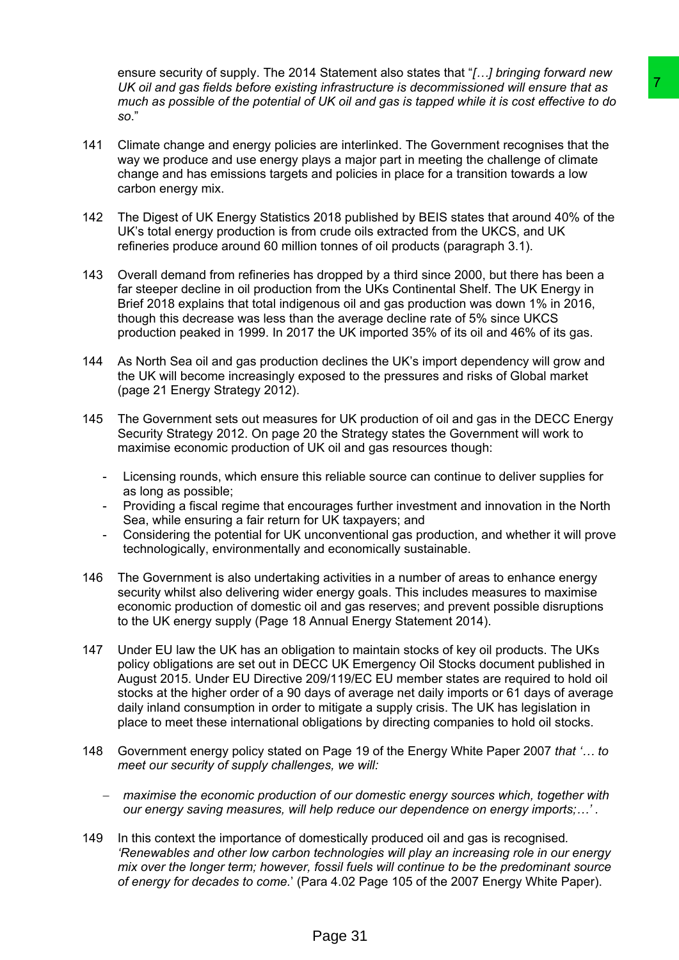ensure security of supply. The 2014 Statement also states that "*[…] bringing forward new UK oil and gas fields before existing infrastructure is decommissioned will ensure that as* much as possible of the potential of UK oil and gas is tapped while it is cost effective to do *so*."

- 141 Climate change and energy policies are interlinked. The Government recognises that the way we produce and use energy plays a major part in meeting the challenge of climate change and has emissions targets and policies in place for a transition towards a low carbon energy mix.
- 142 The Digest of UK Energy Statistics 2018 published by BEIS states that around 40% of the UK's total energy production is from crude oils extracted from the UKCS, and UK refineries produce around 60 million tonnes of oil products (paragraph 3.1).
- 143 Overall demand from refineries has dropped by a third since 2000, but there has been a far steeper decline in oil production from the UKs Continental Shelf. The UK Energy in Brief 2018 explains that total indigenous oil and gas production was down 1% in 2016, though this decrease was less than the average decline rate of 5% since UKCS production peaked in 1999. In 2017 the UK imported 35% of its oil and 46% of its gas.
- 144 As North Sea oil and gas production declines the UK's import dependency will grow and the UK will become increasingly exposed to the pressures and risks of Global market (page 21 Energy Strategy 2012).
- 145 The Government sets out measures for UK production of oil and gas in the DECC Energy Security Strategy 2012. On page 20 the Strategy states the Government will work to maximise economic production of UK oil and gas resources though:
	- Licensing rounds, which ensure this reliable source can continue to deliver supplies for as long as possible;
	- Providing a fiscal regime that encourages further investment and innovation in the North Sea, while ensuring a fair return for UK taxpayers; and
	- Considering the potential for UK unconventional gas production, and whether it will prove technologically, environmentally and economically sustainable.
- 146 The Government is also undertaking activities in a number of areas to enhance energy security whilst also delivering wider energy goals. This includes measures to maximise economic production of domestic oil and gas reserves; and prevent possible disruptions to the UK energy supply (Page 18 Annual Energy Statement 2014).
- 147 Under EU law the UK has an obligation to maintain stocks of key oil products. The UKs policy obligations are set out in DECC UK Emergency Oil Stocks document published in August 2015. Under EU Directive 209/119/EC EU member states are required to hold oil stocks at the higher order of a 90 days of average net daily imports or 61 days of average daily inland consumption in order to mitigate a supply crisis. The UK has legislation in place to meet these international obligations by directing companies to hold oil stocks. is intrastructure is decommissioned will ensure that as<br>
YUK oil and gas is tapped while it is cost effective to do<br>
YUK oil and gas is tapped while it is cost effective to do<br>
as are interlimited. The Government recognies
- 148 Government energy policy stated on Page 19 of the Energy White Paper 2007 *that '… to meet our security of supply challenges, we will:*
	- *maximise the economic production of our domestic energy sources which, together with our energy saving measures, will help reduce our dependence on energy imports;…' .*
- 149 In this context the importance of domestically produced oil and gas is recognised*. 'Renewables and other low carbon technologies will play an increasing role in our energy mix over the longer term; however, fossil fuels will continue to be the predominant source of energy for decades to come.*' (Para 4.02 Page 105 of the 2007 Energy White Paper).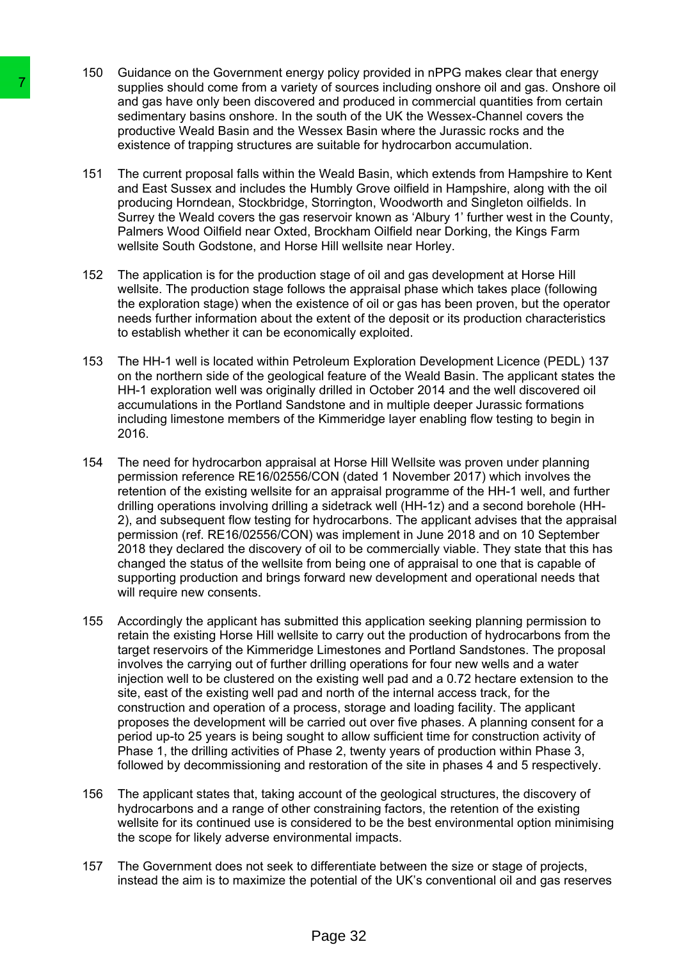- 150 Guidance on the Government energy policy provided in nPPG makes clear that energy supplies should come from a variety of sources including onshore oil and gas. Onshore oil and gas have only been discovered and produced in commercial quantities from certain sedimentary basins onshore. In the south of the UK the Wessex-Channel covers the productive Weald Basin and the Wessex Basin where the Jurassic rocks and the existence of trapping structures are suitable for hydrocarbon accumulation.
- 151 The current proposal falls within the Weald Basin, which extends from Hampshire to Kent and East Sussex and includes the Humbly Grove oilfield in Hampshire, along with the oil producing Horndean, Stockbridge, Storrington, Woodworth and Singleton oilfields. In Surrey the Weald covers the gas reservoir known as 'Albury 1' further west in the County, Palmers Wood Oilfield near Oxted, Brockham Oilfield near Dorking, the Kings Farm wellsite South Godstone, and Horse Hill wellsite near Horley.
- 152 The application is for the production stage of oil and gas development at Horse Hill wellsite. The production stage follows the appraisal phase which takes place (following the exploration stage) when the existence of oil or gas has been proven, but the operator needs further information about the extent of the deposit or its production characteristics to establish whether it can be economically exploited.
- 153 The HH-1 well is located within Petroleum Exploration Development Licence (PEDL) 137 on the northern side of the geological feature of the Weald Basin. The applicant states the HH-1 exploration well was originally drilled in October 2014 and the well discovered oil accumulations in the Portland Sandstone and in multiple deeper Jurassic formations including limestone members of the Kimmeridge layer enabling flow testing to begin in 2016.
- 154 The need for hydrocarbon appraisal at Horse Hill Wellsite was proven under planning permission reference RE16/02556/CON (dated 1 November 2017) which involves the retention of the existing wellsite for an appraisal programme of the HH-1 well, and further drilling operations involving drilling a sidetrack well (HH-1z) and a second borehole (HH-2), and subsequent flow testing for hydrocarbons. The applicant advises that the appraisal permission (ref. RE16/02556/CON) was implement in June 2018 and on 10 September 2018 they declared the discovery of oil to be commercially viable. They state that this has changed the status of the wellsite from being one of appraisal to one that is capable of supporting production and brings forward new development and operational needs that will require new consents.
- 155 Accordingly the applicant has submitted this application seeking planning permission to retain the existing Horse Hill wellsite to carry out the production of hydrocarbons from the target reservoirs of the Kimmeridge Limestones and Portland Sandstones. The proposal involves the carrying out of further drilling operations for four new wells and a water injection well to be clustered on the existing well pad and a 0.72 hectare extension to the site, east of the existing well pad and north of the internal access track, for the construction and operation of a process, storage and loading facility. The applicant proposes the development will be carried out over five phases. A planning consent for a period up-to 25 years is being sought to allow sufficient time for construction activity of Phase 1, the drilling activities of Phase 2, twenty years of production within Phase 3, followed by decommissioning and restoration of the site in phases 4 and 5 respectively. The sampling should one from a variety of solution and the sample should one form as variety of solution and gas have only been discovered and processione of trapping structures are suitable productive Weald Basin and the
	- 156 The applicant states that, taking account of the geological structures, the discovery of hydrocarbons and a range of other constraining factors, the retention of the existing wellsite for its continued use is considered to be the best environmental option minimising the scope for likely adverse environmental impacts.
	- 157 The Government does not seek to differentiate between the size or stage of projects, instead the aim is to maximize the potential of the UK's conventional oil and gas reserves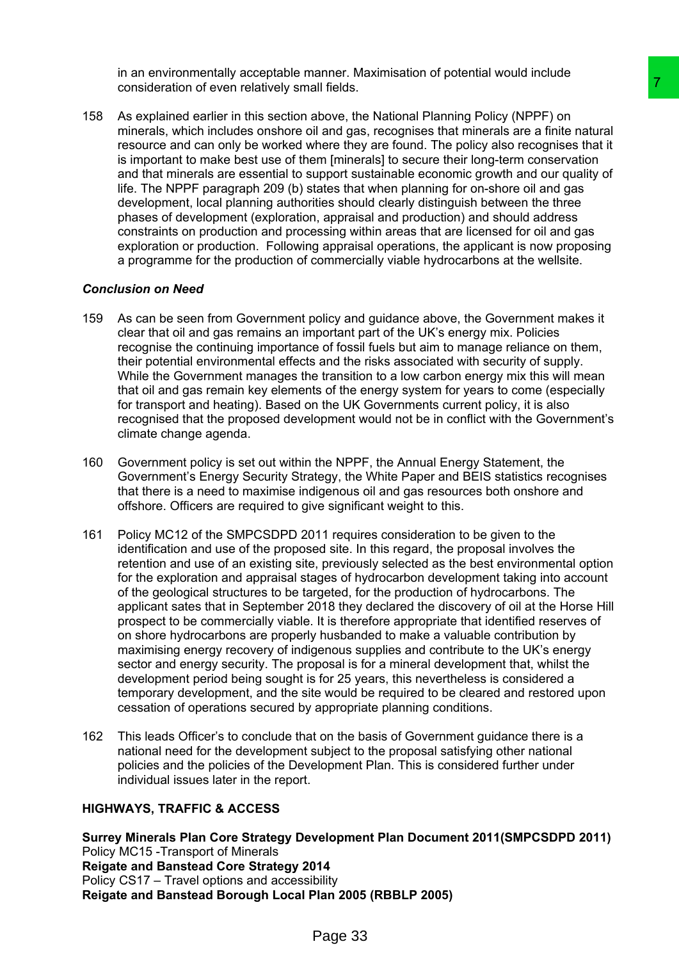in an environmentally acceptable manner. Maximisation of potential would include consideration of even relatively small fields.

158 As explained earlier in this section above, the National Planning Policy (NPPF) on minerals, which includes onshore oil and gas, recognises that minerals are a finite natural resource and can only be worked where they are found. The policy also recognises that it is important to make best use of them [minerals] to secure their long-term conservation and that minerals are essential to support sustainable economic growth and our quality of life. The NPPF paragraph 209 (b) states that when planning for on-shore oil and gas development, local planning authorities should clearly distinguish between the three phases of development (exploration, appraisal and production) and should address constraints on production and processing within areas that are licensed for oil and gas exploration or production. Following appraisal operations, the applicant is now proposing a programme for the production of commercially viable hydrocarbons at the wellsite.

#### *Conclusion on Need*

- 159 As can be seen from Government policy and guidance above, the Government makes it clear that oil and gas remains an important part of the UK's energy mix. Policies recognise the continuing importance of fossil fuels but aim to manage reliance on them, their potential environmental effects and the risks associated with security of supply. While the Government manages the transition to a low carbon energy mix this will mean that oil and gas remain key elements of the energy system for years to come (especially for transport and heating). Based on the UK Governments current policy, it is also recognised that the proposed development would not be in conflict with the Government's climate change agenda.
- 160 Government policy is set out within the NPPF, the Annual Energy Statement, the Government's Energy Security Strategy, the White Paper and BEIS statistics recognises that there is a need to maximise indigenous oil and gas resources both onshore and offshore. Officers are required to give significant weight to this.
- 161 Policy MC12 of the SMPCSDPD 2011 requires consideration to be given to the identification and use of the proposed site. In this regard, the proposal involves the retention and use of an existing site, previously selected as the best environmental option for the exploration and appraisal stages of hydrocarbon development taking into account of the geological structures to be targeted, for the production of hydrocarbons. The applicant sates that in September 2018 they declared the discovery of oil at the Horse Hill prospect to be commercially viable. It is therefore appropriate that identified reserves of on shore hydrocarbons are properly husbanded to make a valuable contribution by maximising energy recovery of indigenous supplies and contribute to the UK's energy sector and energy security. The proposal is for a mineral development that, whilst the development period being sought is for 25 years, this nevertheless is considered a temporary development, and the site would be required to be cleared and restored upon cessation of operations secured by appropriate planning conditions. and fields.<br>
and fields.<br>
and page, the National Planning Policy (NPPF) on<br>
ali and gas, recognises that mineratis are a finite natural<br>
there they are found. The policy also recognises that it was moreover<br>
there there ar
- 162 This leads Officer's to conclude that on the basis of Government guidance there is a national need for the development subject to the proposal satisfying other national policies and the policies of the Development Plan. This is considered further under individual issues later in the report.

# **HIGHWAYS, TRAFFIC & ACCESS**

**Surrey Minerals Plan Core Strategy Development Plan Document 2011(SMPCSDPD 2011)** Policy MC15 -Transport of Minerals **Reigate and Banstead Core Strategy 2014** Policy CS17 – Travel options and accessibility **Reigate and Banstead Borough Local Plan 2005 (RBBLP 2005)**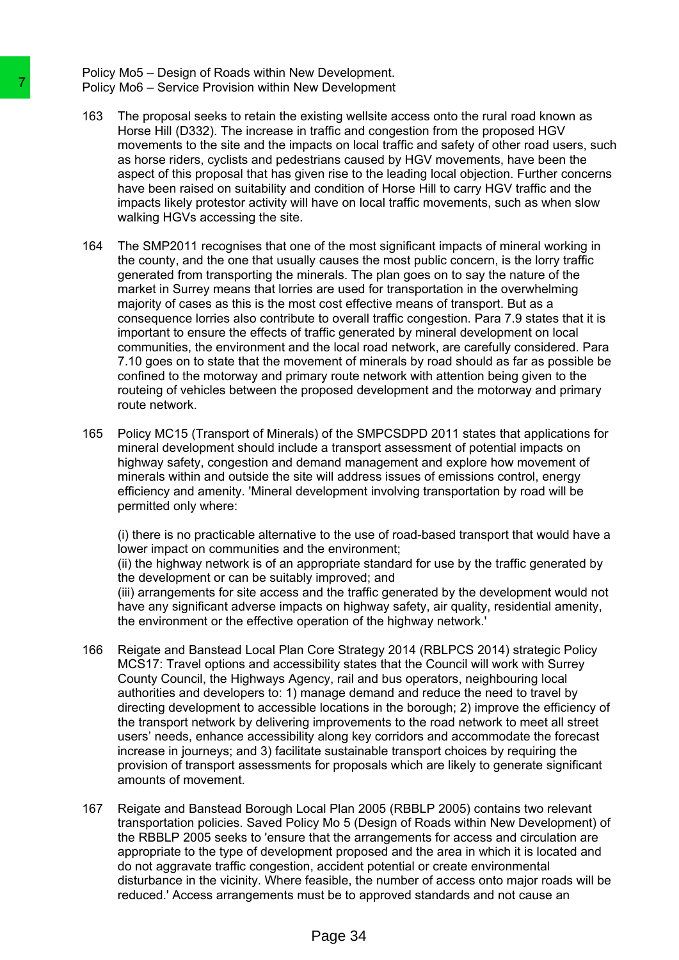Policy Mo5 – Design of Roads within New Development. Policy Mo6 – Service Provision within New Development

- 163 The proposal seeks to retain the existing wellsite access onto the rural road known as Horse Hill (D332). The increase in traffic and congestion from the proposed HGV movements to the site and the impacts on local traffic and safety of other road users, such as horse riders, cyclists and pedestrians caused by HGV movements, have been the aspect of this proposal that has given rise to the leading local objection. Further concerns have been raised on suitability and condition of Horse Hill to carry HGV traffic and the impacts likely protestor activity will have on local traffic movements, such as when slow walking HGVs accessing the site.
- 164 The SMP2011 recognises that one of the most significant impacts of mineral working in the county, and the one that usually causes the most public concern, is the lorry traffic generated from transporting the minerals. The plan goes on to say the nature of the market in Surrey means that lorries are used for transportation in the overwhelming majority of cases as this is the most cost effective means of transport. But as a consequence lorries also contribute to overall traffic congestion. Para 7.9 states that it is important to ensure the effects of traffic generated by mineral development on local communities, the environment and the local road network, are carefully considered. Para 7.10 goes on to state that the movement of minerals by road should as far as possible be confined to the motorway and primary route network with attention being given to the routeing of vehicles between the proposed development and the motorway and primary route network. Policy Mo6 – Service Provision within New Develoption (163). The proposal seeks to reatin the existing well more than the proposal service of this proposal service is the simple movement is to the simple and movement is th
	- 165 Policy MC15 (Transport of Minerals) of the SMPCSDPD 2011 states that applications for mineral development should include a transport assessment of potential impacts on highway safety, congestion and demand management and explore how movement of minerals within and outside the site will address issues of emissions control, energy efficiency and amenity. 'Mineral development involving transportation by road will be permitted only where:

(i) there is no practicable alternative to the use of road-based transport that would have a lower impact on communities and the environment;

(ii) the highway network is of an appropriate standard for use by the traffic generated by the development or can be suitably improved; and

(iii) arrangements for site access and the traffic generated by the development would not have any significant adverse impacts on highway safety, air quality, residential amenity, the environment or the effective operation of the highway network.'

- 166 Reigate and Banstead Local Plan Core Strategy 2014 (RBLPCS 2014) strategic Policy MCS17: Travel options and accessibility states that the Council will work with Surrey County Council, the Highways Agency, rail and bus operators, neighbouring local authorities and developers to: 1) manage demand and reduce the need to travel by directing development to accessible locations in the borough; 2) improve the efficiency of the transport network by delivering improvements to the road network to meet all street users' needs, enhance accessibility along key corridors and accommodate the forecast increase in journeys; and 3) facilitate sustainable transport choices by requiring the provision of transport assessments for proposals which are likely to generate significant amounts of movement.
- 167 Reigate and Banstead Borough Local Plan 2005 (RBBLP 2005) contains two relevant transportation policies. Saved Policy Mo 5 (Design of Roads within New Development) of the RBBLP 2005 seeks to 'ensure that the arrangements for access and circulation are appropriate to the type of development proposed and the area in which it is located and do not aggravate traffic congestion, accident potential or create environmental disturbance in the vicinity. Where feasible, the number of access onto major roads will be reduced.' Access arrangements must be to approved standards and not cause an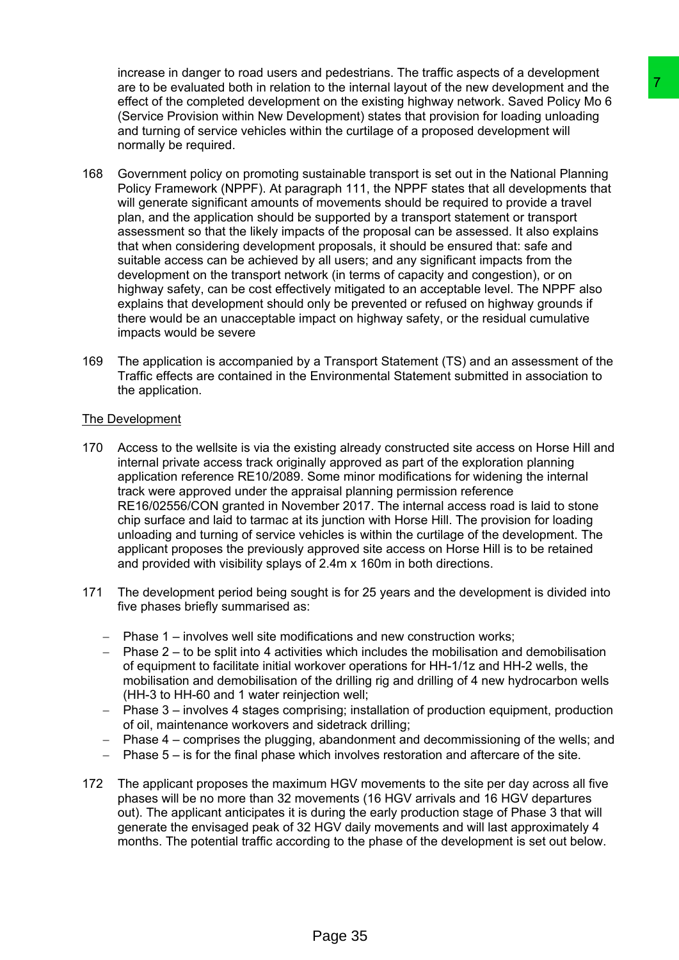increase in danger to road users and pedestrians. The traffic aspects of a development are to be evaluated both in relation to the internal layout of the new development and the effect of the completed development on the existing highway network. Saved Policy Mo 6 (Service Provision within New Development) states that provision for loading unloading and turning of service vehicles within the curtilage of a proposed development will normally be required.

- 168 Government policy on promoting sustainable transport is set out in the National Planning Policy Framework (NPPF). At paragraph 111, the NPPF states that all developments that will generate significant amounts of movements should be required to provide a travel plan, and the application should be supported by a transport statement or transport assessment so that the likely impacts of the proposal can be assessed. It also explains that when considering development proposals, it should be ensured that: safe and suitable access can be achieved by all users; and any significant impacts from the development on the transport network (in terms of capacity and congestion), or on highway safety, can be cost effectively mitigated to an acceptable level. The NPPF also explains that development should only be prevented or refused on highway grounds if there would be an unacceptable impact on highway safety, or the residual cumulative impacts would be severe in the internal layout of the new development and the<br>in the internal layout of the new development and the<br>into the netating highway network. Saved Policy Mo 6<br>isoloment) states that provision for loading unloading<br>blomen
- 169 The application is accompanied by a Transport Statement (TS) and an assessment of the Traffic effects are contained in the Environmental Statement submitted in association to the application.

# The Development

- 170 Access to the wellsite is via the existing already constructed site access on Horse Hill and internal private access track originally approved as part of the exploration planning application reference RE10/2089. Some minor modifications for widening the internal track were approved under the appraisal planning permission reference RE16/02556/CON granted in November 2017. The internal access road is laid to stone chip surface and laid to tarmac at its junction with Horse Hill. The provision for loading unloading and turning of service vehicles is within the curtilage of the development. The applicant proposes the previously approved site access on Horse Hill is to be retained and provided with visibility splays of 2.4m x 160m in both directions.
- 171 The development period being sought is for 25 years and the development is divided into five phases briefly summarised as:
	- $-$  Phase 1 involves well site modifications and new construction works;
	- $-$  Phase 2 to be split into 4 activities which includes the mobilisation and demobilisation of equipment to facilitate initial workover operations for HH-1/1z and HH-2 wells, the mobilisation and demobilisation of the drilling rig and drilling of 4 new hydrocarbon wells (HH-3 to HH-60 and 1 water reinjection well;
	- Phase 3 involves 4 stages comprising; installation of production equipment, production of oil, maintenance workovers and sidetrack drilling;
	- Phase 4 comprises the plugging, abandonment and decommissioning of the wells; and
	- $-$  Phase 5 is for the final phase which involves restoration and aftercare of the site.
- 172 The applicant proposes the maximum HGV movements to the site per day across all five phases will be no more than 32 movements (16 HGV arrivals and 16 HGV departures out). The applicant anticipates it is during the early production stage of Phase 3 that will generate the envisaged peak of 32 HGV daily movements and will last approximately 4 months. The potential traffic according to the phase of the development is set out below.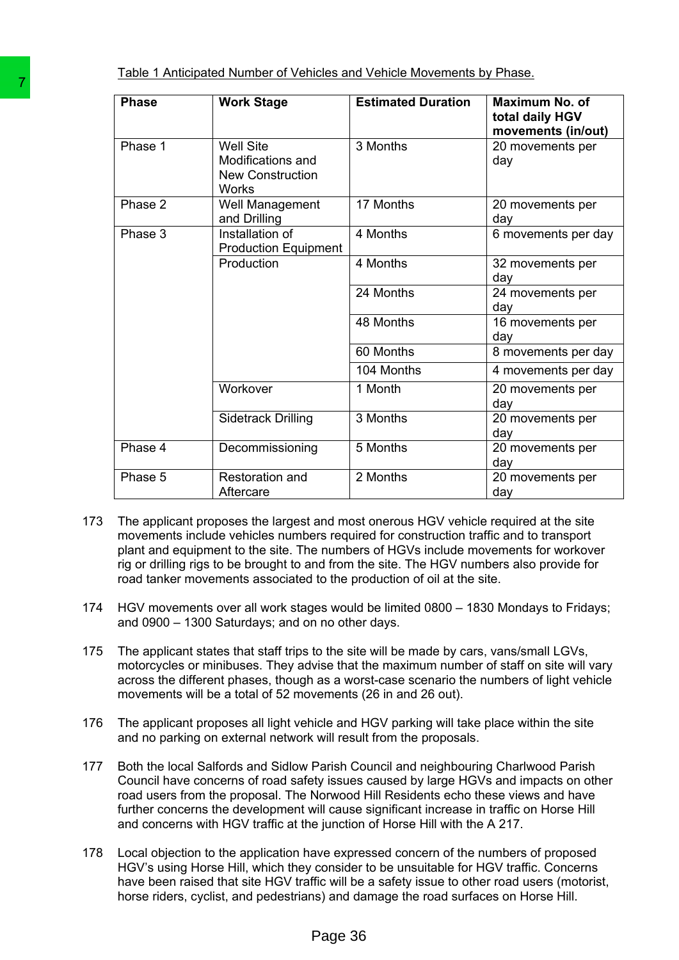Table 1 Anticipated Number of Vehicles and Vehicle Movements by Phase.

|     | <b>Phase</b>                                                                                                                                                                                                                                                                                                                                                                                                                                                                                                                                                                                                                                                                                                                                                                                                                                                                                                                                                                                                           | <b>Work Stage</b>                                                                                                                                                                                                                                                                                                                                                                                                                              | <b>Estimated Duration</b> | <b>Maximum No. of</b><br>total daily HGV<br>movements (in/out) |
|-----|------------------------------------------------------------------------------------------------------------------------------------------------------------------------------------------------------------------------------------------------------------------------------------------------------------------------------------------------------------------------------------------------------------------------------------------------------------------------------------------------------------------------------------------------------------------------------------------------------------------------------------------------------------------------------------------------------------------------------------------------------------------------------------------------------------------------------------------------------------------------------------------------------------------------------------------------------------------------------------------------------------------------|------------------------------------------------------------------------------------------------------------------------------------------------------------------------------------------------------------------------------------------------------------------------------------------------------------------------------------------------------------------------------------------------------------------------------------------------|---------------------------|----------------------------------------------------------------|
|     | Phase 1                                                                                                                                                                                                                                                                                                                                                                                                                                                                                                                                                                                                                                                                                                                                                                                                                                                                                                                                                                                                                | <b>Well Site</b><br>Modifications and<br><b>New Construction</b><br>Works                                                                                                                                                                                                                                                                                                                                                                      | 3 Months                  | 20 movements per<br>day                                        |
|     | Phase 2                                                                                                                                                                                                                                                                                                                                                                                                                                                                                                                                                                                                                                                                                                                                                                                                                                                                                                                                                                                                                | Well Management<br>and Drilling                                                                                                                                                                                                                                                                                                                                                                                                                | 17 Months                 | 20 movements per<br>day                                        |
|     | Phase 3                                                                                                                                                                                                                                                                                                                                                                                                                                                                                                                                                                                                                                                                                                                                                                                                                                                                                                                                                                                                                | Installation of<br><b>Production Equipment</b>                                                                                                                                                                                                                                                                                                                                                                                                 | 4 Months                  | 6 movements per day                                            |
|     |                                                                                                                                                                                                                                                                                                                                                                                                                                                                                                                                                                                                                                                                                                                                                                                                                                                                                                                                                                                                                        | Production                                                                                                                                                                                                                                                                                                                                                                                                                                     | 4 Months                  | 32 movements per<br>day                                        |
|     |                                                                                                                                                                                                                                                                                                                                                                                                                                                                                                                                                                                                                                                                                                                                                                                                                                                                                                                                                                                                                        |                                                                                                                                                                                                                                                                                                                                                                                                                                                | 24 Months                 | 24 movements per<br>day                                        |
|     |                                                                                                                                                                                                                                                                                                                                                                                                                                                                                                                                                                                                                                                                                                                                                                                                                                                                                                                                                                                                                        |                                                                                                                                                                                                                                                                                                                                                                                                                                                | 48 Months                 | 16 movements per<br>day                                        |
|     |                                                                                                                                                                                                                                                                                                                                                                                                                                                                                                                                                                                                                                                                                                                                                                                                                                                                                                                                                                                                                        |                                                                                                                                                                                                                                                                                                                                                                                                                                                | 60 Months                 | 8 movements per day                                            |
|     |                                                                                                                                                                                                                                                                                                                                                                                                                                                                                                                                                                                                                                                                                                                                                                                                                                                                                                                                                                                                                        | Workover                                                                                                                                                                                                                                                                                                                                                                                                                                       | 104 Months<br>1 Month     | 4 movements per day                                            |
|     |                                                                                                                                                                                                                                                                                                                                                                                                                                                                                                                                                                                                                                                                                                                                                                                                                                                                                                                                                                                                                        | <b>Sidetrack Drilling</b>                                                                                                                                                                                                                                                                                                                                                                                                                      | 3 Months                  | 20 movements per<br>day<br>20 movements per                    |
|     |                                                                                                                                                                                                                                                                                                                                                                                                                                                                                                                                                                                                                                                                                                                                                                                                                                                                                                                                                                                                                        |                                                                                                                                                                                                                                                                                                                                                                                                                                                |                           | day                                                            |
|     | Phase 4                                                                                                                                                                                                                                                                                                                                                                                                                                                                                                                                                                                                                                                                                                                                                                                                                                                                                                                                                                                                                | Decommissioning                                                                                                                                                                                                                                                                                                                                                                                                                                | 5 Months                  | 20 movements per<br>day                                        |
|     | Phase 5                                                                                                                                                                                                                                                                                                                                                                                                                                                                                                                                                                                                                                                                                                                                                                                                                                                                                                                                                                                                                | Restoration and<br>Aftercare                                                                                                                                                                                                                                                                                                                                                                                                                   | 2 Months                  | 20 movements per<br>day                                        |
| 174 | movements include vehicles numbers required for construction traffic and to transport<br>plant and equipment to the site. The numbers of HGVs include movements for workover<br>rig or drilling rigs to be brought to and from the site. The HGV numbers also provide for<br>road tanker movements associated to the production of oil at the site.<br>HGV movements over all work stages would be limited 0800 - 1830 Mondays to Fridays;<br>and 0900 - 1300 Saturdays; and on no other days.<br>The applicant states that staff trips to the site will be made by cars, vans/small LGVs,<br>motorcycles or minibuses. They advise that the maximum number of staff on site will vary<br>across the different phases, though as a worst-case scenario the numbers of light vehicle<br>movements will be a total of 52 movements (26 in and 26 out).<br>The applicant proposes all light vehicle and HGV parking will take place within the site<br>and no parking on external network will result from the proposals. |                                                                                                                                                                                                                                                                                                                                                                                                                                                |                           |                                                                |
| 175 |                                                                                                                                                                                                                                                                                                                                                                                                                                                                                                                                                                                                                                                                                                                                                                                                                                                                                                                                                                                                                        |                                                                                                                                                                                                                                                                                                                                                                                                                                                |                           |                                                                |
| 176 |                                                                                                                                                                                                                                                                                                                                                                                                                                                                                                                                                                                                                                                                                                                                                                                                                                                                                                                                                                                                                        |                                                                                                                                                                                                                                                                                                                                                                                                                                                |                           |                                                                |
| 177 |                                                                                                                                                                                                                                                                                                                                                                                                                                                                                                                                                                                                                                                                                                                                                                                                                                                                                                                                                                                                                        | Both the local Salfords and Sidlow Parish Council and neighbouring Charlwood Parish<br>Council have concerns of road safety issues caused by large HGVs and impacts on other<br>road users from the proposal. The Norwood Hill Residents echo these views and have<br>further concerns the development will cause significant increase in traffic on Horse Hill<br>and concerns with HGV traffic at the junction of Horse Hill with the A 217. |                           |                                                                |
| 178 | Local objection to the application have expressed concern of the numbers of proposed<br>HGV's using Horse Hill, which they consider to be unsuitable for HGV traffic. Concerns<br>have been raised that site HGV traffic will be a safety issue to other road users (motorist,<br>horse riders, cyclist, and pedestrians) and damage the road surfaces on Horse Hill.                                                                                                                                                                                                                                                                                                                                                                                                                                                                                                                                                                                                                                                  |                                                                                                                                                                                                                                                                                                                                                                                                                                                |                           |                                                                |
|     |                                                                                                                                                                                                                                                                                                                                                                                                                                                                                                                                                                                                                                                                                                                                                                                                                                                                                                                                                                                                                        | Page 36                                                                                                                                                                                                                                                                                                                                                                                                                                        |                           |                                                                |

- 173 The applicant proposes the largest and most onerous HGV vehicle required at the site movements include vehicles numbers required for construction traffic and to transport plant and equipment to the site. The numbers of HGVs include movements for workover rig or drilling rigs to be brought to and from the site. The HGV numbers also provide for road tanker movements associated to the production of oil at the site.
- 174 HGV movements over all work stages would be limited 0800 1830 Mondays to Fridays; and 0900 – 1300 Saturdays; and on no other days.
- 175 The applicant states that staff trips to the site will be made by cars, vans/small LGVs, motorcycles or minibuses. They advise that the maximum number of staff on site will vary across the different phases, though as a worst-case scenario the numbers of light vehicle movements will be a total of 52 movements (26 in and 26 out).
- 176 The applicant proposes all light vehicle and HGV parking will take place within the site and no parking on external network will result from the proposals.
- 177 Both the local Salfords and Sidlow Parish Council and neighbouring Charlwood Parish Council have concerns of road safety issues caused by large HGVs and impacts on other road users from the proposal. The Norwood Hill Residents echo these views and have further concerns the development will cause significant increase in traffic on Horse Hill and concerns with HGV traffic at the junction of Horse Hill with the A 217.
- 178 Local objection to the application have expressed concern of the numbers of proposed HGV's using Horse Hill, which they consider to be unsuitable for HGV traffic. Concerns have been raised that site HGV traffic will be a safety issue to other road users (motorist, horse riders, cyclist, and pedestrians) and damage the road surfaces on Horse Hill.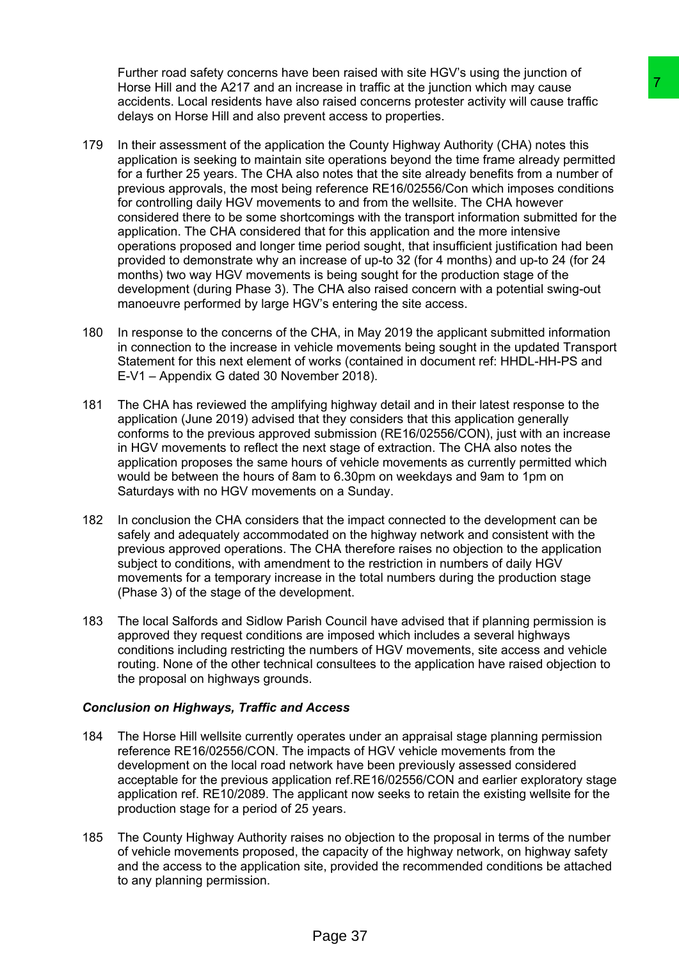Further road safety concerns have been raised with site HGV's using the junction of Horse Hill and the A217 and an increase in traffic at the junction which may cause accidents. Local residents have also raised concerns protester activity will cause traffic delays on Horse Hill and also prevent access to properties.

- 179 In their assessment of the application the County Highway Authority (CHA) notes this application is seeking to maintain site operations beyond the time frame already permitted for a further 25 years. The CHA also notes that the site already benefits from a number of previous approvals, the most being reference RE16/02556/Con which imposes conditions for controlling daily HGV movements to and from the wellsite. The CHA however considered there to be some shortcomings with the transport information submitted for the application. The CHA considered that for this application and the more intensive operations proposed and longer time period sought, that insufficient justification had been provided to demonstrate why an increase of up-to 32 (for 4 months) and up-to 24 (for 24 months) two way HGV movements is being sought for the production stage of the development (during Phase 3). The CHA also raised concern with a potential swing-out manoeuvre performed by large HGV's entering the site access. rease in traffic at the junction which may cause<br>or asset in raffic at the junction which may cause to meast concerns protester activity will cause to first<br>int access to properties.<br>The County Highway Authority (CHA) note
- 180 In response to the concerns of the CHA, in May 2019 the applicant submitted information in connection to the increase in vehicle movements being sought in the updated Transport Statement for this next element of works (contained in document ref: HHDL-HH-PS and E-V1 – Appendix G dated 30 November 2018).
- 181 The CHA has reviewed the amplifying highway detail and in their latest response to the application (June 2019) advised that they considers that this application generally conforms to the previous approved submission (RE16/02556/CON), just with an increase in HGV movements to reflect the next stage of extraction. The CHA also notes the application proposes the same hours of vehicle movements as currently permitted which would be between the hours of 8am to 6.30pm on weekdays and 9am to 1pm on Saturdays with no HGV movements on a Sunday.
- 182 In conclusion the CHA considers that the impact connected to the development can be safely and adequately accommodated on the highway network and consistent with the previous approved operations. The CHA therefore raises no objection to the application subject to conditions, with amendment to the restriction in numbers of daily HGV movements for a temporary increase in the total numbers during the production stage (Phase 3) of the stage of the development.
- 183 The local Salfords and Sidlow Parish Council have advised that if planning permission is approved they request conditions are imposed which includes a several highways conditions including restricting the numbers of HGV movements, site access and vehicle routing. None of the other technical consultees to the application have raised objection to the proposal on highways grounds.

# *Conclusion on Highways, Traffic and Access*

- 184 The Horse Hill wellsite currently operates under an appraisal stage planning permission reference RE16/02556/CON. The impacts of HGV vehicle movements from the development on the local road network have been previously assessed considered acceptable for the previous application ref.RE16/02556/CON and earlier exploratory stage application ref. RE10/2089. The applicant now seeks to retain the existing wellsite for the production stage for a period of 25 years.
- 185 The County Highway Authority raises no objection to the proposal in terms of the number of vehicle movements proposed, the capacity of the highway network, on highway safety and the access to the application site, provided the recommended conditions be attached to any planning permission.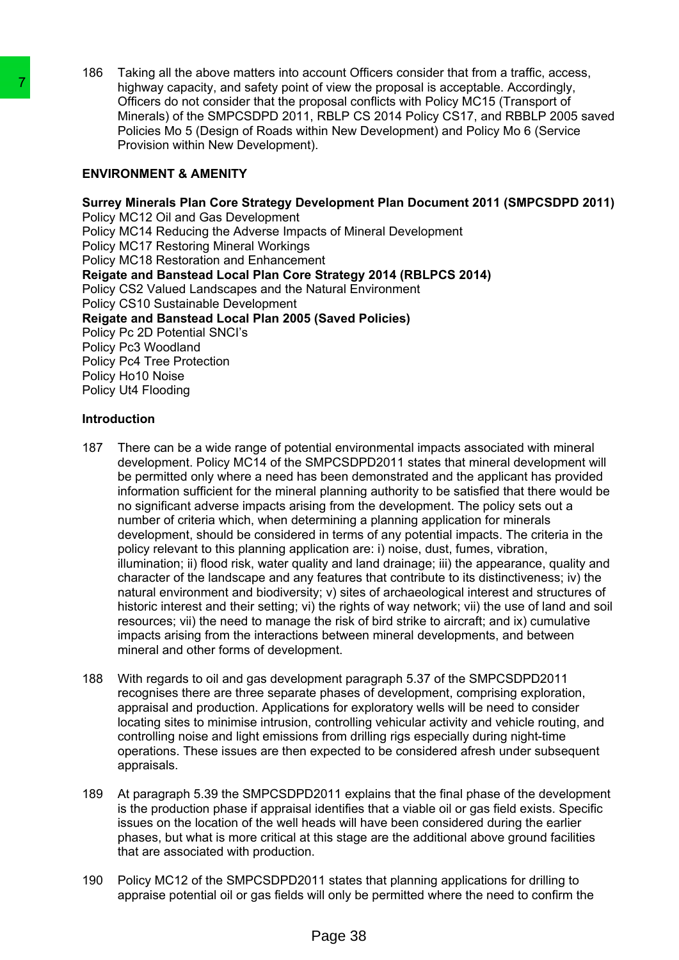186 Taking all the above matters into account Officers consider that from a traffic, access, highway capacity, and safety point of view the proposal is acceptable. Accordingly, Officers do not consider that the proposal conflicts with Policy MC15 (Transport of Minerals) of the SMPCSDPD 2011, RBLP CS 2014 Policy CS17, and RBBLP 2005 saved Policies Mo 5 (Design of Roads within New Development) and Policy Mo 6 (Service Provision within New Development).

# **ENVIRONMENT & AMENITY**

**Surrey Minerals Plan Core Strategy Development Plan Document 2011 (SMPCSDPD 2011)** Policy MC12 Oil and Gas Development Policy MC14 Reducing the Adverse Impacts of Mineral Development Policy MC17 Restoring Mineral Workings Policy MC18 Restoration and Enhancement **Reigate and Banstead Local Plan Core Strategy 2014 (RBLPCS 2014)** Policy CS2 Valued Landscapes and the Natural Environment Policy CS10 Sustainable Development **Reigate and Banstead Local Plan 2005 (Saved Policies)** Policy Pc 2D Potential SNCI's Policy Pc3 Woodland Policy Pc4 Tree Protection Policy Ho10 Noise Policy Ut4 Flooding

# **Introduction**

- 187 There can be a wide range of potential environmental impacts associated with mineral development. Policy MC14 of the SMPCSDPD2011 states that mineral development will be permitted only where a need has been demonstrated and the applicant has provided information sufficient for the mineral planning authority to be satisfied that there would be no significant adverse impacts arising from the development. The policy sets out a number of criteria which, when determining a planning application for minerals development, should be considered in terms of any potential impacts. The criteria in the policy relevant to this planning application are: i) noise, dust, fumes, vibration, illumination; ii) flood risk, water quality and land drainage; iii) the appearance, quality and character of the landscape and any features that contribute to its distinctiveness; iv) the natural environment and biodiversity; v) sites of archaeological interest and structures of historic interest and their setting; vi) the rights of way network; vii) the use of land and soil resources; vii) the need to manage the risk of bird strike to aircraft; and ix) cumulative impacts arising from the interactions between mineral developments, and between mineral and other forms of development. The interacts of the SMP-CSDPD 2011, RBLP profiles that the size to not consider that the proposal completes to not consider that the proposal complete Photonside into SMP-1, RBLP CS-<br>Policies Mo 5 (Design of Roads within
	- 188 With regards to oil and gas development paragraph 5.37 of the SMPCSDPD2011 recognises there are three separate phases of development, comprising exploration, appraisal and production. Applications for exploratory wells will be need to consider locating sites to minimise intrusion, controlling vehicular activity and vehicle routing, and controlling noise and light emissions from drilling rigs especially during night-time operations. These issues are then expected to be considered afresh under subsequent appraisals.
	- 189 At paragraph 5.39 the SMPCSDPD2011 explains that the final phase of the development is the production phase if appraisal identifies that a viable oil or gas field exists. Specific issues on the location of the well heads will have been considered during the earlier phases, but what is more critical at this stage are the additional above ground facilities that are associated with production.
	- 190 Policy MC12 of the SMPCSDPD2011 states that planning applications for drilling to appraise potential oil or gas fields will only be permitted where the need to confirm the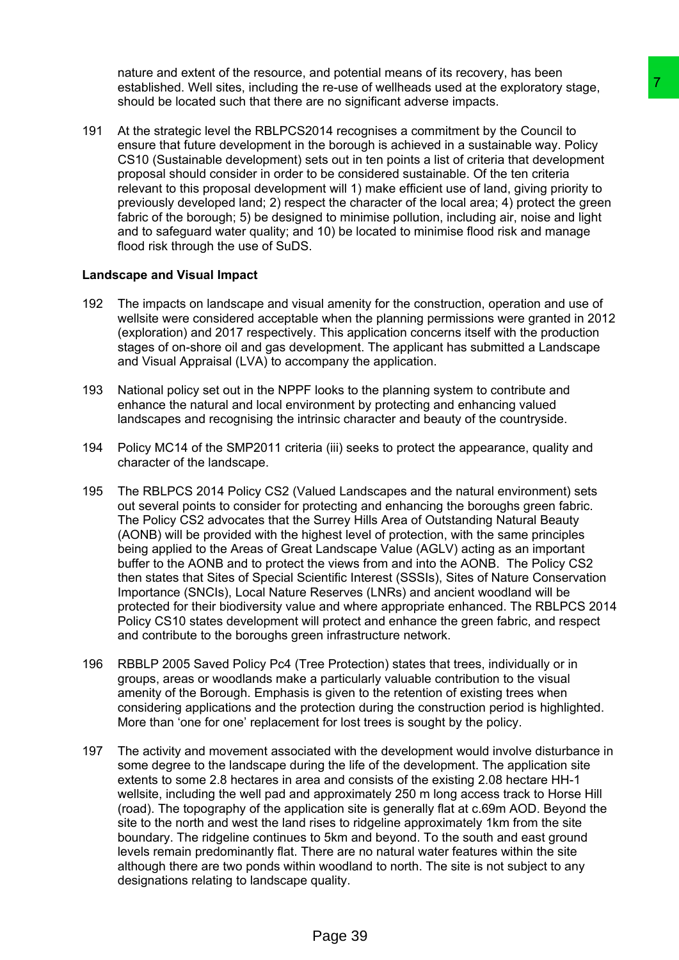nature and extent of the resource, and potential means of its recovery, has been established. Well sites, including the re-use of wellheads used at the exploratory stage, should be located such that there are no significant adverse impacts.

191 At the strategic level the RBLPCS2014 recognises a commitment by the Council to ensure that future development in the borough is achieved in a sustainable way. Policy CS10 (Sustainable development) sets out in ten points a list of criteria that development proposal should consider in order to be considered sustainable. Of the ten criteria relevant to this proposal development will 1) make efficient use of land, giving priority to previously developed land; 2) respect the character of the local area; 4) protect the green fabric of the borough; 5) be designed to minimise pollution, including air, noise and light and to safeguard water quality; and 10) be located to minimise flood risk and manage flood risk through the use of SuDS.

#### **Landscape and Visual Impact**

- 192 The impacts on landscape and visual amenity for the construction, operation and use of wellsite were considered acceptable when the planning permissions were granted in 2012 (exploration) and 2017 respectively. This application concerns itself with the production stages of on-shore oil and gas development. The applicant has submitted a Landscape and Visual Appraisal (LVA) to accompany the application.
- 193 National policy set out in the NPPF looks to the planning system to contribute and enhance the natural and local environment by protecting and enhancing valued landscapes and recognising the intrinsic character and beauty of the countryside.
- 194 Policy MC14 of the SMP2011 criteria (iii) seeks to protect the appearance, quality and character of the landscape.
- 195 The RBLPCS 2014 Policy CS2 (Valued Landscapes and the natural environment) sets out several points to consider for protecting and enhancing the boroughs green fabric. The Policy CS2 advocates that the Surrey Hills Area of Outstanding Natural Beauty (AONB) will be provided with the highest level of protection, with the same principles being applied to the Areas of Great Landscape Value (AGLV) acting as an important buffer to the AONB and to protect the views from and into the AONB. The Policy CS2 then states that Sites of Special Scientific Interest (SSSIs), Sites of Nature Conservation Importance (SNCIs), Local Nature Reserves (LNRs) and ancient woodland will be protected for their biodiversity value and where appropriate enhanced. The RBLPCS 2014 Policy CS10 states development will protect and enhance the green fabric, and respect and contribute to the boroughs green infrastructure network. e re-use of wellineads used at the exploratory stage.<br>
The re-use of wellineads used at the exploratory stage,<br>
the horough is a chief well in a sustainable way. Policy<br>
the borough is a chief well in a sustainable way. Po
- 196 RBBLP 2005 Saved Policy Pc4 (Tree Protection) states that trees, individually or in groups, areas or woodlands make a particularly valuable contribution to the visual amenity of the Borough. Emphasis is given to the retention of existing trees when considering applications and the protection during the construction period is highlighted. More than 'one for one' replacement for lost trees is sought by the policy.
- 197 The activity and movement associated with the development would involve disturbance in some degree to the landscape during the life of the development. The application site extents to some 2.8 hectares in area and consists of the existing 2.08 hectare HH-1 wellsite, including the well pad and approximately 250 m long access track to Horse Hill (road). The topography of the application site is generally flat at c.69m AOD. Beyond the site to the north and west the land rises to ridgeline approximately 1km from the site boundary. The ridgeline continues to 5km and beyond. To the south and east ground levels remain predominantly flat. There are no natural water features within the site although there are two ponds within woodland to north. The site is not subject to any designations relating to landscape quality.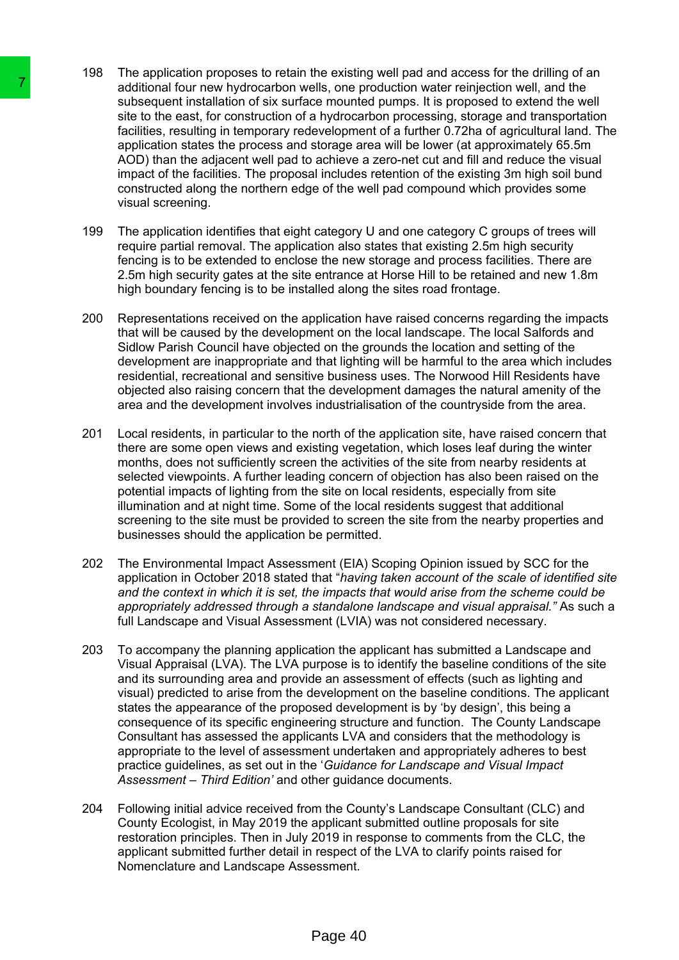- 198 The application proposes to retain the existing well pad and access for the drilling of an additional four new hydrocarbon wells, one production water reinjection well, and the subsequent installation of six surface mounted pumps. It is proposed to extend the well site to the east, for construction of a hydrocarbon processing, storage and transportation facilities, resulting in temporary redevelopment of a further 0.72ha of agricultural land. The application states the process and storage area will be lower (at approximately 65.5m AOD) than the adjacent well pad to achieve a zero-net cut and fill and reduce the visual impact of the facilities. The proposal includes retention of the existing 3m high soil bund constructed along the northern edge of the well pad compound which provides some visual screening.
- 199 The application identifies that eight category U and one category C groups of trees will require partial removal. The application also states that existing 2.5m high security fencing is to be extended to enclose the new storage and process facilities. There are 2.5m high security gates at the site entrance at Horse Hill to be retained and new 1.8m high boundary fencing is to be installed along the sites road frontage.
- 200 Representations received on the application have raised concerns regarding the impacts that will be caused by the development on the local landscape. The local Salfords and Sidlow Parish Council have objected on the grounds the location and setting of the development are inappropriate and that lighting will be harmful to the area which includes residential, recreational and sensitive business uses. The Norwood Hill Residents have objected also raising concern that the development damages the natural amenity of the area and the development involves industrialisation of the countryside from the area.
- 201 Local residents, in particular to the north of the application site, have raised concern that there are some open views and existing vegetation, which loses leaf during the winter months, does not sufficiently screen the activities of the site from nearby residents at selected viewpoints. A further leading concern of objection has also been raised on the potential impacts of lighting from the site on local residents, especially from site illumination and at night time. Some of the local residents suggest that additional screening to the site must be provided to screen the site from the nearby properties and businesses should the application be permitted.
- 202 The Environmental Impact Assessment (EIA) Scoping Opinion issued by SCC for the application in October 2018 stated that "*having taken account of the scale of identified site and the context in which it is set, the impacts that would arise from the scheme could be appropriately addressed through a standalone landscape and visual appraisal."* As such a full Landscape and Visual Assessment (LVIA) was not considered necessary.
- 203 To accompany the planning application the applicant has submitted a Landscape and Visual Appraisal (LVA). The LVA purpose is to identify the baseline conditions of the site and its surrounding area and provide an assessment of effects (such as lighting and visual) predicted to arise from the development on the baseline conditions. The applicant states the appearance of the proposed development is by 'by design', this being a consequence of its specific engineering structure and function. The County Landscape Consultant has assessed the applicants LVA and considers that the methodology is appropriate to the level of assessment undertaken and appropriately adheres to best practice guidelines, as set out in the '*Guidance for Landscape and Visual Impact Assessment – Third Edition'* and other guidance documents. The additional four new hydrocation wells). One states and states and states to the east, for construction of a hydrocation factorises for the factor construction of a hydrocation state to the factor application states the
	- 204 Following initial advice received from the County's Landscape Consultant (CLC) and County Ecologist, in May 2019 the applicant submitted outline proposals for site restoration principles. Then in July 2019 in response to comments from the CLC, the applicant submitted further detail in respect of the LVA to clarify points raised for Nomenclature and Landscape Assessment.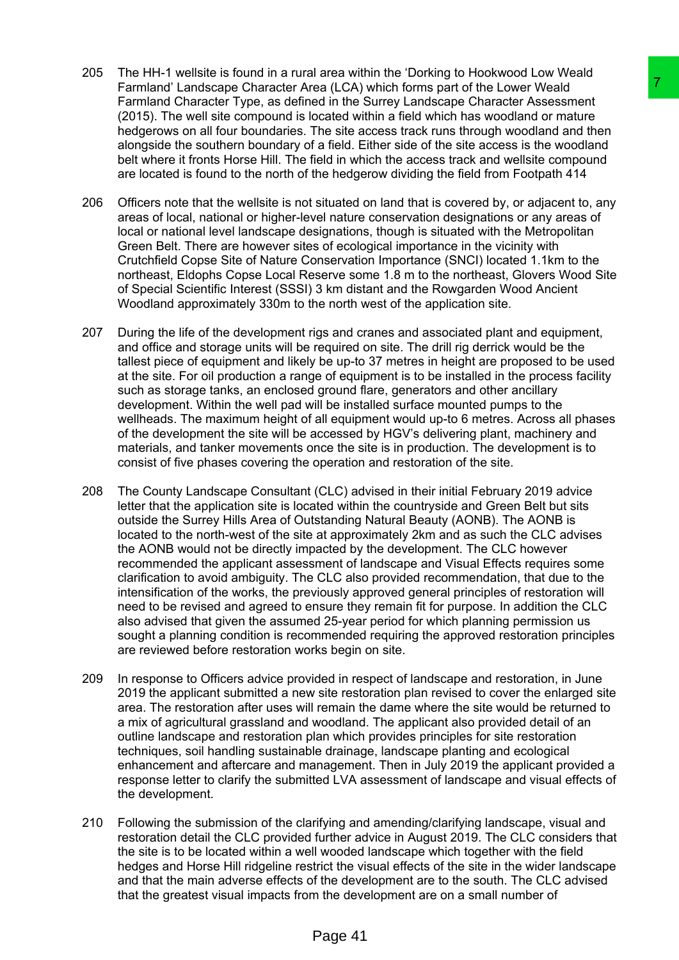- 205 The HH-1 wellsite is found in a rural area within the 'Dorking to Hookwood Low Weald Farmland' Landscape Character Area (LCA) which forms part of the Lower Weald Farmland Character Type, as defined in the Surrey Landscape Character Assessment (2015). The well site compound is located within a field which has woodland or mature hedgerows on all four boundaries. The site access track runs through woodland and then alongside the southern boundary of a field. Either side of the site access is the woodland belt where it fronts Horse Hill. The field in which the access track and wellsite compound are located is found to the north of the hedgerow dividing the field from Footpath 414
- 206 Officers note that the wellsite is not situated on land that is covered by, or adjacent to, any areas of local, national or higher-level nature conservation designations or any areas of local or national level landscape designations, though is situated with the Metropolitan Green Belt. There are however sites of ecological importance in the vicinity with Crutchfield Copse Site of Nature Conservation Importance (SNCI) located 1.1km to the northeast, Eldophs Copse Local Reserve some 1.8 m to the northeast, Glovers Wood Site of Special Scientific Interest (SSSI) 3 km distant and the Rowgarden Wood Ancient Woodland approximately 330m to the north west of the application site.
- 207 During the life of the development rigs and cranes and associated plant and equipment, and office and storage units will be required on site. The drill rig derrick would be the tallest piece of equipment and likely be up-to 37 metres in height are proposed to be used at the site. For oil production a range of equipment is to be installed in the process facility such as storage tanks, an enclosed ground flare, generators and other ancillary development. Within the well pad will be installed surface mounted pumps to the wellheads. The maximum height of all equipment would up-to 6 metres. Across all phases of the development the site will be accessed by HGV's delivering plant, machinery and materials, and tanker movements once the site is in production. The development is to consist of five phases covering the operation and restoration of the site.
- 208 The County Landscape Consultant (CLC) advised in their initial February 2019 advice letter that the application site is located within the countryside and Green Belt but sits outside the Surrey Hills Area of Outstanding Natural Beauty (AONB). The AONB is located to the north-west of the site at approximately 2km and as such the CLC advises the AONB would not be directly impacted by the development. The CLC however recommended the applicant assessment of landscape and Visual Effects requires some clarification to avoid ambiguity. The CLC also provided recommendation, that due to the intensification of the works, the previously approved general principles of restoration will need to be revised and agreed to ensure they remain fit for purpose. In addition the CLC also advised that given the assumed 25-year period for which planning permission us sought a planning condition is recommended requiring the approved restoration principles are reviewed before restoration works begin on site. ea (LGA) which forms part of the Lower Weald<br>ed in the Surrey Landscape Character Assessment<br>ed in the Surrey Landscape Character Assessment<br>to cald within a field which has woodland or mature<br>The site access track runs th
- 209 In response to Officers advice provided in respect of landscape and restoration, in June 2019 the applicant submitted a new site restoration plan revised to cover the enlarged site area. The restoration after uses will remain the dame where the site would be returned to a mix of agricultural grassland and woodland. The applicant also provided detail of an outline landscape and restoration plan which provides principles for site restoration techniques, soil handling sustainable drainage, landscape planting and ecological enhancement and aftercare and management. Then in July 2019 the applicant provided a response letter to clarify the submitted LVA assessment of landscape and visual effects of the development.
- 210 Following the submission of the clarifying and amending/clarifying landscape, visual and restoration detail the CLC provided further advice in August 2019. The CLC considers that the site is to be located within a well wooded landscape which together with the field hedges and Horse Hill ridgeline restrict the visual effects of the site in the wider landscape and that the main adverse effects of the development are to the south. The CLC advised that the greatest visual impacts from the development are on a small number of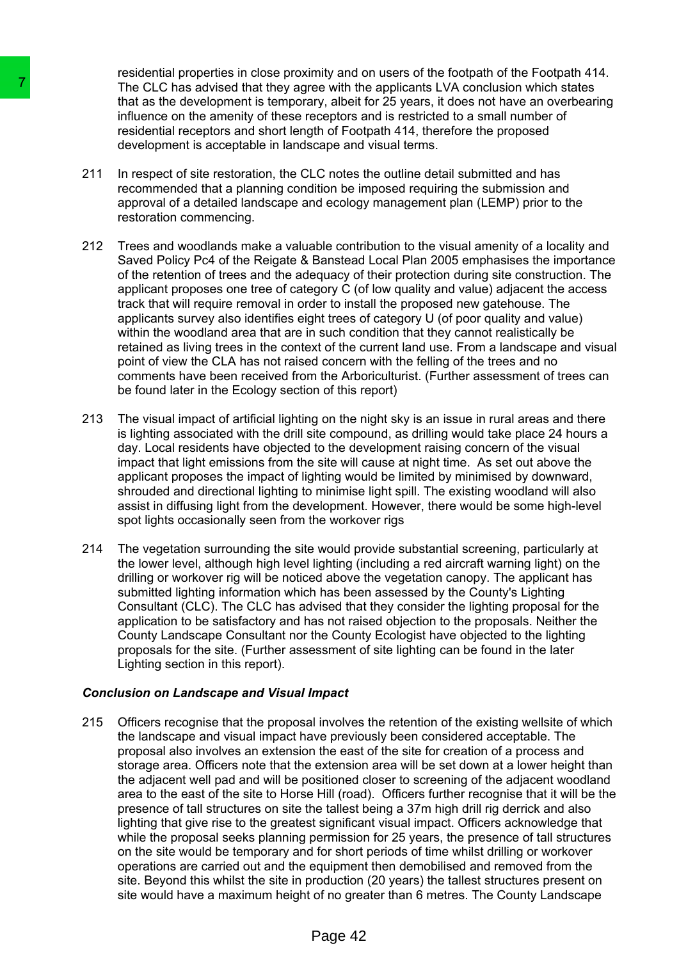residential properties in close proximity and on users of the footpath of the Footpath 414. The CLC has advised that they agree with the applicants LVA conclusion which states that as the development is temporary, albeit for 25 years, it does not have an overbearing influence on the amenity of these receptors and is restricted to a small number of residential receptors and short length of Footpath 414, therefore the proposed development is acceptable in landscape and visual terms.

- 211 In respect of site restoration, the CLC notes the outline detail submitted and has recommended that a planning condition be imposed requiring the submission and approval of a detailed landscape and ecology management plan (LEMP) prior to the restoration commencing.
- 212 Trees and woodlands make a valuable contribution to the visual amenity of a locality and Saved Policy Pc4 of the Reigate & Banstead Local Plan 2005 emphasises the importance of the retention of trees and the adequacy of their protection during site construction. The applicant proposes one tree of category C (of low quality and value) adjacent the access track that will require removal in order to install the proposed new gatehouse. The applicants survey also identifies eight trees of category U (of poor quality and value) within the woodland area that are in such condition that they cannot realistically be retained as living trees in the context of the current land use. From a landscape and visual point of view the CLA has not raised concern with the felling of the trees and no comments have been received from the Arboriculturist. (Further assessment of trees can be found later in the Ecology section of this report)
- 213 The visual impact of artificial lighting on the night sky is an issue in rural areas and there is lighting associated with the drill site compound, as drilling would take place 24 hours a day. Local residents have objected to the development raising concern of the visual impact that light emissions from the site will cause at night time. As set out above the applicant proposes the impact of lighting would be limited by minimised by downward, shrouded and directional lighting to minimise light spill. The existing woodland will also assist in diffusing light from the development. However, there would be some high-level spot lights occasionally seen from the workover rigs
- 214 The vegetation surrounding the site would provide substantial screening, particularly at the lower level, although high level lighting (including a red aircraft warning light) on the drilling or workover rig will be noticed above the vegetation canopy. The applicant has submitted lighting information which has been assessed by the County's Lighting Consultant (CLC). The CLC has advised that they consider the lighting proposal for the application to be satisfactory and has not raised objection to the proposals. Neither the County Landscape Consultant nor the County Ecologist have objected to the lighting proposals for the site. (Further assessment of site lighting can be found in the later Lighting section in this report).

# *Conclusion on Landscape and Visual Impact*

215 Officers recognise that the proposal involves the retention of the existing wellsite of which the landscape and visual impact have previously been considered acceptable. The proposal also involves an extension the east of the site for creation of a process and storage area. Officers note that the extension area will be set down at a lower height than the adjacent well pad and will be positioned closer to screening of the adjacent woodland area to the east of the site to Horse Hill (road). Officers further recognise that it will be the presence of tall structures on site the tallest being a 37m high drill rig derrick and also lighting that give rise to the greatest significant visual impact. Officers acknowledge that while the proposal seeks planning permission for 25 years, the presence of tall structures on the site would be temporary and for short periods of time whilst drilling or workover operations are carried out and the equipment then demobilised and removed from the site. Beyond this whilst the site in production (20 years) the tallest structures present on site would have a maximum height of no greater than 6 metres. The County Landscape The CLC has advised that they agree with the momentum of the momentum that as the development is temporary, albeit<br>
influence on the amently of these receptors<br>
and that as the development is temporary, albeit<br>
influence o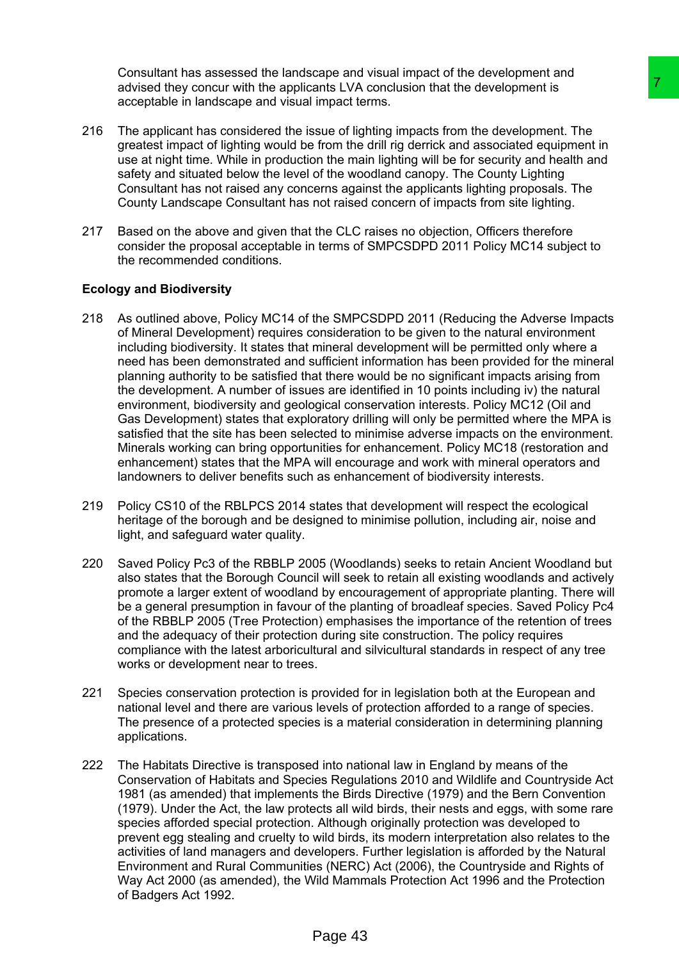Consultant has assessed the landscape and visual impact of the development and advised they concur with the applicants LVA conclusion that the development is acceptable in landscape and visual impact terms.

- 216 The applicant has considered the issue of lighting impacts from the development. The greatest impact of lighting would be from the drill rig derrick and associated equipment in use at night time. While in production the main lighting will be for security and health and safety and situated below the level of the woodland canopy. The County Lighting Consultant has not raised any concerns against the applicants lighting proposals. The County Landscape Consultant has not raised concern of impacts from site lighting.
- 217 Based on the above and given that the CLC raises no objection, Officers therefore consider the proposal acceptable in terms of SMPCSDPD 2011 Policy MC14 subject to the recommended conditions.

# **Ecology and Biodiversity**

- 218 As outlined above, Policy MC14 of the SMPCSDPD 2011 (Reducing the Adverse Impacts of Mineral Development) requires consideration to be given to the natural environment including biodiversity. It states that mineral development will be permitted only where a need has been demonstrated and sufficient information has been provided for the mineral planning authority to be satisfied that there would be no significant impacts arising from the development. A number of issues are identified in 10 points including iv) the natural environment, biodiversity and geological conservation interests. Policy MC12 (Oil and Gas Development) states that exploratory drilling will only be permitted where the MPA is satisfied that the site has been selected to minimise adverse impacts on the environment. Minerals working can bring opportunities for enhancement. Policy MC18 (restoration and enhancement) states that the MPA will encourage and work with mineral operators and landowners to deliver benefits such as enhancement of biodiversity interests. an's LVA conclusion that the development is<br>
impact from the development is<br>
impact from the development is<br>
impact from the dil mig derick and associated equipment.<br>
The from the dil mig derick and associated equipment in
- 219 Policy CS10 of the RBLPCS 2014 states that development will respect the ecological heritage of the borough and be designed to minimise pollution, including air, noise and light, and safeguard water quality.
- 220 Saved Policy Pc3 of the RBBLP 2005 (Woodlands) seeks to retain Ancient Woodland but also states that the Borough Council will seek to retain all existing woodlands and actively promote a larger extent of woodland by encouragement of appropriate planting. There will be a general presumption in favour of the planting of broadleaf species. Saved Policy Pc4 of the RBBLP 2005 (Tree Protection) emphasises the importance of the retention of trees and the adequacy of their protection during site construction. The policy requires compliance with the latest arboricultural and silvicultural standards in respect of any tree works or development near to trees.
- 221 Species conservation protection is provided for in legislation both at the European and national level and there are various levels of protection afforded to a range of species. The presence of a protected species is a material consideration in determining planning applications.
- 222 The Habitats Directive is transposed into national law in England by means of the Conservation of Habitats and Species Regulations 2010 and Wildlife and Countryside Act 1981 (as amended) that implements the Birds Directive (1979) and the Bern Convention (1979). Under the Act, the law protects all wild birds, their nests and eggs, with some rare species afforded special protection. Although originally protection was developed to prevent egg stealing and cruelty to wild birds, its modern interpretation also relates to the activities of land managers and developers. Further legislation is afforded by the Natural Environment and Rural Communities (NERC) Act (2006), the Countryside and Rights of Way Act 2000 (as amended), the Wild Mammals Protection Act 1996 and the Protection of Badgers Act 1992.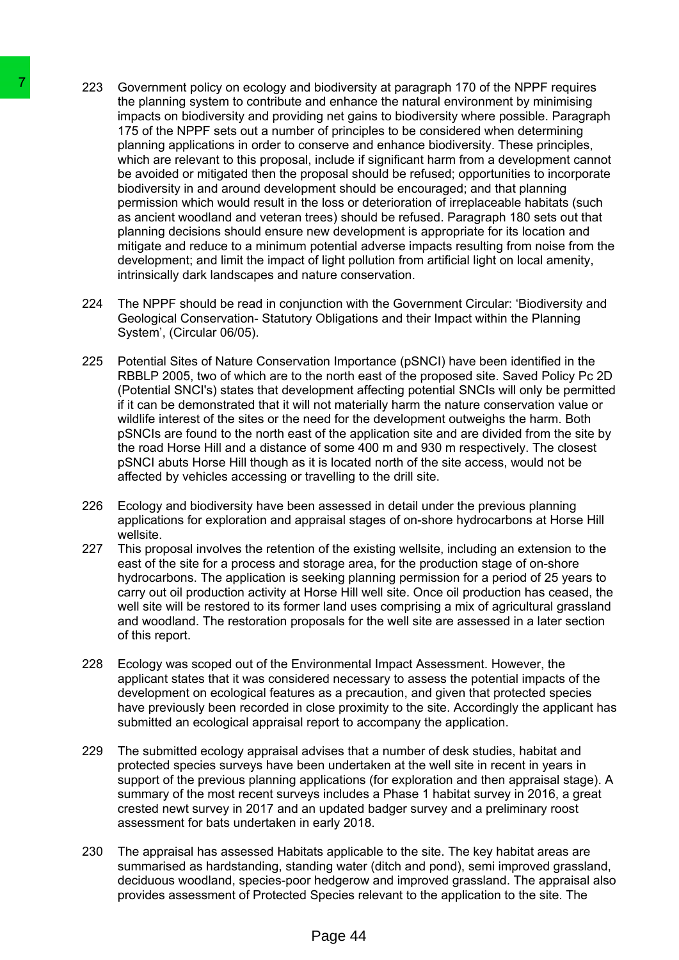- 223 Government policy on ecology and biodiversity at paragraph 170 of the NPPF requires the planning system to contribute and enhance the natural environment by minimising impacts on biodiversity and providing net gains to biodiversity where possible. Paragraph 175 of the NPPF sets out a number of principles to be considered when determining planning applications in order to conserve and enhance biodiversity. These principles, which are relevant to this proposal, include if significant harm from a development cannot be avoided or mitigated then the proposal should be refused; opportunities to incorporate biodiversity in and around development should be encouraged; and that planning permission which would result in the loss or deterioration of irreplaceable habitats (such as ancient woodland and veteran trees) should be refused. Paragraph 180 sets out that planning decisions should ensure new development is appropriate for its location and mitigate and reduce to a minimum potential adverse impacts resulting from noise from the development; and limit the impact of light pollution from artificial light on local amenity, intrinsically dark landscapes and nature conservation. The planning policies on ecology and biodiversian entirely on ecology and biodiversian manning system to contribute and entirem<br>imagination in the planning system to contribute and entirem<br>in manning applications in order
	- 224 The NPPF should be read in conjunction with the Government Circular: 'Biodiversity and Geological Conservation- Statutory Obligations and their Impact within the Planning System', (Circular 06/05).
	- 225 Potential Sites of Nature Conservation Importance (pSNCI) have been identified in the RBBLP 2005, two of which are to the north east of the proposed site. Saved Policy Pc 2D (Potential SNCI's) states that development affecting potential SNCIs will only be permitted if it can be demonstrated that it will not materially harm the nature conservation value or wildlife interest of the sites or the need for the development outweighs the harm. Both pSNCIs are found to the north east of the application site and are divided from the site by the road Horse Hill and a distance of some 400 m and 930 m respectively. The closest pSNCI abuts Horse Hill though as it is located north of the site access, would not be affected by vehicles accessing or travelling to the drill site.
	- 226 Ecology and biodiversity have been assessed in detail under the previous planning applications for exploration and appraisal stages of on-shore hydrocarbons at Horse Hill wellsite.
	- 227 This proposal involves the retention of the existing wellsite, including an extension to the east of the site for a process and storage area, for the production stage of on-shore hydrocarbons. The application is seeking planning permission for a period of 25 years to carry out oil production activity at Horse Hill well site. Once oil production has ceased, the well site will be restored to its former land uses comprising a mix of agricultural grassland and woodland. The restoration proposals for the well site are assessed in a later section of this report.
	- 228 Ecology was scoped out of the Environmental Impact Assessment. However, the applicant states that it was considered necessary to assess the potential impacts of the development on ecological features as a precaution, and given that protected species have previously been recorded in close proximity to the site. Accordingly the applicant has submitted an ecological appraisal report to accompany the application.
	- 229 The submitted ecology appraisal advises that a number of desk studies, habitat and protected species surveys have been undertaken at the well site in recent in years in support of the previous planning applications (for exploration and then appraisal stage). A summary of the most recent surveys includes a Phase 1 habitat survey in 2016, a great crested newt survey in 2017 and an updated badger survey and a preliminary roost assessment for bats undertaken in early 2018.
	- 230 The appraisal has assessed Habitats applicable to the site. The key habitat areas are summarised as hardstanding, standing water (ditch and pond), semi improved grassland, deciduous woodland, species-poor hedgerow and improved grassland. The appraisal also provides assessment of Protected Species relevant to the application to the site. The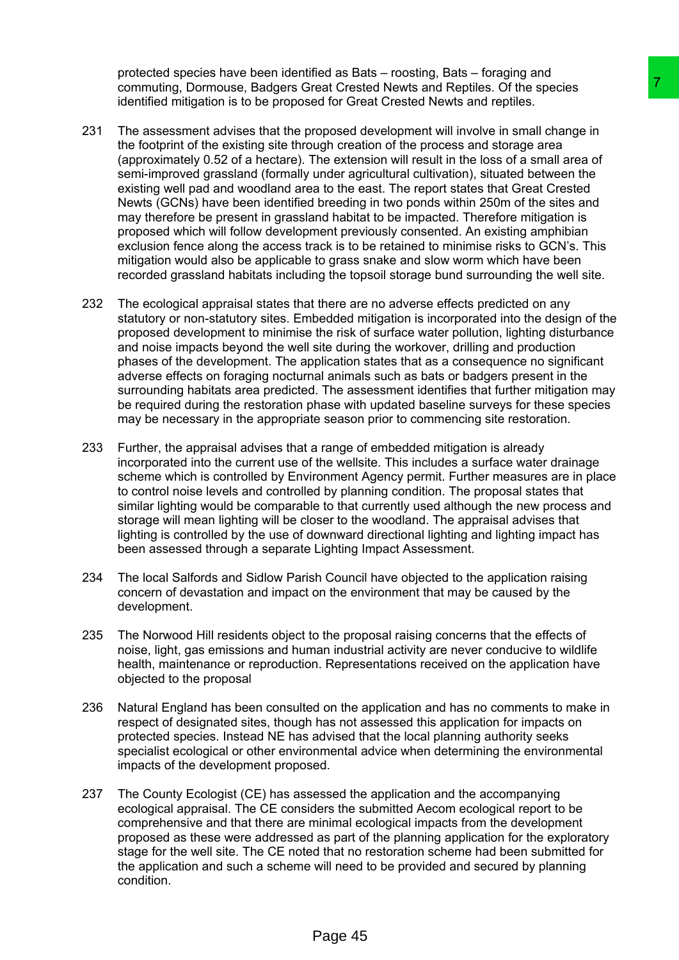protected species have been identified as Bats – roosting, Bats – foraging and commuting, Dormouse, Badgers Great Crested Newts and Reptiles. Of the species identified mitigation is to be proposed for Great Crested Newts and reptiles.

- 231 The assessment advises that the proposed development will involve in small change in the footprint of the existing site through creation of the process and storage area (approximately 0.52 of a hectare). The extension will result in the loss of a small area of semi-improved grassland (formally under agricultural cultivation), situated between the existing well pad and woodland area to the east. The report states that Great Crested Newts (GCNs) have been identified breeding in two ponds within 250m of the sites and may therefore be present in grassland habitat to be impacted. Therefore mitigation is proposed which will follow development previously consented. An existing amphibian exclusion fence along the access track is to be retained to minimise risks to GCN's. This mitigation would also be applicable to grass snake and slow worm which have been recorded grassland habitats including the topsoil storage bund surrounding the well site. rear Created News's and Repities. Of the species<br>exact Created News's and Repities. Of the species<br>of or Great Created News's and repities. Of the species<br>of or Great Created News's and storing a real change in<br>typosed dev
- 232 The ecological appraisal states that there are no adverse effects predicted on any statutory or non-statutory sites. Embedded mitigation is incorporated into the design of the proposed development to minimise the risk of surface water pollution, lighting disturbance and noise impacts beyond the well site during the workover, drilling and production phases of the development. The application states that as a consequence no significant adverse effects on foraging nocturnal animals such as bats or badgers present in the surrounding habitats area predicted. The assessment identifies that further mitigation may be required during the restoration phase with updated baseline surveys for these species may be necessary in the appropriate season prior to commencing site restoration.
- 233 Further, the appraisal advises that a range of embedded mitigation is already incorporated into the current use of the wellsite. This includes a surface water drainage scheme which is controlled by Environment Agency permit. Further measures are in place to control noise levels and controlled by planning condition. The proposal states that similar lighting would be comparable to that currently used although the new process and storage will mean lighting will be closer to the woodland. The appraisal advises that lighting is controlled by the use of downward directional lighting and lighting impact has been assessed through a separate Lighting Impact Assessment.
- 234 The local Salfords and Sidlow Parish Council have objected to the application raising concern of devastation and impact on the environment that may be caused by the development.
- 235 The Norwood Hill residents object to the proposal raising concerns that the effects of noise, light, gas emissions and human industrial activity are never conducive to wildlife health, maintenance or reproduction. Representations received on the application have objected to the proposal
- 236 Natural England has been consulted on the application and has no comments to make in respect of designated sites, though has not assessed this application for impacts on protected species. Instead NE has advised that the local planning authority seeks specialist ecological or other environmental advice when determining the environmental impacts of the development proposed.
- 237 The County Ecologist (CE) has assessed the application and the accompanying ecological appraisal. The CE considers the submitted Aecom ecological report to be comprehensive and that there are minimal ecological impacts from the development proposed as these were addressed as part of the planning application for the exploratory stage for the well site. The CE noted that no restoration scheme had been submitted for the application and such a scheme will need to be provided and secured by planning condition.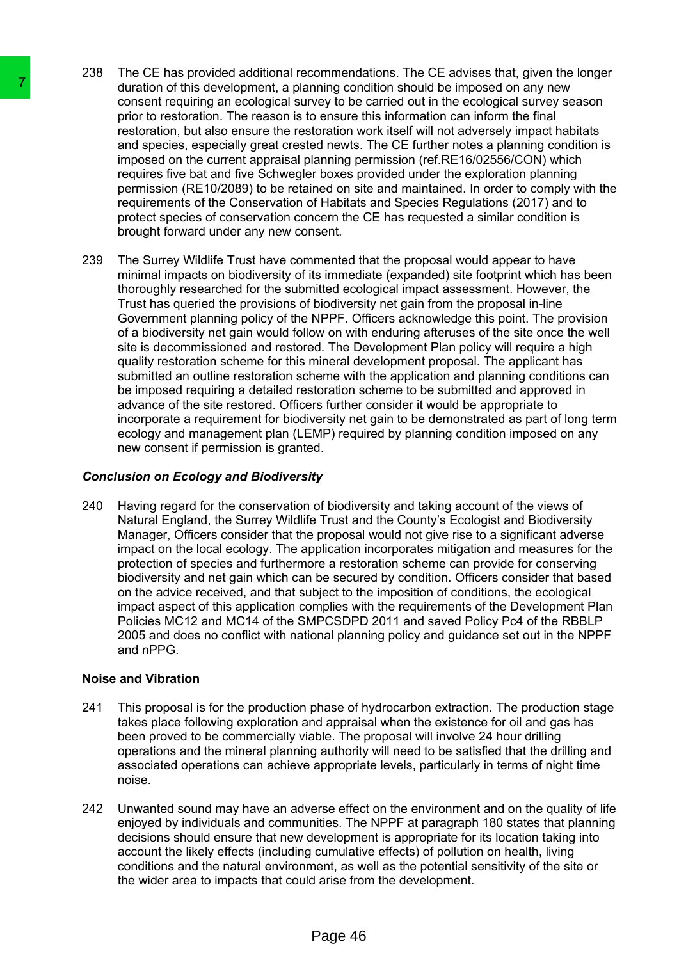- 238 The CE has provided additional recommendations. The CE advises that, given the longer duration of this development, a planning condition should be imposed on any new consent requiring an ecological survey to be carried out in the ecological survey season prior to restoration. The reason is to ensure this information can inform the final restoration, but also ensure the restoration work itself will not adversely impact habitats and species, especially great crested newts. The CE further notes a planning condition is imposed on the current appraisal planning permission (ref.RE16/02556/CON) which requires five bat and five Schwegler boxes provided under the exploration planning permission (RE10/2089) to be retained on site and maintained. In order to comply with the requirements of the Conservation of Habitats and Species Regulations (2017) and to protect species of conservation concern the CE has requested a similar condition is brought forward under any new consent.
- 239 The Surrey Wildlife Trust have commented that the proposal would appear to have minimal impacts on biodiversity of its immediate (expanded) site footprint which has been thoroughly researched for the submitted ecological impact assessment. However, the Trust has queried the provisions of biodiversity net gain from the proposal in-line Government planning policy of the NPPF. Officers acknowledge this point. The provision of a biodiversity net gain would follow on with enduring afteruses of the site once the well site is decommissioned and restored. The Development Plan policy will require a high quality restoration scheme for this mineral development proposal. The applicant has submitted an outline restoration scheme with the application and planning conditions can be imposed requiring a detailed restoration scheme to be submitted and approved in advance of the site restored. Officers further consider it would be appropriate to incorporate a requirement for biodiversity net gain to be demonstrated as part of long term ecology and management plan (LEMP) required by planning condition imposed on any new consent if permission is granted. The duration of this development, a planning converting the motor consent requiring an ecological survey to be profit to restoration. The resaon is to ensure the restoration wand species, especially great created news.<br>
im

# *Conclusion on Ecology and Biodiversity*

240 Having regard for the conservation of biodiversity and taking account of the views of Natural England, the Surrey Wildlife Trust and the County's Ecologist and Biodiversity Manager, Officers consider that the proposal would not give rise to a significant adverse impact on the local ecology. The application incorporates mitigation and measures for the protection of species and furthermore a restoration scheme can provide for conserving biodiversity and net gain which can be secured by condition. Officers consider that based on the advice received, and that subject to the imposition of conditions, the ecological impact aspect of this application complies with the requirements of the Development Plan Policies MC12 and MC14 of the SMPCSDPD 2011 and saved Policy Pc4 of the RBBLP 2005 and does no conflict with national planning policy and guidance set out in the NPPF and nPPG.

## **Noise and Vibration**

- 241 This proposal is for the production phase of hydrocarbon extraction. The production stage takes place following exploration and appraisal when the existence for oil and gas has been proved to be commercially viable. The proposal will involve 24 hour drilling operations and the mineral planning authority will need to be satisfied that the drilling and associated operations can achieve appropriate levels, particularly in terms of night time noise.
- 242 Unwanted sound may have an adverse effect on the environment and on the quality of life enjoyed by individuals and communities. The NPPF at paragraph 180 states that planning decisions should ensure that new development is appropriate for its location taking into account the likely effects (including cumulative effects) of pollution on health, living conditions and the natural environment, as well as the potential sensitivity of the site or the wider area to impacts that could arise from the development.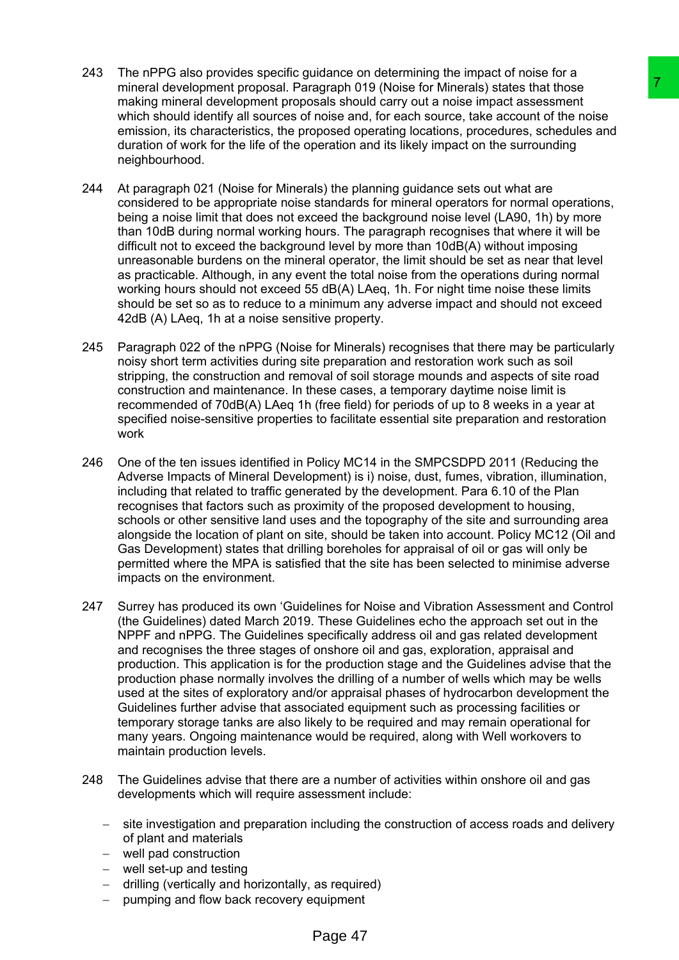- 243 The nPPG also provides specific guidance on determining the impact of noise for a mineral development proposal. Paragraph 019 (Noise for Minerals) states that those making mineral development proposals should carry out a noise impact assessment which should identify all sources of noise and, for each source, take account of the noise emission, its characteristics, the proposed operating locations, procedures, schedules and duration of work for the life of the operation and its likely impact on the surrounding neighbourhood.
- 244 At paragraph 021 (Noise for Minerals) the planning guidance sets out what are considered to be appropriate noise standards for mineral operators for normal operations, being a noise limit that does not exceed the background noise level (LA90, 1h) by more than 10dB during normal working hours. The paragraph recognises that where it will be difficult not to exceed the background level by more than 10dB(A) without imposing unreasonable burdens on the mineral operator, the limit should be set as near that level as practicable. Although, in any event the total noise from the operations during normal working hours should not exceed 55 dB(A) LAeq, 1h. For night time noise these limits should be set so as to reduce to a minimum any adverse impact and should not exceed 42dB (A) LAeq, 1h at a noise sensitive property.
- 245 Paragraph 022 of the nPPG (Noise for Minerals) recognises that there may be particularly noisy short term activities during site preparation and restoration work such as soil stripping, the construction and removal of soil storage mounds and aspects of site road construction and maintenance. In these cases, a temporary daytime noise limit is recommended of 70dB(A) LAeq 1h (free field) for periods of up to 8 weeks in a year at specified noise-sensitive properties to facilitate essential site preparation and restoration work
- 246 One of the ten issues identified in Policy MC14 in the SMPCSDPD 2011 (Reducing the Adverse Impacts of Mineral Development) is i) noise, dust, fumes, vibration, illumination, including that related to traffic generated by the development. Para 6.10 of the Plan recognises that factors such as proximity of the proposed development to housing, schools or other sensitive land uses and the topography of the site and surrounding area alongside the location of plant on site, should be taken into account. Policy MC12 (Oil and Gas Development) states that drilling boreholes for appraisal of oil or gas will only be permitted where the MPA is satisfied that the site has been selected to minimise adverse impacts on the environment.
- 247 Surrey has produced its own 'Guidelines for Noise and Vibration Assessment and Control (the Guidelines) dated March 2019. These Guidelines echo the approach set out in the NPPF and nPPG. The Guidelines specifically address oil and gas related development and recognises the three stages of onshore oil and gas, exploration, appraisal and production. This application is for the production stage and the Guidelines advise that the production phase normally involves the drilling of a number of wells which may be wells used at the sites of exploratory and/or appraisal phases of hydrocarbon development the Guidelines further advise that associated equipment such as processing facilities or temporary storage tanks are also likely to be required and may remain operational for many years. Ongoing maintenance would be required, along with Well workovers to maintain production levels. and that the state that the methods and the controllering a state that these pays that a state that the rollering states that the noise and, for each source, take account of the noise and, poperation and it is likely impac
- 248 The Guidelines advise that there are a number of activities within onshore oil and gas developments which will require assessment include:
	- site investigation and preparation including the construction of access roads and delivery of plant and materials
	- well pad construction
	- well set-up and testing
	- drilling (vertically and horizontally, as required)
	- pumping and flow back recovery equipment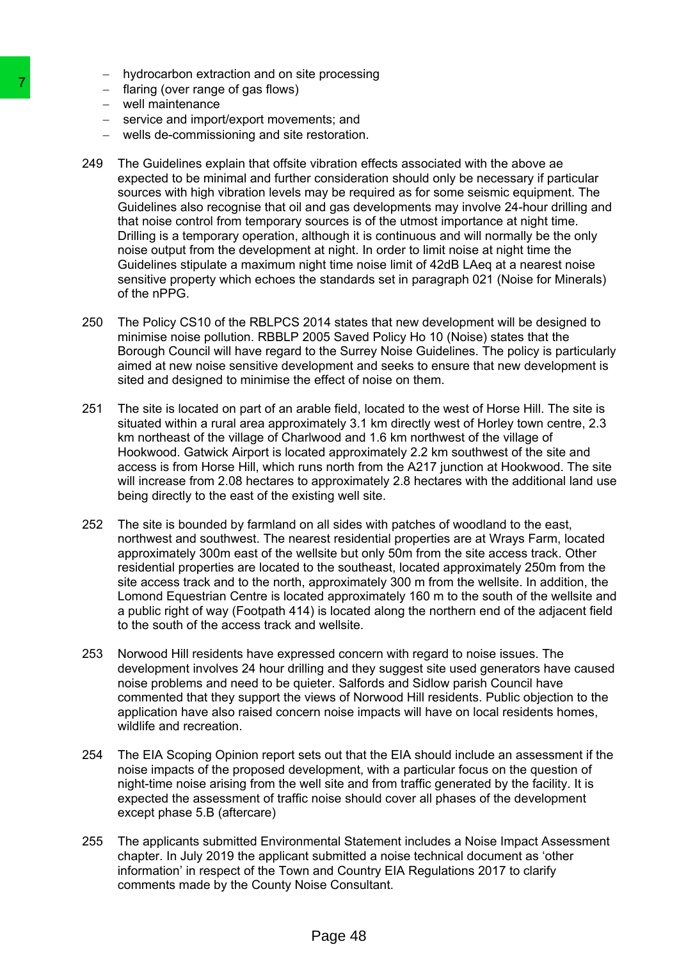- hydrocarbon extraction and on site processing
- $-$  flaring (over range of gas flows)
- well maintenance
- service and import/export movements; and
- wells de-commissioning and site restoration.
- 249 The Guidelines explain that offsite vibration effects associated with the above ae expected to be minimal and further consideration should only be necessary if particular sources with high vibration levels may be required as for some seismic equipment. The Guidelines also recognise that oil and gas developments may involve 24-hour drilling and that noise control from temporary sources is of the utmost importance at night time. Drilling is a temporary operation, although it is continuous and will normally be the only noise output from the development at night. In order to limit noise at night time the Guidelines stipulate a maximum night time noise limit of 42dB LAeq at a nearest noise sensitive property which echoes the standards set in paragraph 021 (Noise for Minerals) of the nPPG. Training (over range of gas Towis)<br>
- training (over range of gas Towis)<br>
- service and importexport movements; and<br>
- service and importexport movements and<br>
- service and importexport movements and<br>
- service and importe
	- 250 The Policy CS10 of the RBLPCS 2014 states that new development will be designed to minimise noise pollution. RBBLP 2005 Saved Policy Ho 10 (Noise) states that the Borough Council will have regard to the Surrey Noise Guidelines. The policy is particularly aimed at new noise sensitive development and seeks to ensure that new development is sited and designed to minimise the effect of noise on them.
	- 251 The site is located on part of an arable field, located to the west of Horse Hill. The site is situated within a rural area approximately 3.1 km directly west of Horley town centre, 2.3 km northeast of the village of Charlwood and 1.6 km northwest of the village of Hookwood. Gatwick Airport is located approximately 2.2 km southwest of the site and access is from Horse Hill, which runs north from the A217 junction at Hookwood. The site will increase from 2.08 hectares to approximately 2.8 hectares with the additional land use being directly to the east of the existing well site.
	- 252 The site is bounded by farmland on all sides with patches of woodland to the east, northwest and southwest. The nearest residential properties are at Wrays Farm, located approximately 300m east of the wellsite but only 50m from the site access track. Other residential properties are located to the southeast, located approximately 250m from the site access track and to the north, approximately 300 m from the wellsite. In addition, the Lomond Equestrian Centre is located approximately 160 m to the south of the wellsite and a public right of way (Footpath 414) is located along the northern end of the adjacent field to the south of the access track and wellsite.
	- 253 Norwood Hill residents have expressed concern with regard to noise issues. The development involves 24 hour drilling and they suggest site used generators have caused noise problems and need to be quieter. Salfords and Sidlow parish Council have commented that they support the views of Norwood Hill residents. Public objection to the application have also raised concern noise impacts will have on local residents homes, wildlife and recreation.
	- 254 The EIA Scoping Opinion report sets out that the EIA should include an assessment if the noise impacts of the proposed development, with a particular focus on the question of night-time noise arising from the well site and from traffic generated by the facility. It is expected the assessment of traffic noise should cover all phases of the development except phase 5.B (aftercare)
	- 255 The applicants submitted Environmental Statement includes a Noise Impact Assessment chapter. In July 2019 the applicant submitted a noise technical document as 'other information' in respect of the Town and Country EIA Regulations 2017 to clarify comments made by the County Noise Consultant.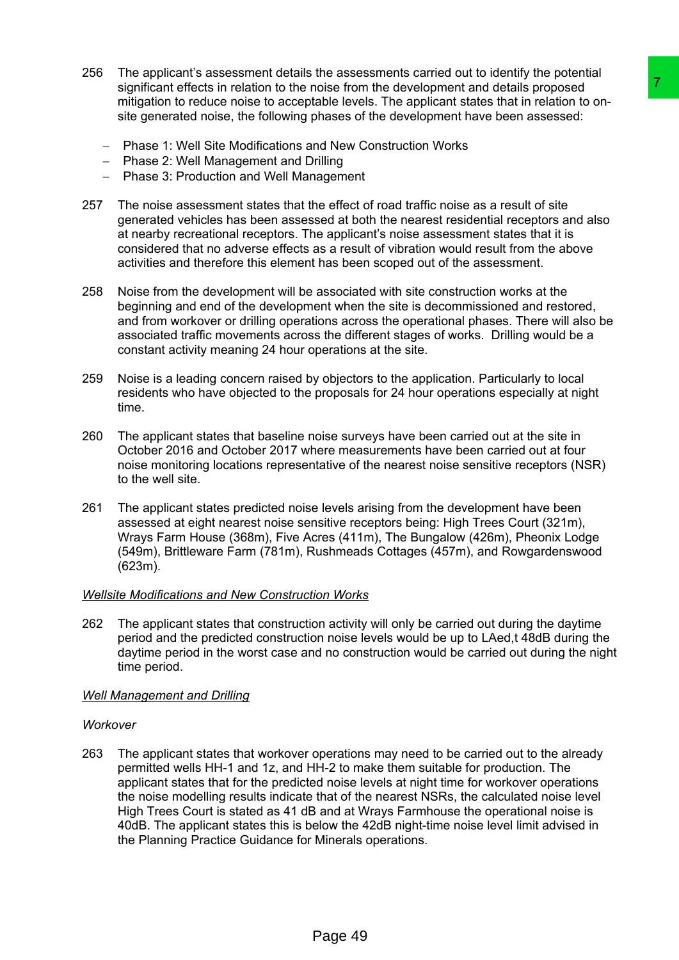- 256 The applicant's assessment details the assessments carried out to identify the potential significant effects in relation to the noise from the development and details proposed mitigation to reduce noise to acceptable levels. The applicant states that in relation to onsite generated noise, the following phases of the development have been assessed:
	- Phase 1: Well Site Modifications and New Construction Works
	- Phase 2: Well Management and Drilling
	- Phase 3: Production and Well Management
- 257 The noise assessment states that the effect of road traffic noise as a result of site generated vehicles has been assessed at both the nearest residential receptors and also at nearby recreational receptors. The applicant's noise assessment states that it is considered that no adverse effects as a result of vibration would result from the above activities and therefore this element has been scoped out of the assessment.
- 258 Noise from the development will be associated with site construction works at the beginning and end of the development when the site is decommissioned and restored, and from workover or drilling operations across the operational phases. There will also be associated traffic movements across the different stages of works. Drilling would be a constant activity meaning 24 hour operations at the site.
- 259 Noise is a leading concern raised by objectors to the application. Particularly to local residents who have objected to the proposals for 24 hour operations especially at night time.
- 260 The applicant states that baseline noise surveys have been carried out at the site in October 2016 and October 2017 where measurements have been carried out at four noise monitoring locations representative of the nearest noise sensitive receptors (NSR) to the well site.
- 261 The applicant states predicted noise levels arising from the development have been assessed at eight nearest noise sensitive receptors being: High Trees Court (321m), Wrays Farm House (368m), Five Acres (411m), The Bungalow (426m), Pheonix Lodge (549m), Brittleware Farm (781m), Rushmeads Cottages (457m), and Rowgardenswood (623m).

# *Wellsite Modifications and New Construction Works*

262 The applicant states that construction activity will only be carried out during the daytime period and the predicted construction noise levels would be up to LAed,t 48dB during the daytime period in the worst case and no construction would be carried out during the night time period.

# *Well Management and Drilling*

# *Workover*

263 The applicant states that workover operations may need to be carried out to the already permitted wells HH-1 and 1z, and HH-2 to make them suitable for production. The applicant states that for the predicted noise levels at night time for workover operations the noise modelling results indicate that of the nearest NSRs, the calculated noise level High Trees Court is stated as 41 dB and at Wrays Farmhouse the operational noise is 40dB. The applicant states this is below the 42dB night-time noise level limit advised in the Planning Practice Guidance for Minerals operations. noise from the development and desials for<br>noise from the development and desials for<br>noise from the development and desials for the development and the<br>material terms of the development have been assessed:<br>The effect of r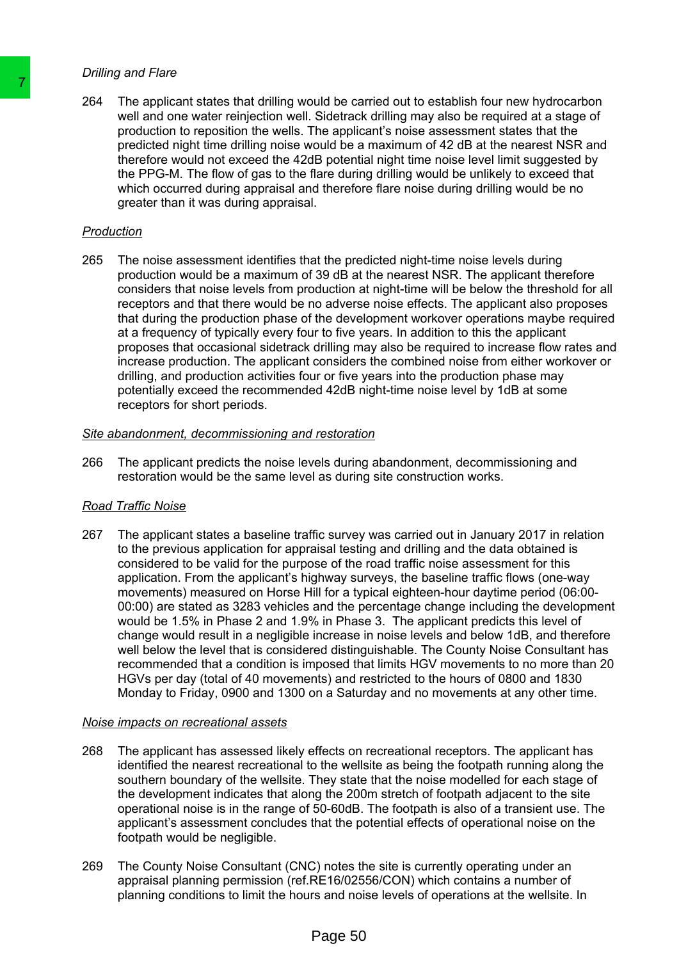#### *Drilling and Flare*

264 The applicant states that drilling would be carried out to establish four new hydrocarbon well and one water reinjection well. Sidetrack drilling may also be required at a stage of production to reposition the wells. The applicant's noise assessment states that the predicted night time drilling noise would be a maximum of 42 dB at the nearest NSR and therefore would not exceed the 42dB potential night time noise level limit suggested by the PPG-M. The flow of gas to the flare during drilling would be unlikely to exceed that which occurred during appraisal and therefore flare noise during drilling would be no greater than it was during appraisal.

# *Production*

265 The noise assessment identifies that the predicted night-time noise levels during production would be a maximum of 39 dB at the nearest NSR. The applicant therefore considers that noise levels from production at night-time will be below the threshold for all receptors and that there would be no adverse noise effects. The applicant also proposes that during the production phase of the development workover operations maybe required at a frequency of typically every four to five years. In addition to this the applicant proposes that occasional sidetrack drilling may also be required to increase flow rates and increase production. The applicant considers the combined noise from either workover or drilling, and production activities four or five years into the production phase may potentially exceed the recommended 42dB night-time noise level by 1dB at some receptors for short periods.

## *Site abandonment, decommissioning and restoration*

266 The applicant predicts the noise levels during abandonment, decommissioning and restoration would be the same level as during site construction works.

## *Road Traffic Noise*

267 The applicant states a baseline traffic survey was carried out in January 2017 in relation to the previous application for appraisal testing and drilling and the data obtained is considered to be valid for the purpose of the road traffic noise assessment for this application. From the applicant's highway surveys, the baseline traffic flows (one-way movements) measured on Horse Hill for a typical eighteen-hour daytime period (06:00- 00:00) are stated as 3283 vehicles and the percentage change including the development would be 1.5% in Phase 2 and 1.9% in Phase 3. The applicant predicts this level of change would result in a negligible increase in noise levels and below 1dB, and therefore well below the level that is considered distinguishable. The County Noise Consultant has recommended that a condition is imposed that limits HGV movements to no more than 20 HGVs per day (total of 40 movements) and restricted to the hours of 0800 and 1830 Monday to Friday, 0900 and 1300 on a Saturday and no movements at any other time. The applicant states that diffling would be calculated will and one value and one value of the symplectical night time diffling noise would be a<br>production to reposition the wells. The applicant production to reposition t

#### *Noise impacts on recreational assets*

- 268 The applicant has assessed likely effects on recreational receptors. The applicant has identified the nearest recreational to the wellsite as being the footpath running along the southern boundary of the wellsite. They state that the noise modelled for each stage of the development indicates that along the 200m stretch of footpath adjacent to the site operational noise is in the range of 50-60dB. The footpath is also of a transient use. The applicant's assessment concludes that the potential effects of operational noise on the footpath would be negligible.
- 269 The County Noise Consultant (CNC) notes the site is currently operating under an appraisal planning permission (ref.RE16/02556/CON) which contains a number of planning conditions to limit the hours and noise levels of operations at the wellsite. In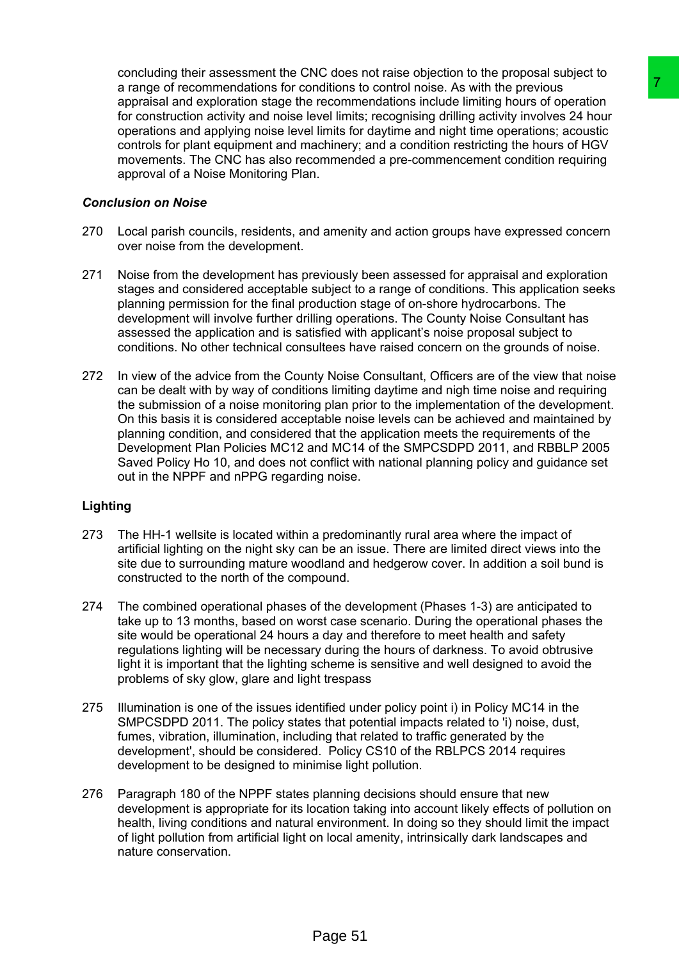concluding their assessment the CNC does not raise objection to the proposal subject to a range of recommendations for conditions to control noise. As with the previous appraisal and exploration stage the recommendations include limiting hours of operation for construction activity and noise level limits; recognising drilling activity involves 24 hour operations and applying noise level limits for daytime and night time operations; acoustic controls for plant equipment and machinery; and a condition restricting the hours of HGV movements. The CNC has also recommended a pre-commencement condition requiring approval of a Noise Monitoring Plan.

#### *Conclusion on Noise*

- 270 Local parish councils, residents, and amenity and action groups have expressed concern over noise from the development.
- 271 Noise from the development has previously been assessed for appraisal and exploration stages and considered acceptable subject to a range of conditions. This application seeks planning permission for the final production stage of on-shore hydrocarbons. The development will involve further drilling operations. The County Noise Consultant has assessed the application and is satisfied with applicant's noise proposal subject to conditions. No other technical consultees have raised concern on the grounds of noise.
- 272 In view of the advice from the County Noise Consultant, Officers are of the view that noise can be dealt with by way of conditions limiting daytime and nigh time noise and requiring the submission of a noise monitoring plan prior to the implementation of the development. On this basis it is considered acceptable noise levels can be achieved and maintained by planning condition, and considered that the application meets the requirements of the Development Plan Policies MC12 and MC14 of the SMPCSDPD 2011, and RBBLP 2005 Saved Policy Ho 10, and does not conflict with national planning policy and guidance set out in the NPPF and nPPG regarding noise. ndifficions to control noise. As with the previous<br>recommendations include limiting hours of the metricular recommendations include limiting hours of operation<br>increases the limits for daying disting activity involves 24 h

## **Lighting**

- 273 The HH-1 wellsite is located within a predominantly rural area where the impact of artificial lighting on the night sky can be an issue. There are limited direct views into the site due to surrounding mature woodland and hedgerow cover. In addition a soil bund is constructed to the north of the compound.
- 274 The combined operational phases of the development (Phases 1-3) are anticipated to take up to 13 months, based on worst case scenario. During the operational phases the site would be operational 24 hours a day and therefore to meet health and safety regulations lighting will be necessary during the hours of darkness. To avoid obtrusive light it is important that the lighting scheme is sensitive and well designed to avoid the problems of sky glow, glare and light trespass
- 275 Illumination is one of the issues identified under policy point i) in Policy MC14 in the SMPCSDPD 2011. The policy states that potential impacts related to 'i) noise, dust, fumes, vibration, illumination, including that related to traffic generated by the development', should be considered. Policy CS10 of the RBLPCS 2014 requires development to be designed to minimise light pollution.
- 276 Paragraph 180 of the NPPF states planning decisions should ensure that new development is appropriate for its location taking into account likely effects of pollution on health, living conditions and natural environment. In doing so they should limit the impact of light pollution from artificial light on local amenity, intrinsically dark landscapes and nature conservation.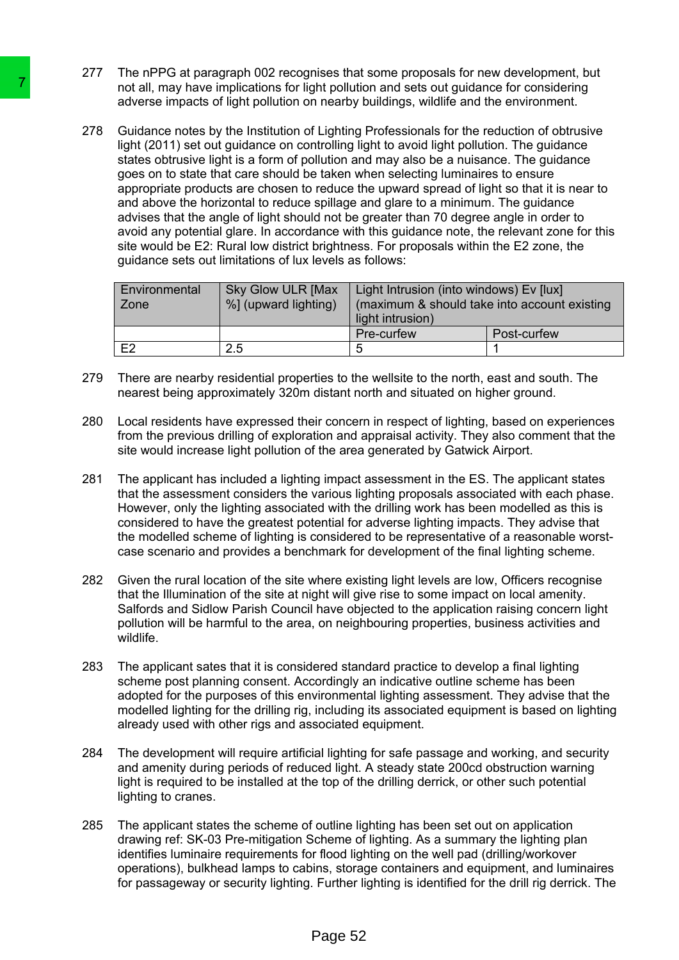- 277 The nPPG at paragraph 002 recognises that some proposals for new development, but not all, may have implications for light pollution and sets out guidance for considering adverse impacts of light pollution on nearby buildings, wildlife and the environment.
- 278 Guidance notes by the Institution of Lighting Professionals for the reduction of obtrusive light (2011) set out guidance on controlling light to avoid light pollution. The guidance states obtrusive light is a form of pollution and may also be a nuisance. The guidance goes on to state that care should be taken when selecting luminaires to ensure appropriate products are chosen to reduce the upward spread of light so that it is near to and above the horizontal to reduce spillage and glare to a minimum. The guidance advises that the angle of light should not be greater than 70 degree angle in order to avoid any potential glare. In accordance with this guidance note, the relevant zone for this site would be E2: Rural low district brightness. For proposals within the E2 zone, the guidance sets out limitations of lux levels as follows: The main their implications for light political in the phasis implication on nearby and stating the political in the main to the studient states obtrivals of the institution on in controlling light (2011) sel out guidance

| Environmental<br>Zone | <b>Sky Glow ULR [Max</b><br>%] (upward lighting) | Light Intrusion (into windows) Ev [lux]<br>(maximum & should take into account existing<br>light intrusion) |             |
|-----------------------|--------------------------------------------------|-------------------------------------------------------------------------------------------------------------|-------------|
|                       |                                                  | Pre-curfew                                                                                                  | Post-curfew |
| E2                    | 2.5                                              | 5                                                                                                           |             |

- 279 There are nearby residential properties to the wellsite to the north, east and south. The nearest being approximately 320m distant north and situated on higher ground.
- 280 Local residents have expressed their concern in respect of lighting, based on experiences from the previous drilling of exploration and appraisal activity. They also comment that the site would increase light pollution of the area generated by Gatwick Airport.
- 281 The applicant has included a lighting impact assessment in the ES. The applicant states that the assessment considers the various lighting proposals associated with each phase. However, only the lighting associated with the drilling work has been modelled as this is considered to have the greatest potential for adverse lighting impacts. They advise that the modelled scheme of lighting is considered to be representative of a reasonable worstcase scenario and provides a benchmark for development of the final lighting scheme.
- 282 Given the rural location of the site where existing light levels are low, Officers recognise that the Illumination of the site at night will give rise to some impact on local amenity. Salfords and Sidlow Parish Council have objected to the application raising concern light pollution will be harmful to the area, on neighbouring properties, business activities and wildlife.
- 283 The applicant sates that it is considered standard practice to develop a final lighting scheme post planning consent. Accordingly an indicative outline scheme has been adopted for the purposes of this environmental lighting assessment. They advise that the modelled lighting for the drilling rig, including its associated equipment is based on lighting already used with other rigs and associated equipment.
- 284 The development will require artificial lighting for safe passage and working, and security and amenity during periods of reduced light. A steady state 200cd obstruction warning light is required to be installed at the top of the drilling derrick, or other such potential lighting to cranes.
- 285 The applicant states the scheme of outline lighting has been set out on application drawing ref: SK-03 Pre-mitigation Scheme of lighting. As a summary the lighting plan identifies luminaire requirements for flood lighting on the well pad (drilling/workover operations), bulkhead lamps to cabins, storage containers and equipment, and luminaires for passageway or security lighting. Further lighting is identified for the drill rig derrick. The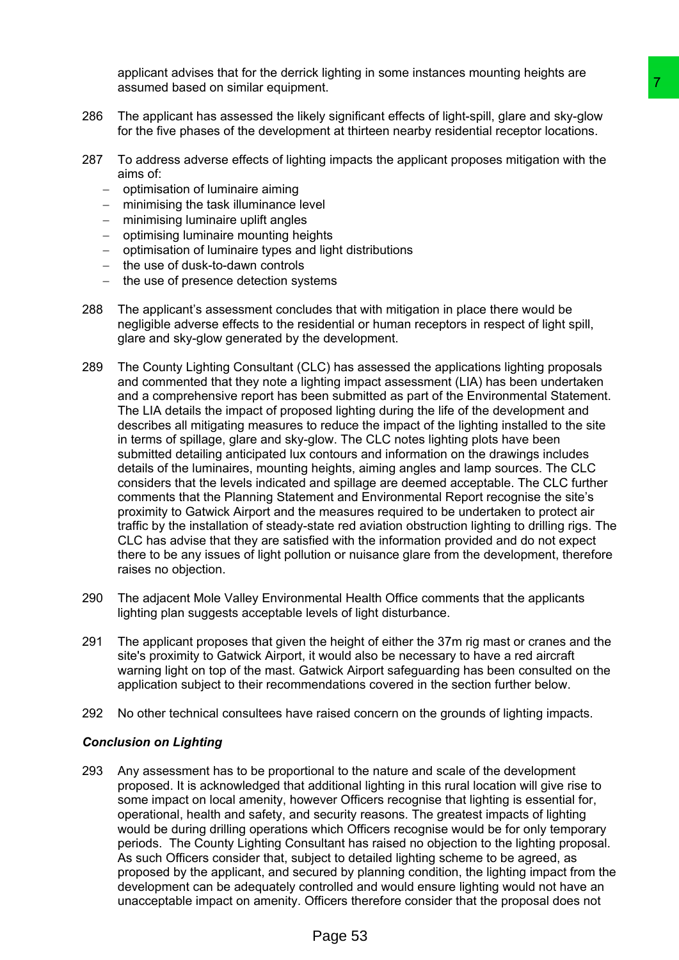applicant advises that for the derrick lighting in some instances mounting heights are assumed based on similar equipment.

- 286 The applicant has assessed the likely significant effects of light-spill, glare and sky-glow for the five phases of the development at thirteen nearby residential receptor locations.
- 287 To address adverse effects of lighting impacts the applicant proposes mitigation with the aims of:
	- $-$  optimisation of luminaire aiming
	- minimising the task illuminance level
	- minimising luminaire uplift angles
	- optimising luminaire mounting heights
	- optimisation of luminaire types and light distributions
	- $-$  the use of dusk-to-dawn controls
	- $-$  the use of presence detection systems
- 288 The applicant's assessment concludes that with mitigation in place there would be negligible adverse effects to the residential or human receptors in respect of light spill, glare and sky-glow generated by the development.
- 289 The County Lighting Consultant (CLC) has assessed the applications lighting proposals and commented that they note a lighting impact assessment (LIA) has been undertaken and a comprehensive report has been submitted as part of the Environmental Statement. The LIA details the impact of proposed lighting during the life of the development and describes all mitigating measures to reduce the impact of the lighting installed to the site in terms of spillage, glare and sky-glow. The CLC notes lighting plots have been submitted detailing anticipated lux contours and information on the drawings includes details of the luminaires, mounting heights, aiming angles and lamp sources. The CLC considers that the levels indicated and spillage are deemed acceptable. The CLC further comments that the Planning Statement and Environmental Report recognise the site's proximity to Gatwick Airport and the measures required to be undertaken to protect air traffic by the installation of steady-state red aviation obstruction lighting to drilling rigs. The CLC has advise that they are satisfied with the information provided and do not expect there to be any issues of light pollution or nuisance glare from the development, therefore raises no objection. int<br>the method of elects of light-spin all gare and sky-gly<br>planetic fields of light-spin all gare and sky-gly<br>endicated the dentificant proposes mitigation with the<br>page inpacts the applicant proposes mitigation with the<br>
- 290 The adjacent Mole Valley Environmental Health Office comments that the applicants lighting plan suggests acceptable levels of light disturbance.
- 291 The applicant proposes that given the height of either the 37m rig mast or cranes and the site's proximity to Gatwick Airport, it would also be necessary to have a red aircraft warning light on top of the mast. Gatwick Airport safeguarding has been consulted on the application subject to their recommendations covered in the section further below.
- 292 No other technical consultees have raised concern on the grounds of lighting impacts.

#### *Conclusion on Lighting*

293 Any assessment has to be proportional to the nature and scale of the development proposed. It is acknowledged that additional lighting in this rural location will give rise to some impact on local amenity, however Officers recognise that lighting is essential for, operational, health and safety, and security reasons. The greatest impacts of lighting would be during drilling operations which Officers recognise would be for only temporary periods. The County Lighting Consultant has raised no objection to the lighting proposal. As such Officers consider that, subject to detailed lighting scheme to be agreed, as proposed by the applicant, and secured by planning condition, the lighting impact from the development can be adequately controlled and would ensure lighting would not have an unacceptable impact on amenity. Officers therefore consider that the proposal does not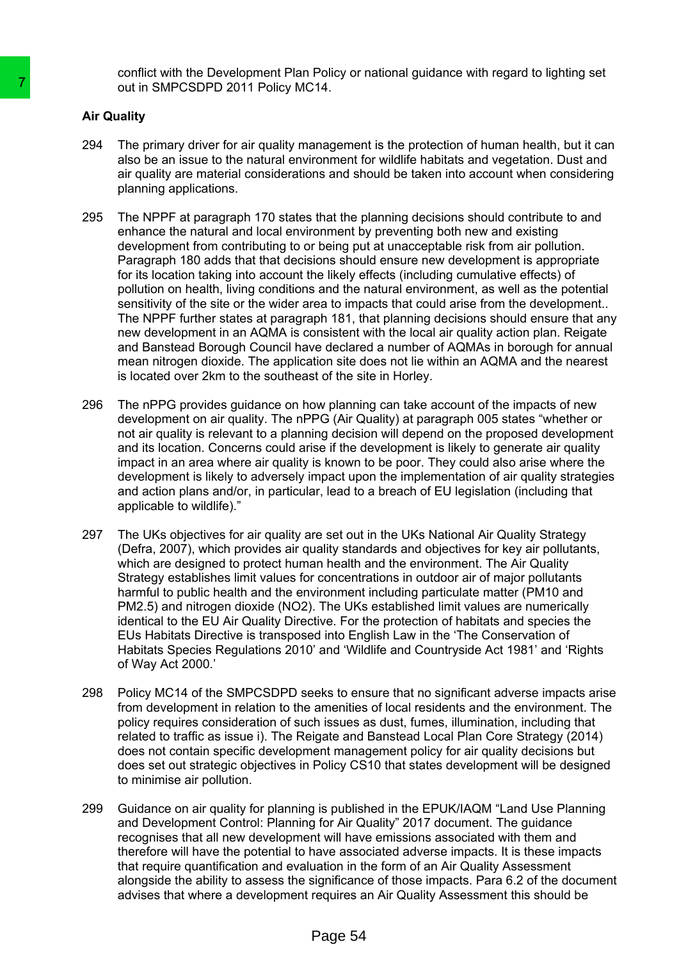conflict with the Development Plan Policy or national guidance with regard to lighting set out in SMPCSDPD 2011 Policy MC14.

## **Air Quality**

- 294 The primary driver for air quality management is the protection of human health, but it can also be an issue to the natural environment for wildlife habitats and vegetation. Dust and air quality are material considerations and should be taken into account when considering planning applications.
- 295 The NPPF at paragraph 170 states that the planning decisions should contribute to and enhance the natural and local environment by preventing both new and existing development from contributing to or being put at unacceptable risk from air pollution. Paragraph 180 adds that that decisions should ensure new development is appropriate for its location taking into account the likely effects (including cumulative effects) of pollution on health, living conditions and the natural environment, as well as the potential sensitivity of the site or the wider area to impacts that could arise from the development.. The NPPF further states at paragraph 181, that planning decisions should ensure that any new development in an AQMA is consistent with the local air quality action plan. Reigate and Banstead Borough Council have declared a number of AQMAs in borough for annual mean nitrogen dioxide. The application site does not lie within an AQMA and the nearest is located over 2km to the southeast of the site in Horley. out in SMPCSDPD 2011 Poilicy MC14.<br>
and Quality<br>
2044 The primary driver for air quality management<br>
The primary driver for air quality management<br>
also be an issue to the natural environment for air quality are material c
	- 296 The nPPG provides guidance on how planning can take account of the impacts of new development on air quality. The nPPG (Air Quality) at paragraph 005 states "whether or not air quality is relevant to a planning decision will depend on the proposed development and its location. Concerns could arise if the development is likely to generate air quality impact in an area where air quality is known to be poor. They could also arise where the development is likely to adversely impact upon the implementation of air quality strategies and action plans and/or, in particular, lead to a breach of EU legislation (including that applicable to wildlife)."
	- 297 The UKs objectives for air quality are set out in the UKs National Air Quality Strategy (Defra, 2007), which provides air quality standards and objectives for key air pollutants, which are designed to protect human health and the environment. The Air Quality Strategy establishes limit values for concentrations in outdoor air of major pollutants harmful to public health and the environment including particulate matter (PM10 and PM2.5) and nitrogen dioxide (NO2). The UKs established limit values are numerically identical to the EU Air Quality Directive. For the protection of habitats and species the EUs Habitats Directive is transposed into English Law in the 'The Conservation of Habitats Species Regulations 2010' and 'Wildlife and Countryside Act 1981' and 'Rights of Way Act 2000.'
	- 298 Policy MC14 of the SMPCSDPD seeks to ensure that no significant adverse impacts arise from development in relation to the amenities of local residents and the environment. The policy requires consideration of such issues as dust, fumes, illumination, including that related to traffic as issue i). The Reigate and Banstead Local Plan Core Strategy (2014) does not contain specific development management policy for air quality decisions but does set out strategic objectives in Policy CS10 that states development will be designed to minimise air pollution.
	- 299 Guidance on air quality for planning is published in the EPUK/IAQM "Land Use Planning and Development Control: Planning for Air Quality" 2017 document. The guidance recognises that all new development will have emissions associated with them and therefore will have the potential to have associated adverse impacts. It is these impacts that require quantification and evaluation in the form of an Air Quality Assessment alongside the ability to assess the significance of those impacts. Para 6.2 of the document advises that where a development requires an Air Quality Assessment this should be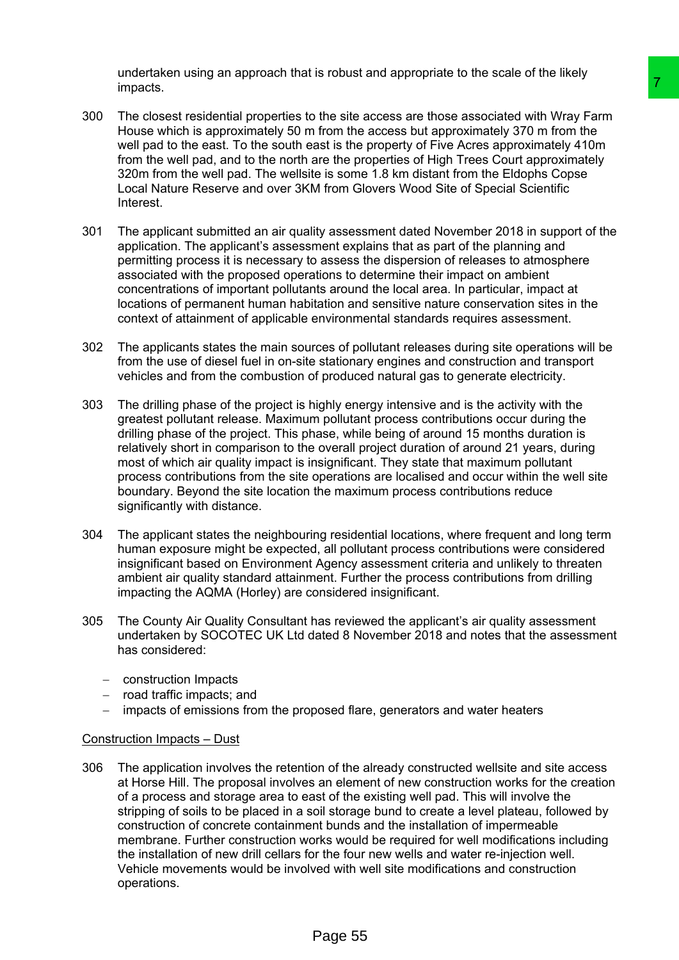undertaken using an approach that is robust and appropriate to the scale of the likely impacts.

- 300 The closest residential properties to the site access are those associated with Wray Farm House which is approximately 50 m from the access but approximately 370 m from the well pad to the east. To the south east is the property of Five Acres approximately 410m from the well pad, and to the north are the properties of High Trees Court approximately 320m from the well pad. The wellsite is some 1.8 km distant from the Eldophs Copse Local Nature Reserve and over 3KM from Glovers Wood Site of Special Scientific **Interest**
- 301 The applicant submitted an air quality assessment dated November 2018 in support of the application. The applicant's assessment explains that as part of the planning and permitting process it is necessary to assess the dispersion of releases to atmosphere associated with the proposed operations to determine their impact on ambient concentrations of important pollutants around the local area. In particular, impact at locations of permanent human habitation and sensitive nature conservation sites in the context of attainment of applicable environmental standards requires assessment.
- 302 The applicants states the main sources of pollutant releases during site operations will be from the use of diesel fuel in on-site stationary engines and construction and transport vehicles and from the combustion of produced natural gas to generate electricity.
- 303 The drilling phase of the project is highly energy intensive and is the activity with the greatest pollutant release. Maximum pollutant process contributions occur during the drilling phase of the project. This phase, while being of around 15 months duration is relatively short in comparison to the overall project duration of around 21 years, during most of which air quality impact is insignificant. They state that maximum pollutant process contributions from the site operations are localised and occur within the well site boundary. Beyond the site location the maximum process contributions reduce significantly with distance.
- 304 The applicant states the neighbouring residential locations, where frequent and long term human exposure might be expected, all pollutant process contributions were considered insignificant based on Environment Agency assessment criteria and unlikely to threaten ambient air quality standard attainment. Further the process contributions from drilling impacting the AQMA (Horley) are considered insignificant.
- 305 The County Air Quality Consultant has reviewed the applicant's air quality assessment undertaken by SOCOTEC UK Ltd dated 8 November 2018 and notes that the assessment has considered:
	- construction Impacts
	- $-$  road traffic impacts; and
	- impacts of emissions from the proposed flare, generators and water heaters

## Construction Impacts – Dust

306 The application involves the retention of the already constructed wellsite and site access at Horse Hill. The proposal involves an element of new construction works for the creation of a process and storage area to east of the existing well pad. This will involve the stripping of soils to be placed in a soil storage bund to create a level plateau, followed by construction of concrete containment bunds and the installation of impermeable membrane. Further construction works would be required for well modifications including the installation of new drill cellars for the four new wells and water re-injection well. Vehicle movements would be involved with well site modifications and construction operations. The site access are those associated with Wray Farm<br>then the site access are those associated with Wray Farm<br>then the access but approximately 370 m from the<br>are the property of Five Acres approximately 410m<br>are the proper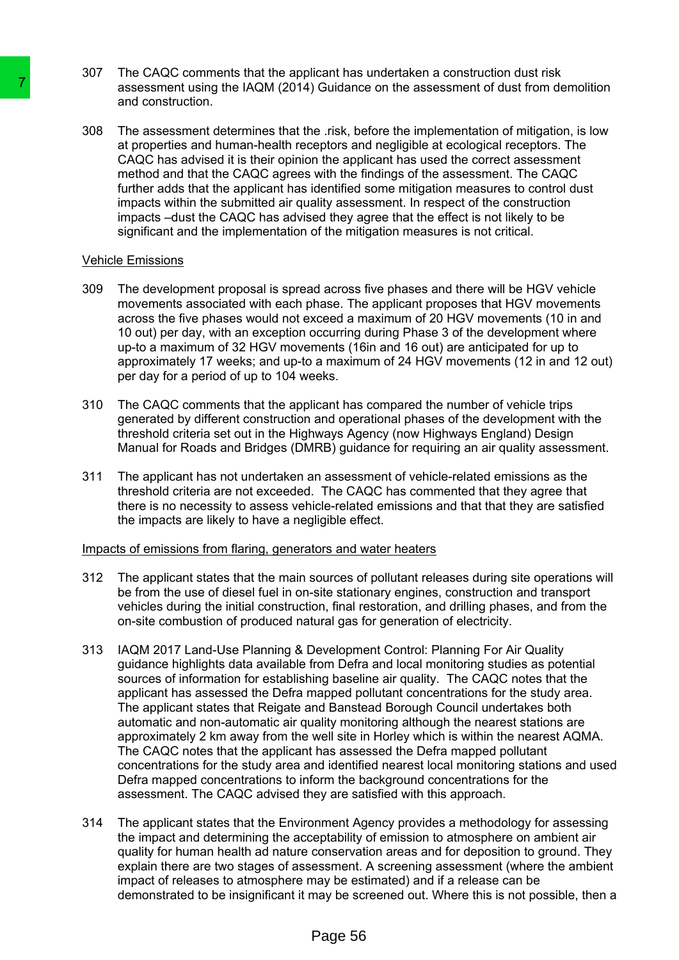- 307 The CAQC comments that the applicant has undertaken a construction dust risk assessment using the IAQM (2014) Guidance on the assessment of dust from demolition and construction.
- 308 The assessment determines that the .risk, before the implementation of mitigation, is low at properties and human-health receptors and negligible at ecological receptors. The CAQC has advised it is their opinion the applicant has used the correct assessment method and that the CAQC agrees with the findings of the assessment. The CAQC further adds that the applicant has identified some mitigation measures to control dust impacts within the submitted air quality assessment. In respect of the construction impacts –dust the CAQC has advised they agree that the effect is not likely to be significant and the implementation of the mitigation measures is not critical.

#### Vehicle Emissions

- 309 The development proposal is spread across five phases and there will be HGV vehicle movements associated with each phase. The applicant proposes that HGV movements across the five phases would not exceed a maximum of 20 HGV movements (10 in and 10 out) per day, with an exception occurring during Phase 3 of the development where up-to a maximum of 32 HGV movements (16in and 16 out) are anticipated for up to approximately 17 weeks; and up-to a maximum of 24 HGV movements (12 in and 12 out) per day for a period of up to 104 weeks.
- 310 The CAQC comments that the applicant has compared the number of vehicle trips generated by different construction and operational phases of the development with the threshold criteria set out in the Highways Agency (now Highways England) Design Manual for Roads and Bridges (DMRB) guidance for requiring an air quality assessment.
- 311 The applicant has not undertaken an assessment of vehicle-related emissions as the threshold criteria are not exceeded. The CAQC has commented that they agree that there is no necessity to assess vehicle-related emissions and that that they are satisfied the impacts are likely to have a negligible effect.

#### Impacts of emissions from flaring, generators and water heaters

- 312 The applicant states that the main sources of pollutant releases during site operations will be from the use of diesel fuel in on-site stationary engines, construction and transport vehicles during the initial construction, final restoration, and drilling phases, and from the on-site combustion of produced natural gas for generation of electricity.
- 313 IAQM 2017 Land-Use Planning & Development Control: Planning For Air Quality guidance highlights data available from Defra and local monitoring studies as potential sources of information for establishing baseline air quality. The CAQC notes that the applicant has assessed the Defra mapped pollutant concentrations for the study area. The applicant states that Reigate and Banstead Borough Council undertakes both automatic and non-automatic air quality monitoring although the nearest stations are approximately 2 km away from the well site in Horley which is within the nearest AQMA. The CAQC notes that the applicant has assessed the Defra mapped pollutant concentrations for the study area and identified nearest local monitoring stations and used Defra mapped concentrations to inform the background concentrations for the assessment. The CAQC advised they are satisfied with this approach. Transsessment using the IAQM (2014) culturance<br>
assessment using the IAQM (2014) Culturance<br>
308 The assessment determines that the .risk, be<br>
at construction, the match there are two compares in the match of the CAOC ans
	- 314 The applicant states that the Environment Agency provides a methodology for assessing the impact and determining the acceptability of emission to atmosphere on ambient air quality for human health ad nature conservation areas and for deposition to ground. They explain there are two stages of assessment. A screening assessment (where the ambient impact of releases to atmosphere may be estimated) and if a release can be demonstrated to be insignificant it may be screened out. Where this is not possible, then a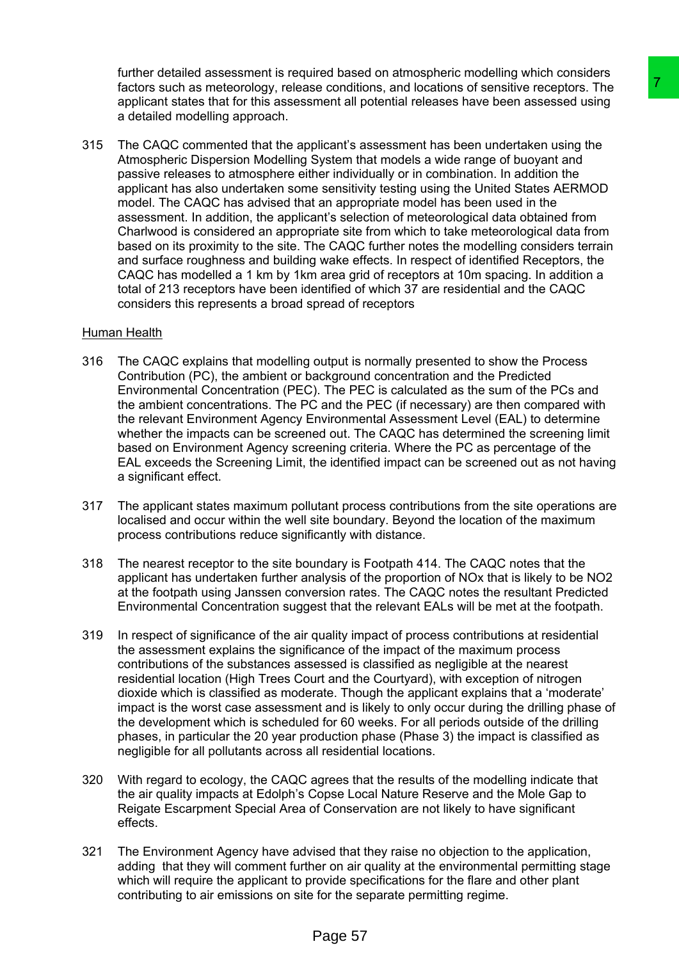further detailed assessment is required based on atmospheric modelling which considers factors such as meteorology, release conditions, and locations of sensitive receptors. The applicant states that for this assessment all potential releases have been assessed using a detailed modelling approach.

315 The CAQC commented that the applicant's assessment has been undertaken using the Atmospheric Dispersion Modelling System that models a wide range of buoyant and passive releases to atmosphere either individually or in combination. In addition the applicant has also undertaken some sensitivity testing using the United States AERMOD model. The CAQC has advised that an appropriate model has been used in the assessment. In addition, the applicant's selection of meteorological data obtained from Charlwood is considered an appropriate site from which to take meteorological data from based on its proximity to the site. The CAQC further notes the modelling considers terrain and surface roughness and building wake effects. In respect of identified Receptors, the CAQC has modelled a 1 km by 1km area grid of receptors at 10m spacing. In addition a total of 213 receptors have been identified of which 37 are residential and the CAQC considers this represents a broad spread of receptors ise conditions, and locations of sensitive receptors. The<br>ment all plactning relates to aver been assessed using<br>plicant's assessment has been undertaken using the<br>plicant's assessment has been undertaken using the<br>System

#### Human Health

- 316 The CAQC explains that modelling output is normally presented to show the Process Contribution (PC), the ambient or background concentration and the Predicted Environmental Concentration (PEC). The PEC is calculated as the sum of the PCs and the ambient concentrations. The PC and the PEC (if necessary) are then compared with the relevant Environment Agency Environmental Assessment Level (EAL) to determine whether the impacts can be screened out. The CAQC has determined the screening limit based on Environment Agency screening criteria. Where the PC as percentage of the EAL exceeds the Screening Limit, the identified impact can be screened out as not having a significant effect.
- 317 The applicant states maximum pollutant process contributions from the site operations are localised and occur within the well site boundary. Beyond the location of the maximum process contributions reduce significantly with distance.
- 318 The nearest receptor to the site boundary is Footpath 414. The CAQC notes that the applicant has undertaken further analysis of the proportion of NOx that is likely to be NO2 at the footpath using Janssen conversion rates. The CAQC notes the resultant Predicted Environmental Concentration suggest that the relevant EALs will be met at the footpath.
- 319 In respect of significance of the air quality impact of process contributions at residential the assessment explains the significance of the impact of the maximum process contributions of the substances assessed is classified as negligible at the nearest residential location (High Trees Court and the Courtyard), with exception of nitrogen dioxide which is classified as moderate. Though the applicant explains that a 'moderate' impact is the worst case assessment and is likely to only occur during the drilling phase of the development which is scheduled for 60 weeks. For all periods outside of the drilling phases, in particular the 20 year production phase (Phase 3) the impact is classified as negligible for all pollutants across all residential locations.
- 320 With regard to ecology, the CAQC agrees that the results of the modelling indicate that the air quality impacts at Edolph's Copse Local Nature Reserve and the Mole Gap to Reigate Escarpment Special Area of Conservation are not likely to have significant effects.
- 321 The Environment Agency have advised that they raise no objection to the application, adding that they will comment further on air quality at the environmental permitting stage which will require the applicant to provide specifications for the flare and other plant contributing to air emissions on site for the separate permitting regime.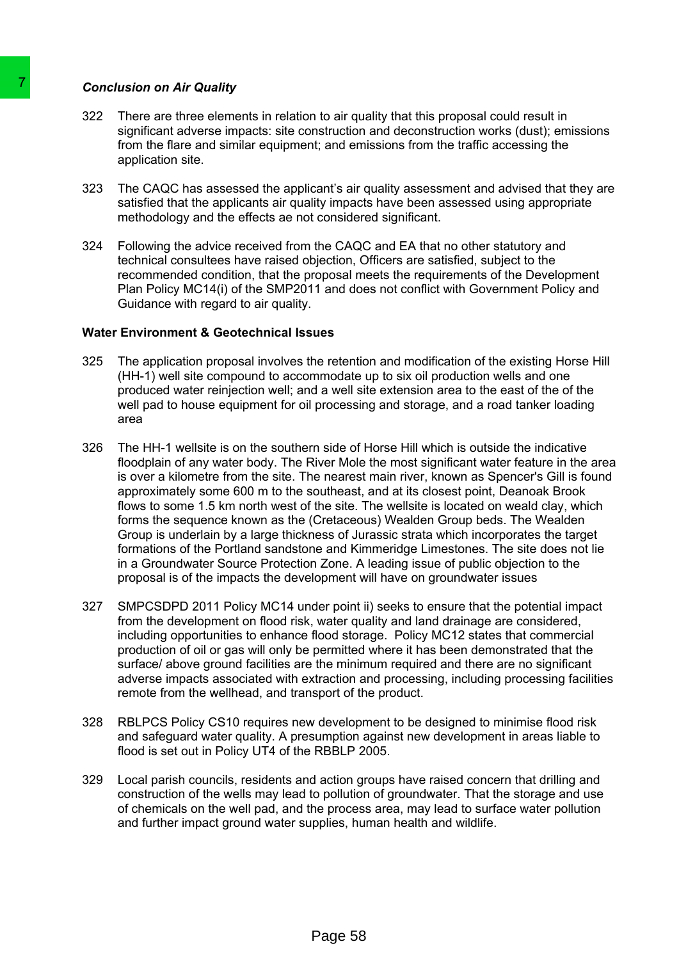#### *Conclusion on Air Quality*

- 322 There are three elements in relation to air quality that this proposal could result in significant adverse impacts: site construction and deconstruction works (dust); emissions from the flare and similar equipment; and emissions from the traffic accessing the application site.
- 323 The CAQC has assessed the applicant's air quality assessment and advised that they are satisfied that the applicants air quality impacts have been assessed using appropriate methodology and the effects ae not considered significant.
- 324 Following the advice received from the CAQC and EA that no other statutory and technical consultees have raised objection, Officers are satisfied, subject to the recommended condition, that the proposal meets the requirements of the Development Plan Policy MC14(i) of the SMP2011 and does not conflict with Government Policy and Guidance with regard to air quality.

#### **Water Environment & Geotechnical Issues**

- 325 The application proposal involves the retention and modification of the existing Horse Hill (HH-1) well site compound to accommodate up to six oil production wells and one produced water reinjection well; and a well site extension area to the east of the of the well pad to house equipment for oil processing and storage, and a road tanker loading area
- 326 The HH-1 wellsite is on the southern side of Horse Hill which is outside the indicative floodplain of any water body. The River Mole the most significant water feature in the area is over a kilometre from the site. The nearest main river, known as Spencer's Gill is found approximately some 600 m to the southeast, and at its closest point, Deanoak Brook flows to some 1.5 km north west of the site. The wellsite is located on weald clay, which forms the sequence known as the (Cretaceous) Wealden Group beds. The Wealden Group is underlain by a large thickness of Jurassic strata which incorporates the target formations of the Portland sandstone and Kimmeridge Limestones. The site does not lie in a Groundwater Source Protection Zone. A leading issue of public objection to the proposal is of the impacts the development will have on groundwater issues Conclusion on Air Quality<br>
322 There are three elements in relation to air qu<br>
significant adverse impacts: site construction<br>
from the flare and similar equipment; and em<br>
significant adverse impacts is electrochic and s
	- 327 SMPCSDPD 2011 Policy MC14 under point ii) seeks to ensure that the potential impact from the development on flood risk, water quality and land drainage are considered, including opportunities to enhance flood storage. Policy MC12 states that commercial production of oil or gas will only be permitted where it has been demonstrated that the surface/ above ground facilities are the minimum required and there are no significant adverse impacts associated with extraction and processing, including processing facilities remote from the wellhead, and transport of the product.
	- 328 RBLPCS Policy CS10 requires new development to be designed to minimise flood risk and safeguard water quality. A presumption against new development in areas liable to flood is set out in Policy UT4 of the RBBLP 2005.
	- 329 Local parish councils, residents and action groups have raised concern that drilling and construction of the wells may lead to pollution of groundwater. That the storage and use of chemicals on the well pad, and the process area, may lead to surface water pollution and further impact ground water supplies, human health and wildlife.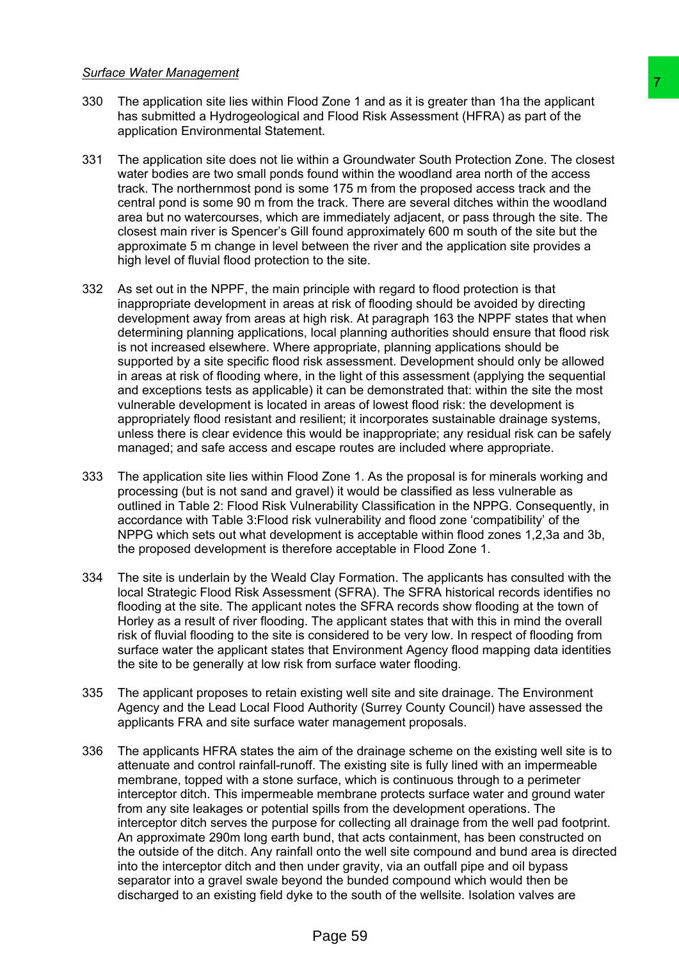#### *Surface Water Management*

- 330 The application site lies within Flood Zone 1 and as it is greater than 1ha the applicant has submitted a Hydrogeological and Flood Risk Assessment (HFRA) as part of the application Environmental Statement.
- 331 The application site does not lie within a Groundwater South Protection Zone. The closest water bodies are two small ponds found within the woodland area north of the access track. The northernmost pond is some 175 m from the proposed access track and the central pond is some 90 m from the track. There are several ditches within the woodland area but no watercourses, which are immediately adjacent, or pass through the site. The closest main river is Spencer's Gill found approximately 600 m south of the site but the approximate 5 m change in level between the river and the application site provides a high level of fluvial flood protection to the site.
- 332 As set out in the NPPF, the main principle with regard to flood protection is that inappropriate development in areas at risk of flooding should be avoided by directing development away from areas at high risk. At paragraph 163 the NPPF states that when determining planning applications, local planning authorities should ensure that flood risk is not increased elsewhere. Where appropriate, planning applications should be supported by a site specific flood risk assessment. Development should only be allowed in areas at risk of flooding where, in the light of this assessment (applying the sequential and exceptions tests as applicable) it can be demonstrated that: within the site the most vulnerable development is located in areas of lowest flood risk: the development is appropriately flood resistant and resilient; it incorporates sustainable drainage systems, unless there is clear evidence this would be inappropriate; any residual risk can be safely managed; and safe access and escape routes are included where appropriate. d Zone 1 and as it is greater than that the applicant T<br>
The Tood Risk Assessment (HFRA) as part of the<br>
thin a Groundwater South Protection Zone. The closest<br>
nt.<br>
thin a Groundwater South Protection Zone. The closest<br>
nu
- 333 The application site lies within Flood Zone 1. As the proposal is for minerals working and processing (but is not sand and gravel) it would be classified as less vulnerable as outlined in Table 2: Flood Risk Vulnerability Classification in the NPPG. Consequently, in accordance with Table 3:Flood risk vulnerability and flood zone 'compatibility' of the NPPG which sets out what development is acceptable within flood zones 1,2,3a and 3b, the proposed development is therefore acceptable in Flood Zone 1.
- 334 The site is underlain by the Weald Clay Formation. The applicants has consulted with the local Strategic Flood Risk Assessment (SFRA). The SFRA historical records identifies no flooding at the site. The applicant notes the SFRA records show flooding at the town of Horley as a result of river flooding. The applicant states that with this in mind the overall risk of fluvial flooding to the site is considered to be very low. In respect of flooding from surface water the applicant states that Environment Agency flood mapping data identities the site to be generally at low risk from surface water flooding.
- 335 The applicant proposes to retain existing well site and site drainage. The Environment Agency and the Lead Local Flood Authority (Surrey County Council) have assessed the applicants FRA and site surface water management proposals.
- 336 The applicants HFRA states the aim of the drainage scheme on the existing well site is to attenuate and control rainfall-runoff. The existing site is fully lined with an impermeable membrane, topped with a stone surface, which is continuous through to a perimeter interceptor ditch. This impermeable membrane protects surface water and ground water from any site leakages or potential spills from the development operations. The interceptor ditch serves the purpose for collecting all drainage from the well pad footprint. An approximate 290m long earth bund, that acts containment, has been constructed on the outside of the ditch. Any rainfall onto the well site compound and bund area is directed into the interceptor ditch and then under gravity, via an outfall pipe and oil bypass separator into a gravel swale beyond the bunded compound which would then be discharged to an existing field dyke to the south of the wellsite. Isolation valves are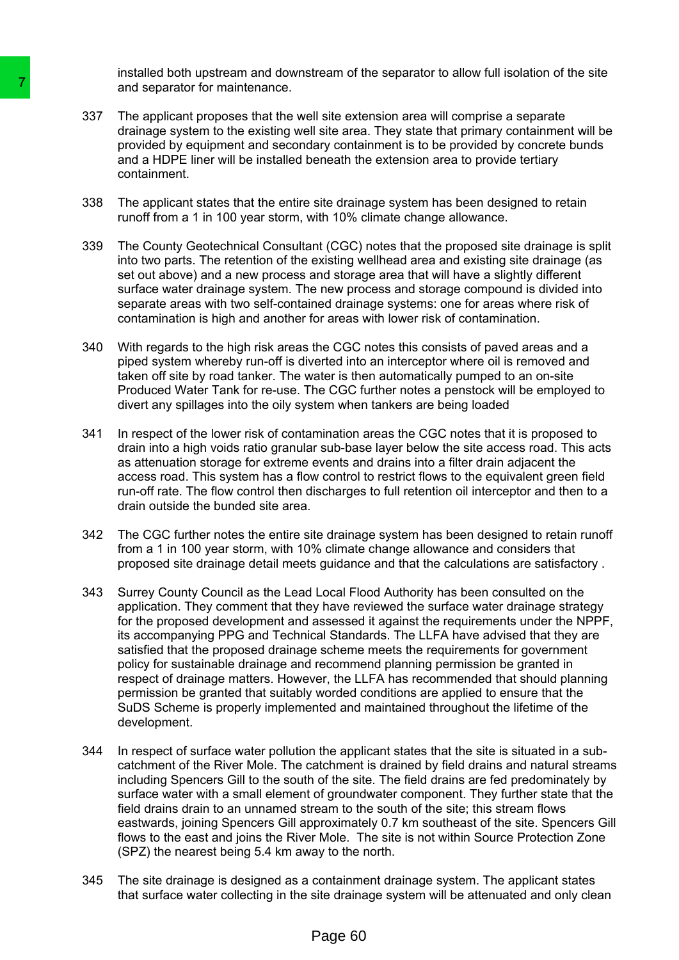installed both upstream and downstream of the separator to allow full isolation of the site and separator for maintenance.

- 337 The applicant proposes that the well site extension area will comprise a separate drainage system to the existing well site area. They state that primary containment will be provided by equipment and secondary containment is to be provided by concrete bunds and a HDPE liner will be installed beneath the extension area to provide tertiary containment.
- 338 The applicant states that the entire site drainage system has been designed to retain runoff from a 1 in 100 year storm, with 10% climate change allowance.
- 339 The County Geotechnical Consultant (CGC) notes that the proposed site drainage is split into two parts. The retention of the existing wellhead area and existing site drainage (as set out above) and a new process and storage area that will have a slightly different surface water drainage system. The new process and storage compound is divided into separate areas with two self-contained drainage systems: one for areas where risk of contamination is high and another for areas with lower risk of contamination.
- 340 With regards to the high risk areas the CGC notes this consists of paved areas and a piped system whereby run-off is diverted into an interceptor where oil is removed and taken off site by road tanker. The water is then automatically pumped to an on-site Produced Water Tank for re-use. The CGC further notes a penstock will be employed to divert any spillages into the oily system when tankers are being loaded
- 341 In respect of the lower risk of contamination areas the CGC notes that it is proposed to drain into a high voids ratio granular sub-base layer below the site access road. This acts as attenuation storage for extreme events and drains into a filter drain adjacent the access road. This system has a flow control to restrict flows to the equivalent green field run-off rate. The flow control then discharges to full retention oil interceptor and then to a drain outside the bunded site area.
- 342 The CGC further notes the entire site drainage system has been designed to retain runoff from a 1 in 100 year storm, with 10% climate change allowance and considers that proposed site drainage detail meets guidance and that the calculations are satisfactory .
- 343 Surrey County Council as the Lead Local Flood Authority has been consulted on the application. They comment that they have reviewed the surface water drainage strategy for the proposed development and assessed it against the requirements under the NPPF, its accompanying PPG and Technical Standards. The LLFA have advised that they are satisfied that the proposed drainage scheme meets the requirements for government policy for sustainable drainage and recommend planning permission be granted in respect of drainage matters. However, the LLFA has recommended that should planning permission be granted that suitably worded conditions are applied to ensure that the SuDS Scheme is properly implemented and maintained throughout the lifetime of the development. 7 and separator for maintenance.<br>
337 The applicant proposes that the well site externance of this experiment and secondary contain the system to the existing well site area provided by equipment and secondary contains co
	- 344 In respect of surface water pollution the applicant states that the site is situated in a subcatchment of the River Mole. The catchment is drained by field drains and natural streams including Spencers Gill to the south of the site. The field drains are fed predominately by surface water with a small element of groundwater component. They further state that the field drains drain to an unnamed stream to the south of the site; this stream flows eastwards, joining Spencers Gill approximately 0.7 km southeast of the site. Spencers Gill flows to the east and joins the River Mole. The site is not within Source Protection Zone (SPZ) the nearest being 5.4 km away to the north.
	- 345 The site drainage is designed as a containment drainage system. The applicant states that surface water collecting in the site drainage system will be attenuated and only clean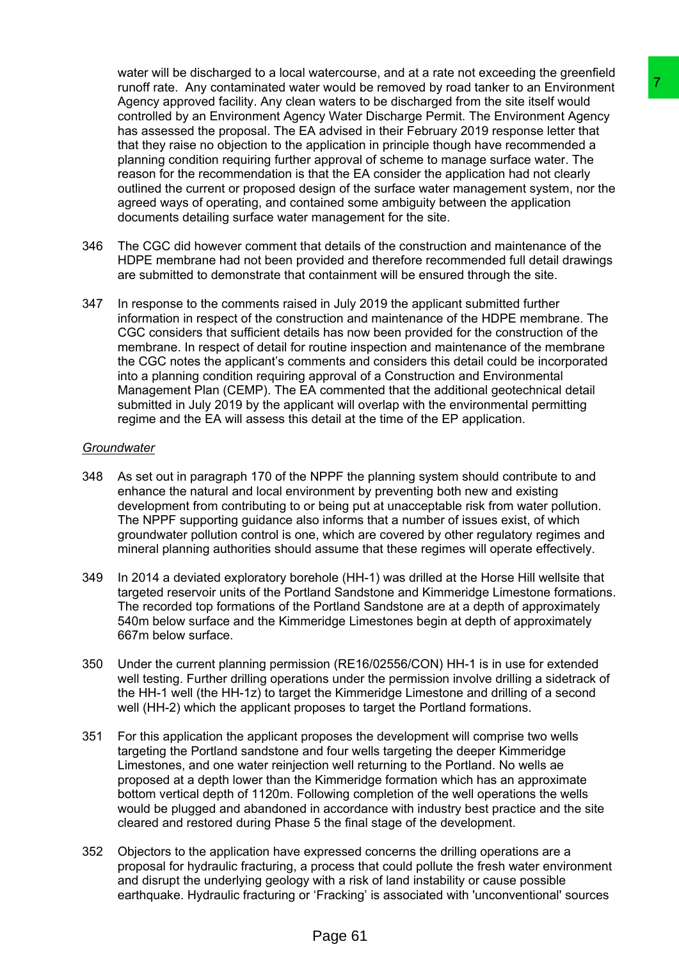water will be discharged to a local watercourse, and at a rate not exceeding the greenfield runoff rate. Any contaminated water would be removed by road tanker to an Environment Agency approved facility. Any clean waters to be discharged from the site itself would controlled by an Environment Agency Water Discharge Permit. The Environment Agency has assessed the proposal. The EA advised in their February 2019 response letter that that they raise no objection to the application in principle though have recommended a planning condition requiring further approval of scheme to manage surface water. The reason for the recommendation is that the EA consider the application had not clearly outlined the current or proposed design of the surface water management system, nor the agreed ways of operating, and contained some ambiguity between the application documents detailing surface water management for the site. r would be removed by road tanker to ain Environment<br>waveles to be discharged from the site lits En<sup>V</sup>ironnent<br>waveles to be discharged from the site lits En<sup>Viron</sup><br>could a divised Discharge Permit. The Environment Agency<br>

- 346 The CGC did however comment that details of the construction and maintenance of the HDPE membrane had not been provided and therefore recommended full detail drawings are submitted to demonstrate that containment will be ensured through the site.
- 347 In response to the comments raised in July 2019 the applicant submitted further information in respect of the construction and maintenance of the HDPE membrane. The CGC considers that sufficient details has now been provided for the construction of the membrane. In respect of detail for routine inspection and maintenance of the membrane the CGC notes the applicant's comments and considers this detail could be incorporated into a planning condition requiring approval of a Construction and Environmental Management Plan (CEMP). The EA commented that the additional geotechnical detail submitted in July 2019 by the applicant will overlap with the environmental permitting regime and the EA will assess this detail at the time of the EP application.

#### *Groundwater*

- 348 As set out in paragraph 170 of the NPPF the planning system should contribute to and enhance the natural and local environment by preventing both new and existing development from contributing to or being put at unacceptable risk from water pollution. The NPPF supporting guidance also informs that a number of issues exist, of which groundwater pollution control is one, which are covered by other regulatory regimes and mineral planning authorities should assume that these regimes will operate effectively.
- 349 In 2014 a deviated exploratory borehole (HH-1) was drilled at the Horse Hill wellsite that targeted reservoir units of the Portland Sandstone and Kimmeridge Limestone formations. The recorded top formations of the Portland Sandstone are at a depth of approximately 540m below surface and the Kimmeridge Limestones begin at depth of approximately 667m below surface.
- 350 Under the current planning permission (RE16/02556/CON) HH-1 is in use for extended well testing. Further drilling operations under the permission involve drilling a sidetrack of the HH-1 well (the HH-1z) to target the Kimmeridge Limestone and drilling of a second well (HH-2) which the applicant proposes to target the Portland formations.
- 351 For this application the applicant proposes the development will comprise two wells targeting the Portland sandstone and four wells targeting the deeper Kimmeridge Limestones, and one water reinjection well returning to the Portland. No wells ae proposed at a depth lower than the Kimmeridge formation which has an approximate bottom vertical depth of 1120m. Following completion of the well operations the wells would be plugged and abandoned in accordance with industry best practice and the site cleared and restored during Phase 5 the final stage of the development.
- 352 Objectors to the application have expressed concerns the drilling operations are a proposal for hydraulic fracturing, a process that could pollute the fresh water environment and disrupt the underlying geology with a risk of land instability or cause possible earthquake. Hydraulic fracturing or 'Fracking' is associated with 'unconventional' sources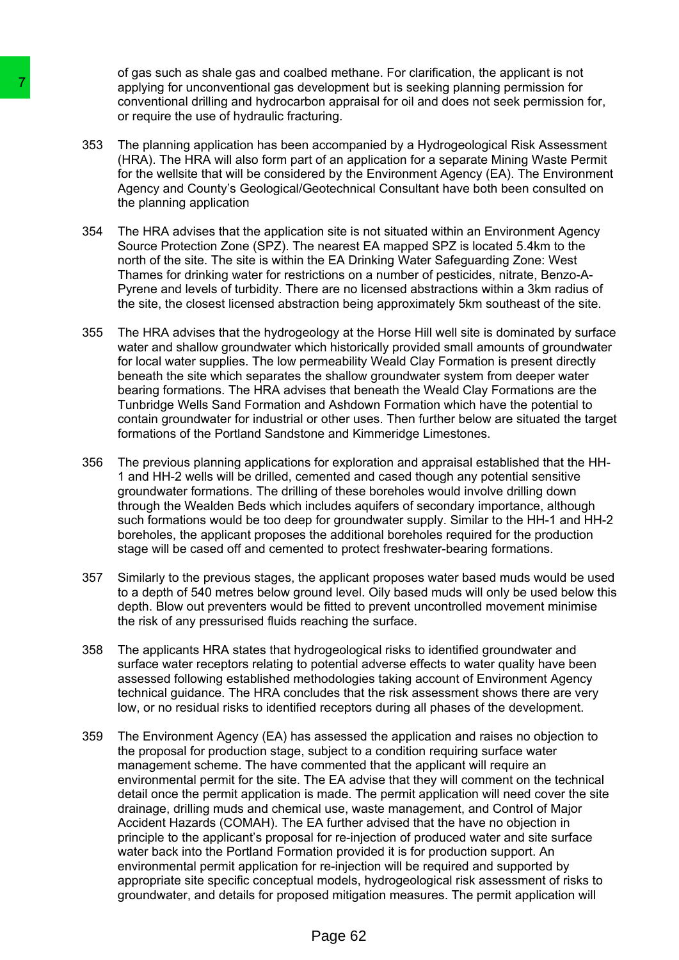of gas such as shale gas and coalbed methane. For clarification, the applicant is not applying for unconventional gas development but is seeking planning permission for conventional drilling and hydrocarbon appraisal for oil and does not seek permission for, or require the use of hydraulic fracturing.

- 353 The planning application has been accompanied by a Hydrogeological Risk Assessment (HRA). The HRA will also form part of an application for a separate Mining Waste Permit for the wellsite that will be considered by the Environment Agency (EA). The Environment Agency and County's Geological/Geotechnical Consultant have both been consulted on the planning application
- 354 The HRA advises that the application site is not situated within an Environment Agency Source Protection Zone (SPZ). The nearest EA mapped SPZ is located 5.4km to the north of the site. The site is within the EA Drinking Water Safeguarding Zone: West Thames for drinking water for restrictions on a number of pesticides, nitrate, Benzo-A-Pyrene and levels of turbidity. There are no licensed abstractions within a 3km radius of the site, the closest licensed abstraction being approximately 5km southeast of the site.
- 355 The HRA advises that the hydrogeology at the Horse Hill well site is dominated by surface water and shallow groundwater which historically provided small amounts of groundwater for local water supplies. The low permeability Weald Clay Formation is present directly beneath the site which separates the shallow groundwater system from deeper water bearing formations. The HRA advises that beneath the Weald Clay Formations are the Tunbridge Wells Sand Formation and Ashdown Formation which have the potential to contain groundwater for industrial or other uses. Then further below are situated the target formations of the Portland Sandstone and Kimmeridge Limestones.
- 356 The previous planning applications for exploration and appraisal established that the HH-1 and HH-2 wells will be drilled, cemented and cased though any potential sensitive groundwater formations. The drilling of these boreholes would involve drilling down through the Wealden Beds which includes aquifers of secondary importance, although such formations would be too deep for groundwater supply. Similar to the HH-1 and HH-2 boreholes, the applicant proposes the additional boreholes required for the production stage will be cased off and cemented to protect freshwater-bearing formations.
- 357 Similarly to the previous stages, the applicant proposes water based muds would be used to a depth of 540 metres below ground level. Oily based muds will only be used below this depth. Blow out preventers would be fitted to prevent uncontrolled movement minimise the risk of any pressurised fluids reaching the surface.
- 358 The applicants HRA states that hydrogeological risks to identified groundwater and surface water receptors relating to potential adverse effects to water quality have been assessed following established methodologies taking account of Environment Agency technical guidance. The HRA concludes that the risk assessment shows there are very low, or no residual risks to identified receptors during all phases of the development.
- 359 The Environment Agency (EA) has assessed the application and raises no objection to the proposal for production stage, subject to a condition requiring surface water management scheme. The have commented that the applicant will require an environmental permit for the site. The EA advise that they will comment on the technical detail once the permit application is made. The permit application will need cover the site drainage, drilling muds and chemical use, waste management, and Control of Major Accident Hazards (COMAH). The EA further advised that the have no objection in principle to the applicant's proposal for re-injection of produced water and site surface water back into the Portland Formation provided it is for production support. An environmental permit application for re-injection will be required and supported by appropriate site specific conceptual models, hydrogeological risk assessment of risks to groundwater, and details for proposed mitigation measures. The permit application will Transport of the user of the same and development of the proposition for unconventional dialities and bytocarbon appraised or require the use of hydraulic fracturing-<br>1353 The planning application has been accomparation of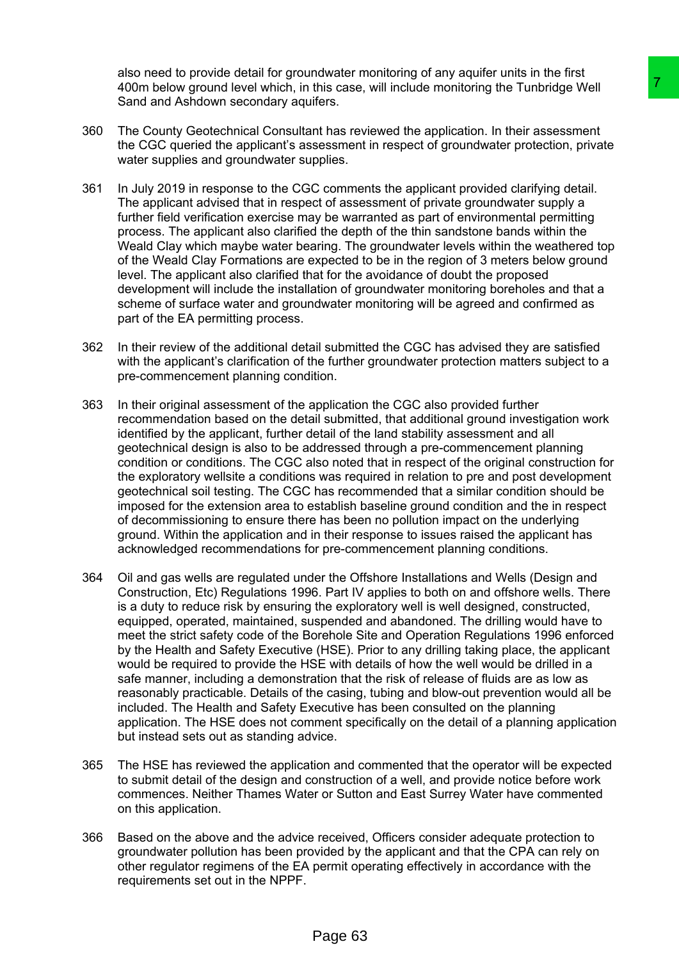also need to provide detail for groundwater monitoring of any aquifer units in the first 400m below ground level which, in this case, will include monitoring the Tunbridge Well Sand and Ashdown secondary aquifers.

- 360 The County Geotechnical Consultant has reviewed the application. In their assessment the CGC queried the applicant's assessment in respect of groundwater protection, private water supplies and groundwater supplies.
- 361 In July 2019 in response to the CGC comments the applicant provided clarifying detail. The applicant advised that in respect of assessment of private groundwater supply a further field verification exercise may be warranted as part of environmental permitting process. The applicant also clarified the depth of the thin sandstone bands within the Weald Clay which maybe water bearing. The groundwater levels within the weathered top of the Weald Clay Formations are expected to be in the region of 3 meters below ground level. The applicant also clarified that for the avoidance of doubt the proposed development will include the installation of groundwater monitoring boreholes and that a scheme of surface water and groundwater monitoring will be agreed and confirmed as part of the EA permitting process.
- 362 In their review of the additional detail submitted the CGC has advised they are satisfied with the applicant's clarification of the further groundwater protection matters subject to a pre-commencement planning condition.
- 363 In their original assessment of the application the CGC also provided further recommendation based on the detail submitted, that additional ground investigation work identified by the applicant, further detail of the land stability assessment and all geotechnical design is also to be addressed through a pre-commencement planning condition or conditions. The CGC also noted that in respect of the original construction for the exploratory wellsite a conditions was required in relation to pre and post development geotechnical soil testing. The CGC has recommended that a similar condition should be imposed for the extension area to establish baseline ground condition and the in respect of decommissioning to ensure there has been no pollution impact on the underlying ground. Within the application and in their response to issues raised the applicant has acknowledged recommendations for pre-commencement planning conditions.
- 364 Oil and gas wells are regulated under the Offshore Installations and Wells (Design and Construction, Etc) Regulations 1996. Part IV applies to both on and offshore wells. There is a duty to reduce risk by ensuring the exploratory well is well designed, constructed, equipped, operated, maintained, suspended and abandoned. The drilling would have to meet the strict safety code of the Borehole Site and Operation Regulations 1996 enforced by the Health and Safety Executive (HSE). Prior to any drilling taking place, the applicant would be required to provide the HSE with details of how the well would be drilled in a safe manner, including a demonstration that the risk of release of fluids are as low as reasonably practicable. Details of the casing, tubing and blow-out prevention would all be included. The Health and Safety Executive has been consulted on the planning application. The HSE does not comment specifically on the detail of a planning application but instead sets out as standing advice. this case, will include monitoring the Tunbridge Well<br>thers.<br>This case, will include monitoring the Tunbridge Well<br>thers.<br>This are viewed the application. In their assessment<br>resessment in respect of groundwater protection
- 365 The HSE has reviewed the application and commented that the operator will be expected to submit detail of the design and construction of a well, and provide notice before work commences. Neither Thames Water or Sutton and East Surrey Water have commented on this application.
- 366 Based on the above and the advice received, Officers consider adequate protection to groundwater pollution has been provided by the applicant and that the CPA can rely on other regulator regimens of the EA permit operating effectively in accordance with the requirements set out in the NPPF.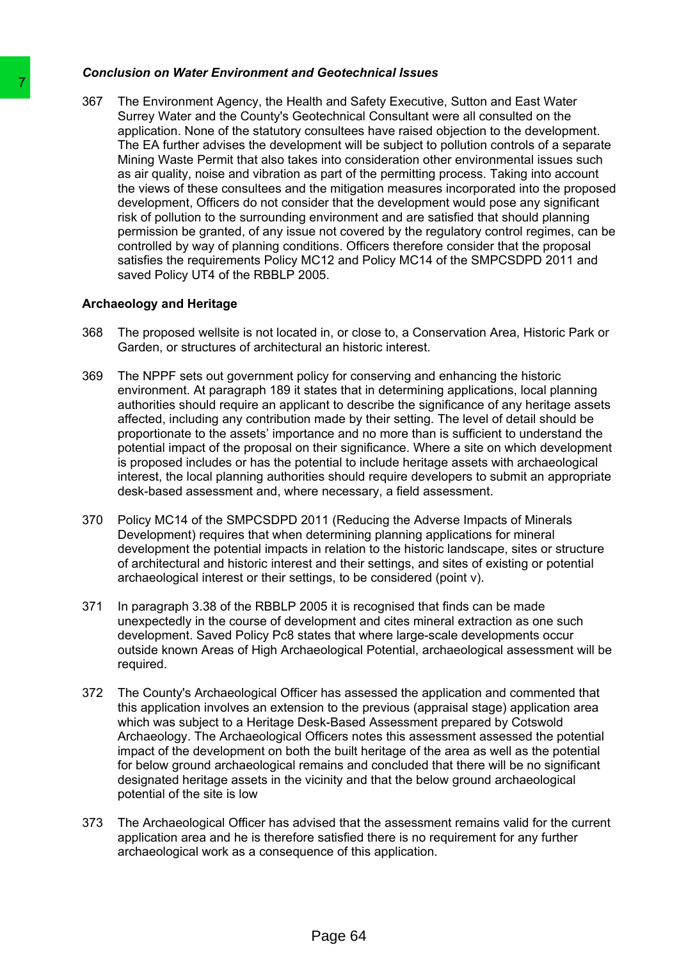## *Conclusion on Water Environment and Geotechnical Issues*

367 The Environment Agency, the Health and Safety Executive, Sutton and East Water Surrey Water and the County's Geotechnical Consultant were all consulted on the application. None of the statutory consultees have raised objection to the development. The EA further advises the development will be subject to pollution controls of a separate Mining Waste Permit that also takes into consideration other environmental issues such as air quality, noise and vibration as part of the permitting process. Taking into account the views of these consultees and the mitigation measures incorporated into the proposed development, Officers do not consider that the development would pose any significant risk of pollution to the surrounding environment and are satisfied that should planning permission be granted, of any issue not covered by the regulatory control regimes, can be controlled by way of planning conditions. Officers therefore consider that the proposal satisfies the requirements Policy MC12 and Policy MC14 of the SMPCSDPD 2011 and saved Policy UT4 of the RBBLP 2005. The Environment Agency, the Health and Sa Surey Water and the County's Geodechindar<br>Sa Surey Water and the County's Geodechinder<br>The Environment Agency, the Health and Sa application. None of the statutory consultees<br>The E

## **Archaeology and Heritage**

- 368 The proposed wellsite is not located in, or close to, a Conservation Area, Historic Park or Garden, or structures of architectural an historic interest.
- 369 The NPPF sets out government policy for conserving and enhancing the historic environment. At paragraph 189 it states that in determining applications, local planning authorities should require an applicant to describe the significance of any heritage assets affected, including any contribution made by their setting. The level of detail should be proportionate to the assets' importance and no more than is sufficient to understand the potential impact of the proposal on their significance. Where a site on which development is proposed includes or has the potential to include heritage assets with archaeological interest, the local planning authorities should require developers to submit an appropriate desk-based assessment and, where necessary, a field assessment.
- 370 Policy MC14 of the SMPCSDPD 2011 (Reducing the Adverse Impacts of Minerals Development) requires that when determining planning applications for mineral development the potential impacts in relation to the historic landscape, sites or structure of architectural and historic interest and their settings, and sites of existing or potential archaeological interest or their settings, to be considered (point v).
- 371 In paragraph 3.38 of the RBBLP 2005 it is recognised that finds can be made unexpectedly in the course of development and cites mineral extraction as one such development. Saved Policy Pc8 states that where large-scale developments occur outside known Areas of High Archaeological Potential, archaeological assessment will be required.
- 372 The County's Archaeological Officer has assessed the application and commented that this application involves an extension to the previous (appraisal stage) application area which was subject to a Heritage Desk-Based Assessment prepared by Cotswold Archaeology. The Archaeological Officers notes this assessment assessed the potential impact of the development on both the built heritage of the area as well as the potential for below ground archaeological remains and concluded that there will be no significant designated heritage assets in the vicinity and that the below ground archaeological potential of the site is low
- 373 The Archaeological Officer has advised that the assessment remains valid for the current application area and he is therefore satisfied there is no requirement for any further archaeological work as a consequence of this application.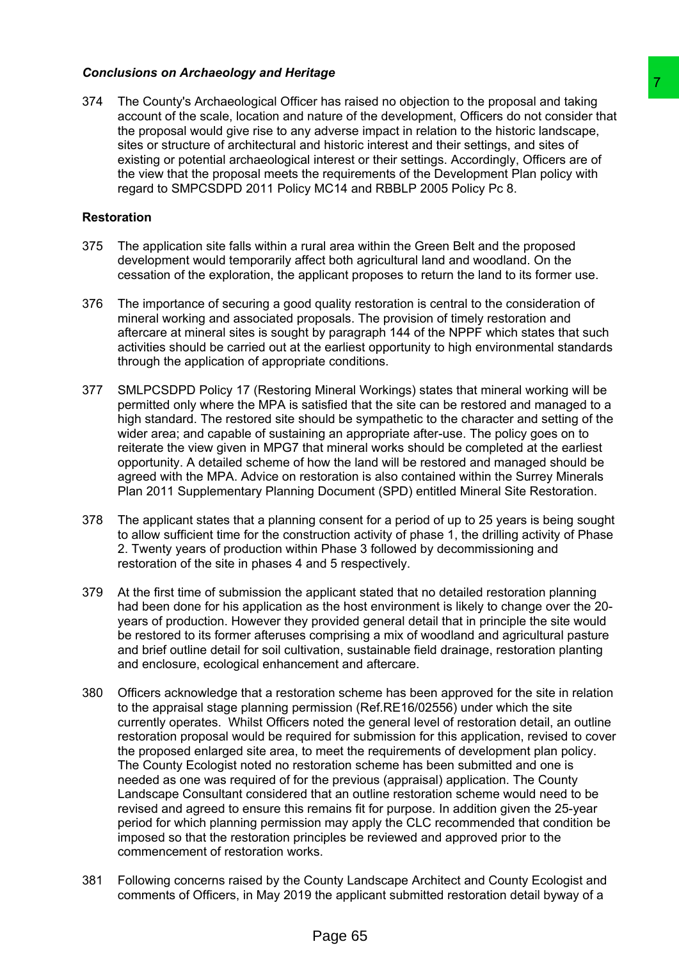## *Conclusions on Archaeology and Heritage*

374 The County's Archaeological Officer has raised no objection to the proposal and taking account of the scale, location and nature of the development, Officers do not consider that the proposal would give rise to any adverse impact in relation to the historic landscape, sites or structure of architectural and historic interest and their settings, and sites of existing or potential archaeological interest or their settings. Accordingly, Officers are of the view that the proposal meets the requirements of the Development Plan policy with regard to SMPCSDPD 2011 Policy MC14 and RBBLP 2005 Policy Pc 8.

#### **Restoration**

- 375 The application site falls within a rural area within the Green Belt and the proposed development would temporarily affect both agricultural land and woodland. On the cessation of the exploration, the applicant proposes to return the land to its former use.
- 376 The importance of securing a good quality restoration is central to the consideration of mineral working and associated proposals. The provision of timely restoration and aftercare at mineral sites is sought by paragraph 144 of the NPPF which states that such activities should be carried out at the earliest opportunity to high environmental standards through the application of appropriate conditions.
- 377 SMLPCSDPD Policy 17 (Restoring Mineral Workings) states that mineral working will be permitted only where the MPA is satisfied that the site can be restored and managed to a high standard. The restored site should be sympathetic to the character and setting of the wider area; and capable of sustaining an appropriate after-use. The policy goes on to reiterate the view given in MPG7 that mineral works should be completed at the earliest opportunity. A detailed scheme of how the land will be restored and managed should be agreed with the MPA. Advice on restoration is also contained within the Surrey Minerals Plan 2011 Supplementary Planning Document (SPD) entitled Mineral Site Restoration.
- 378 The applicant states that a planning consent for a period of up to 25 years is being sought to allow sufficient time for the construction activity of phase 1, the drilling activity of Phase 2. Twenty years of production within Phase 3 followed by decommissioning and restoration of the site in phases 4 and 5 respectively.
- 379 At the first time of submission the applicant stated that no detailed restoration planning had been done for his application as the host environment is likely to change over the 20 years of production. However they provided general detail that in principle the site would be restored to its former afteruses comprising a mix of woodland and agricultural pasture and brief outline detail for soil cultivation, sustainable field drainage, restoration planting and enclosure, ecological enhancement and aftercare.
- 380 Officers acknowledge that a restoration scheme has been approved for the site in relation to the appraisal stage planning permission (Ref.RE16/02556) under which the site currently operates. Whilst Officers noted the general level of restoration detail, an outline restoration proposal would be required for submission for this application, revised to cover the proposed enlarged site area, to meet the requirements of development plan policy. The County Ecologist noted no restoration scheme has been submitted and one is needed as one was required of for the previous (appraisal) application. The County Landscape Consultant considered that an outline restoration scheme would need to be revised and agreed to ensure this remains fit for purpose. In addition given the 25-year period for which planning permission may apply the CLC recommended that condition be imposed so that the restoration principles be reviewed and approved prior to the commencement of restoration works. The strated no objection to the proposal and taking<br>
are the development. Officers do not consider that<br>daterse impact in relation to the historic landscape,<br>
adverse impact in relation to the historic landscape,<br>
division
- 381 Following concerns raised by the County Landscape Architect and County Ecologist and comments of Officers, in May 2019 the applicant submitted restoration detail byway of a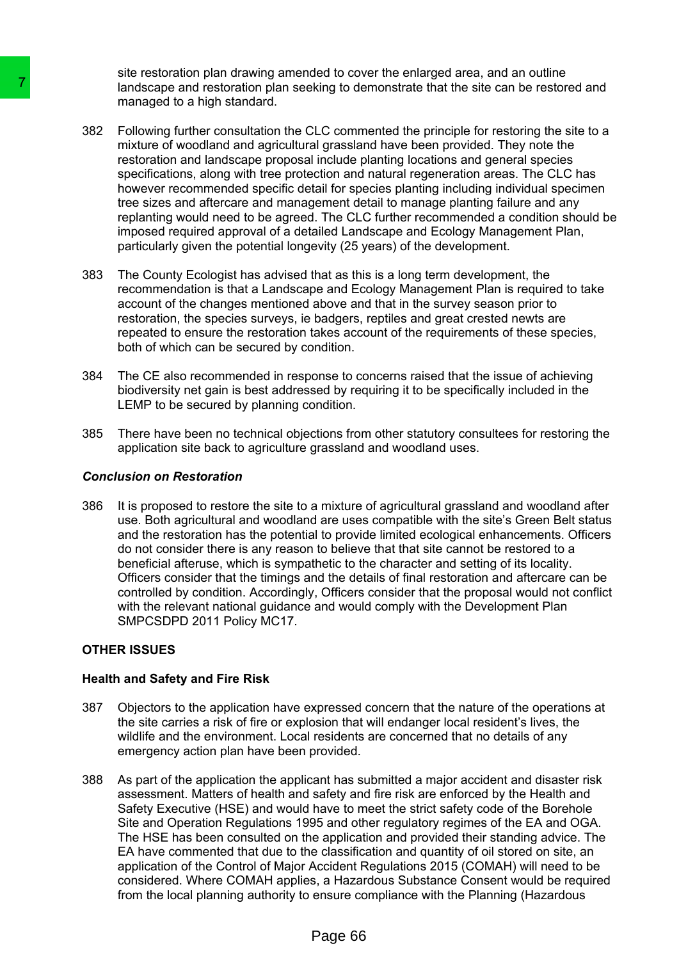site restoration plan drawing amended to cover the enlarged area, and an outline landscape and restoration plan seeking to demonstrate that the site can be restored and managed to a high standard.

- 382 Following further consultation the CLC commented the principle for restoring the site to a mixture of woodland and agricultural grassland have been provided. They note the restoration and landscape proposal include planting locations and general species specifications, along with tree protection and natural regeneration areas. The CLC has however recommended specific detail for species planting including individual specimen tree sizes and aftercare and management detail to manage planting failure and any replanting would need to be agreed. The CLC further recommended a condition should be imposed required approval of a detailed Landscape and Ecology Management Plan, particularly given the potential longevity (25 years) of the development. Transfeasion and restoration plan seeking to determined the and second and seeking to determined a and and and agricultural grasslate respectively. For electric contracts restoration and landscape proposal include procedur
	- 383 The County Ecologist has advised that as this is a long term development, the recommendation is that a Landscape and Ecology Management Plan is required to take account of the changes mentioned above and that in the survey season prior to restoration, the species surveys, ie badgers, reptiles and great crested newts are repeated to ensure the restoration takes account of the requirements of these species, both of which can be secured by condition.
	- 384 The CE also recommended in response to concerns raised that the issue of achieving biodiversity net gain is best addressed by requiring it to be specifically included in the LEMP to be secured by planning condition.
	- 385 There have been no technical objections from other statutory consultees for restoring the application site back to agriculture grassland and woodland uses.

#### *Conclusion on Restoration*

386 It is proposed to restore the site to a mixture of agricultural grassland and woodland after use. Both agricultural and woodland are uses compatible with the site's Green Belt status and the restoration has the potential to provide limited ecological enhancements. Officers do not consider there is any reason to believe that that site cannot be restored to a beneficial afteruse, which is sympathetic to the character and setting of its locality. Officers consider that the timings and the details of final restoration and aftercare can be controlled by condition. Accordingly, Officers consider that the proposal would not conflict with the relevant national guidance and would comply with the Development Plan SMPCSDPD 2011 Policy MC17.

## **OTHER ISSUES**

#### **Health and Safety and Fire Risk**

- 387 Objectors to the application have expressed concern that the nature of the operations at the site carries a risk of fire or explosion that will endanger local resident's lives, the wildlife and the environment. Local residents are concerned that no details of any emergency action plan have been provided.
- 388 As part of the application the applicant has submitted a major accident and disaster risk assessment. Matters of health and safety and fire risk are enforced by the Health and Safety Executive (HSE) and would have to meet the strict safety code of the Borehole Site and Operation Regulations 1995 and other regulatory regimes of the EA and OGA. The HSE has been consulted on the application and provided their standing advice. The EA have commented that due to the classification and quantity of oil stored on site, an application of the Control of Major Accident Regulations 2015 (COMAH) will need to be considered. Where COMAH applies, a Hazardous Substance Consent would be required from the local planning authority to ensure compliance with the Planning (Hazardous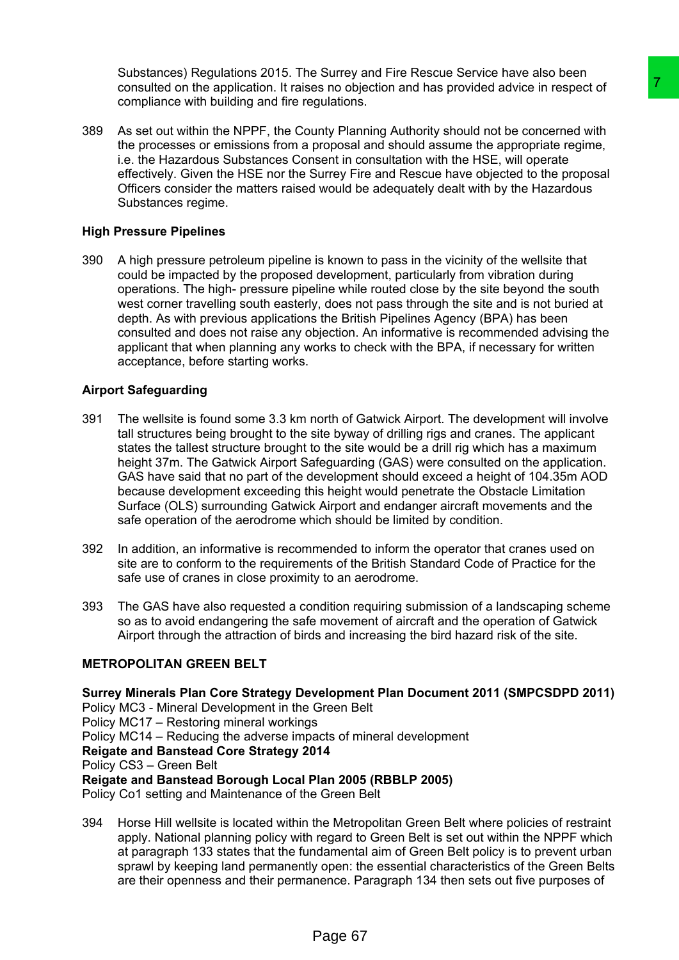Substances) Regulations 2015. The Surrey and Fire Rescue Service have also been consulted on the application. It raises no objection and has provided advice in respect of compliance with building and fire regulations.

389 As set out within the NPPF, the County Planning Authority should not be concerned with the processes or emissions from a proposal and should assume the appropriate regime, i.e. the Hazardous Substances Consent in consultation with the HSE, will operate effectively. Given the HSE nor the Surrey Fire and Rescue have objected to the proposal Officers consider the matters raised would be adequately dealt with by the Hazardous Substances regime.

# **High Pressure Pipelines**

390 A high pressure petroleum pipeline is known to pass in the vicinity of the wellsite that could be impacted by the proposed development, particularly from vibration during operations. The high- pressure pipeline while routed close by the site beyond the south west corner travelling south easterly, does not pass through the site and is not buried at depth. As with previous applications the British Pipelines Agency (BPA) has been consulted and does not raise any objection. An informative is recommended advising the applicant that when planning any works to check with the BPA, if necessary for written acceptance, before starting works.

# **Airport Safeguarding**

- 391 The wellsite is found some 3.3 km north of Gatwick Airport. The development will involve tall structures being brought to the site byway of drilling rigs and cranes. The applicant states the tallest structure brought to the site would be a drill rig which has a maximum height 37m. The Gatwick Airport Safeguarding (GAS) were consulted on the application. GAS have said that no part of the development should exceed a height of 104.35m AOD because development exceeding this height would penetrate the Obstacle Limitation Surface (OLS) surrounding Gatwick Airport and endanger aircraft movements and the safe operation of the aerodrome which should be limited by condition.
- 392 In addition, an informative is recommended to inform the operator that cranes used on site are to conform to the requirements of the British Standard Code of Practice for the safe use of cranes in close proximity to an aerodrome.
- 393 The GAS have also requested a condition requiring submission of a landscaping scheme so as to avoid endangering the safe movement of aircraft and the operation of Gatwick Airport through the attraction of birds and increasing the bird hazard risk of the site.

# **METROPOLITAN GREEN BELT**

**Surrey Minerals Plan Core Strategy Development Plan Document 2011 (SMPCSDPD 2011)** Policy MC3 - Mineral Development in the Green Belt Policy MC17 – Restoring mineral workings Policy MC14 – Reducing the adverse impacts of mineral development **Reigate and Banstead Core Strategy 2014** Policy CS3 – Green Belt **Reigate and Banstead Borough Local Plan 2005 (RBBLP 2005)**  Policy Co1 setting and Maintenance of the Green Belt es no objection and has provided advice in respect of<br>
Top those no objection and has provided advice in respect of<br>
Top the concerned with<br>
unty Planning Authority should not be concerned with<br>
unty Planning Authority sho

394 Horse Hill wellsite is located within the Metropolitan Green Belt where policies of restraint apply. National planning policy with regard to Green Belt is set out within the NPPF which at paragraph 133 states that the fundamental aim of Green Belt policy is to prevent urban sprawl by keeping land permanently open: the essential characteristics of the Green Belts are their openness and their permanence. Paragraph 134 then sets out five purposes of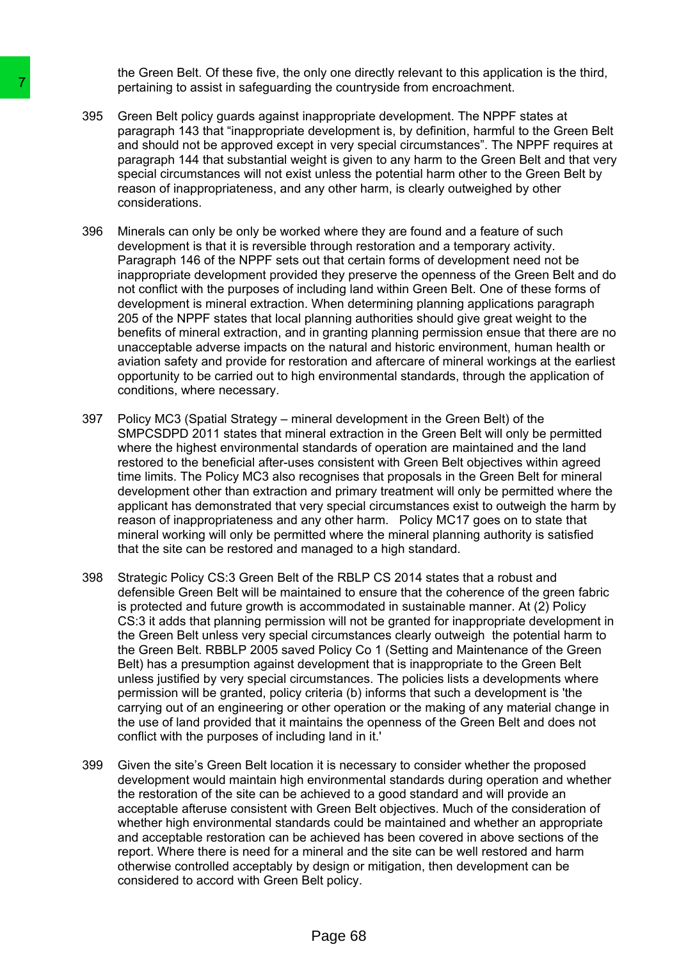the Green Belt. Of these five, the only one directly relevant to this application is the third, pertaining to assist in safeguarding the countryside from encroachment.

- 395 Green Belt policy guards against inappropriate development. The NPPF states at paragraph 143 that "inappropriate development is, by definition, harmful to the Green Belt and should not be approved except in very special circumstances". The NPPF requires at paragraph 144 that substantial weight is given to any harm to the Green Belt and that very special circumstances will not exist unless the potential harm other to the Green Belt by reason of inappropriateness, and any other harm, is clearly outweighed by other considerations.
- 396 Minerals can only be only be worked where they are found and a feature of such development is that it is reversible through restoration and a temporary activity. Paragraph 146 of the NPPF sets out that certain forms of development need not be inappropriate development provided they preserve the openness of the Green Belt and do not conflict with the purposes of including land within Green Belt. One of these forms of development is mineral extraction. When determining planning applications paragraph 205 of the NPPF states that local planning authorities should give great weight to the benefits of mineral extraction, and in granting planning permission ensue that there are no unacceptable adverse impacts on the natural and historic environment, human health or aviation safety and provide for restoration and aftercare of mineral workings at the earliest opportunity to be carried out to high environmental standards, through the application of conditions, where necessary.
- 397 Policy MC3 (Spatial Strategy mineral development in the Green Belt) of the SMPCSDPD 2011 states that mineral extraction in the Green Belt will only be permitted where the highest environmental standards of operation are maintained and the land restored to the beneficial after-uses consistent with Green Belt objectives within agreed time limits. The Policy MC3 also recognises that proposals in the Green Belt for mineral development other than extraction and primary treatment will only be permitted where the applicant has demonstrated that very special circumstances exist to outweigh the harm by reason of inappropriateness and any other harm. Policy MC17 goes on to state that mineral working will only be permitted where the mineral planning authority is satisfied that the site can be restored and managed to a high standard.
- 398 Strategic Policy CS:3 Green Belt of the RBLP CS 2014 states that a robust and defensible Green Belt will be maintained to ensure that the coherence of the green fabric is protected and future growth is accommodated in sustainable manner. At (2) Policy CS:3 it adds that planning permission will not be granted for inappropriate development in the Green Belt unless very special circumstances clearly outweigh the potential harm to the Green Belt. RBBLP 2005 saved Policy Co 1 (Setting and Maintenance of the Green Belt) has a presumption against development that is inappropriate to the Green Belt unless justified by very special circumstances. The policies lists a developments where permission will be granted, policy criteria (b) informs that such a development is 'the carrying out of an engineering or other operation or the making of any material change in the use of land provided that it maintains the openness of the Green Belt and does not conflict with the purposes of including land in it.' The relations of the control of the control of the control of the control parameterisation of the approved except in the relation parameterisation parameterisation parameterisation parameterisation of the approved except i
	- 399 Given the site's Green Belt location it is necessary to consider whether the proposed development would maintain high environmental standards during operation and whether the restoration of the site can be achieved to a good standard and will provide an acceptable afteruse consistent with Green Belt objectives. Much of the consideration of whether high environmental standards could be maintained and whether an appropriate and acceptable restoration can be achieved has been covered in above sections of the report. Where there is need for a mineral and the site can be well restored and harm otherwise controlled acceptably by design or mitigation, then development can be considered to accord with Green Belt policy.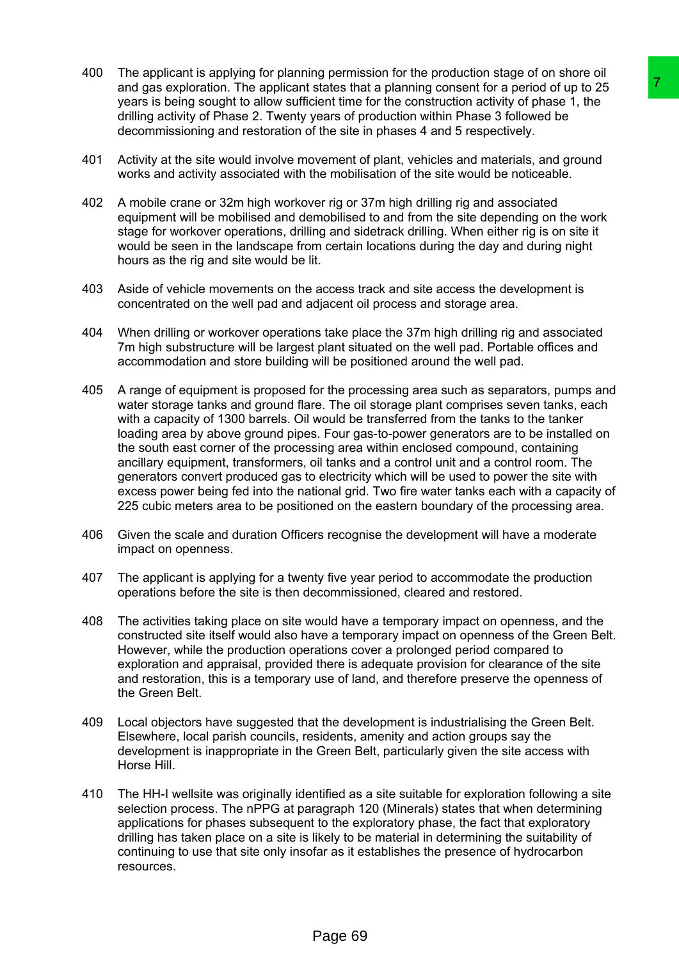- 400 The applicant is applying for planning permission for the production stage of on shore oil and gas exploration. The applicant states that a planning consent for a period of up to 25 years is being sought to allow sufficient time for the construction activity of phase 1, the drilling activity of Phase 2. Twenty years of production within Phase 3 followed be decommissioning and restoration of the site in phases 4 and 5 respectively.
- 401 Activity at the site would involve movement of plant, vehicles and materials, and ground works and activity associated with the mobilisation of the site would be noticeable.
- 402 A mobile crane or 32m high workover rig or 37m high drilling rig and associated equipment will be mobilised and demobilised to and from the site depending on the work stage for workover operations, drilling and sidetrack drilling. When either rig is on site it would be seen in the landscape from certain locations during the day and during night hours as the rig and site would be lit.
- 403 Aside of vehicle movements on the access track and site access the development is concentrated on the well pad and adjacent oil process and storage area.
- 404 When drilling or workover operations take place the 37m high drilling rig and associated 7m high substructure will be largest plant situated on the well pad. Portable offices and accommodation and store building will be positioned around the well pad.
- 405 A range of equipment is proposed for the processing area such as separators, pumps and water storage tanks and ground flare. The oil storage plant comprises seven tanks, each with a capacity of 1300 barrels. Oil would be transferred from the tanks to the tanker loading area by above ground pipes. Four gas-to-power generators are to be installed on the south east corner of the processing area within enclosed compound, containing ancillary equipment, transformers, oil tanks and a control unit and a control room. The generators convert produced gas to electricity which will be used to power the site with excess power being fed into the national grid. Two fire water tanks each with a capacity of 225 cubic meters area to be positioned on the eastern boundary of the processing area. states that a planning consent for a perception of the special of the distribution and the section of the perception of the set of the set of the set of the state in the form of the state of the state of the state of the s
- 406 Given the scale and duration Officers recognise the development will have a moderate impact on openness.
- 407 The applicant is applying for a twenty five year period to accommodate the production operations before the site is then decommissioned, cleared and restored.
- 408 The activities taking place on site would have a temporary impact on openness, and the constructed site itself would also have a temporary impact on openness of the Green Belt. However, while the production operations cover a prolonged period compared to exploration and appraisal, provided there is adequate provision for clearance of the site and restoration, this is a temporary use of land, and therefore preserve the openness of the Green Belt.
- 409 Local objectors have suggested that the development is industrialising the Green Belt. Elsewhere, local parish councils, residents, amenity and action groups say the development is inappropriate in the Green Belt, particularly given the site access with Horse Hill.
- 410 The HH-I wellsite was originally identified as a site suitable for exploration following a site selection process. The nPPG at paragraph 120 (Minerals) states that when determining applications for phases subsequent to the exploratory phase, the fact that exploratory drilling has taken place on a site is likely to be material in determining the suitability of continuing to use that site only insofar as it establishes the presence of hydrocarbon resources.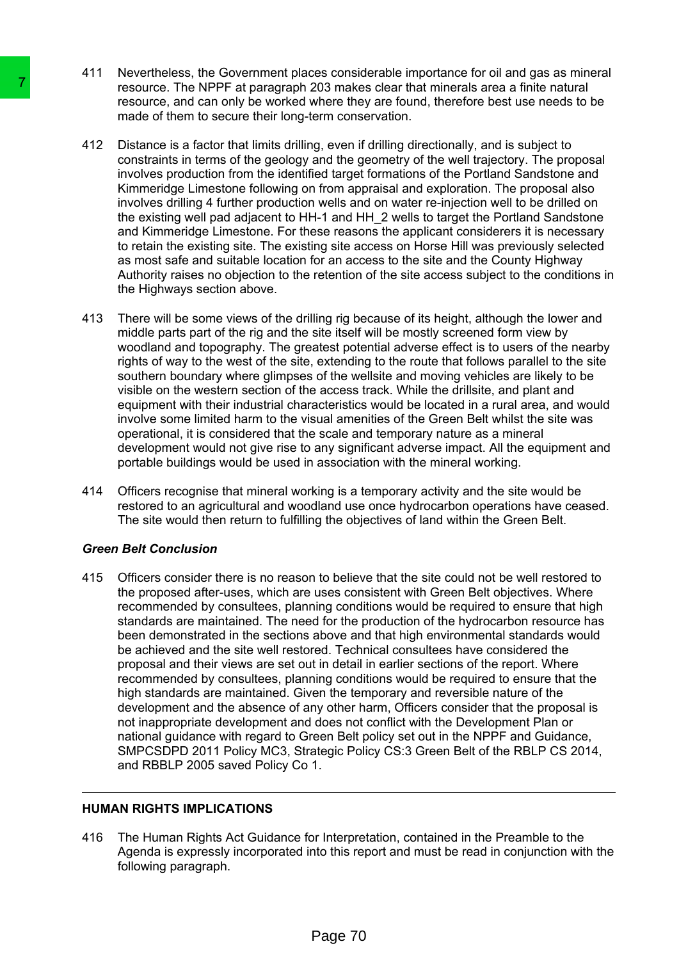- 411 Nevertheless, the Government places considerable importance for oil and gas as mineral resource. The NPPF at paragraph 203 makes clear that minerals area a finite natural resource, and can only be worked where they are found, therefore best use needs to be made of them to secure their long-term conservation.
- 412 Distance is a factor that limits drilling, even if drilling directionally, and is subject to constraints in terms of the geology and the geometry of the well trajectory. The proposal involves production from the identified target formations of the Portland Sandstone and Kimmeridge Limestone following on from appraisal and exploration. The proposal also involves drilling 4 further production wells and on water re-injection well to be drilled on the existing well pad adjacent to HH-1 and HH\_2 wells to target the Portland Sandstone and Kimmeridge Limestone. For these reasons the applicant considerers it is necessary to retain the existing site. The existing site access on Horse Hill was previously selected as most safe and suitable location for an access to the site and the County Highway Authority raises no objection to the retention of the site access subject to the conditions in the Highways section above.
- 413 There will be some views of the drilling rig because of its height, although the lower and middle parts part of the rig and the site itself will be mostly screened form view by woodland and topography. The greatest potential adverse effect is to users of the nearby rights of way to the west of the site, extending to the route that follows parallel to the site southern boundary where glimpses of the wellsite and moving vehicles are likely to be visible on the western section of the access track. While the drillsite, and plant and equipment with their industrial characteristics would be located in a rural area, and would involve some limited harm to the visual amenities of the Green Belt whilst the site was operational, it is considered that the scale and temporary nature as a mineral development would not give rise to any significant adverse impact. All the equipment and portable buildings would be used in association with the mineral working.
- 414 Officers recognise that mineral working is a temporary activity and the site would be restored to an agricultural and woodland use once hydrocarbon operations have ceased. The site would then return to fulfilling the objectives of land within the Green Belt.

## *Green Belt Conclusion*

415 Officers consider there is no reason to believe that the site could not be well restored to the proposed after-uses, which are uses consistent with Green Belt objectives. Where recommended by consultees, planning conditions would be required to ensure that high standards are maintained. The need for the production of the hydrocarbon resource has been demonstrated in the sections above and that high environmental standards would be achieved and the site well restored. Technical consultees have considered the proposal and their views are set out in detail in earlier sections of the report. Where recommended by consultees, planning conditions would be required to ensure that the high standards are maintained. Given the temporary and reversible nature of the development and the absence of any other harm, Officers consider that the proposal is not inappropriate development and does not conflict with the Development Plan or national guidance with regard to Green Belt policy set out in the NPPF and Guidance, SMPCSDPD 2011 Policy MC3, Strategic Policy CS:3 Green Belt of the RBLP CS 2014, and RBBLP 2005 saved Policy Co 1. Tractation: The NePFF air baradraph 203 makes resource, and can only be worked where the<br>resource, and can only be worked where the<br>made of them to secure their long-term conservations in terms of the geology and the g<br>inv

## **HUMAN RIGHTS IMPLICATIONS**

416 The Human Rights Act Guidance for Interpretation, contained in the Preamble to the Agenda is expressly incorporated into this report and must be read in conjunction with the following paragraph.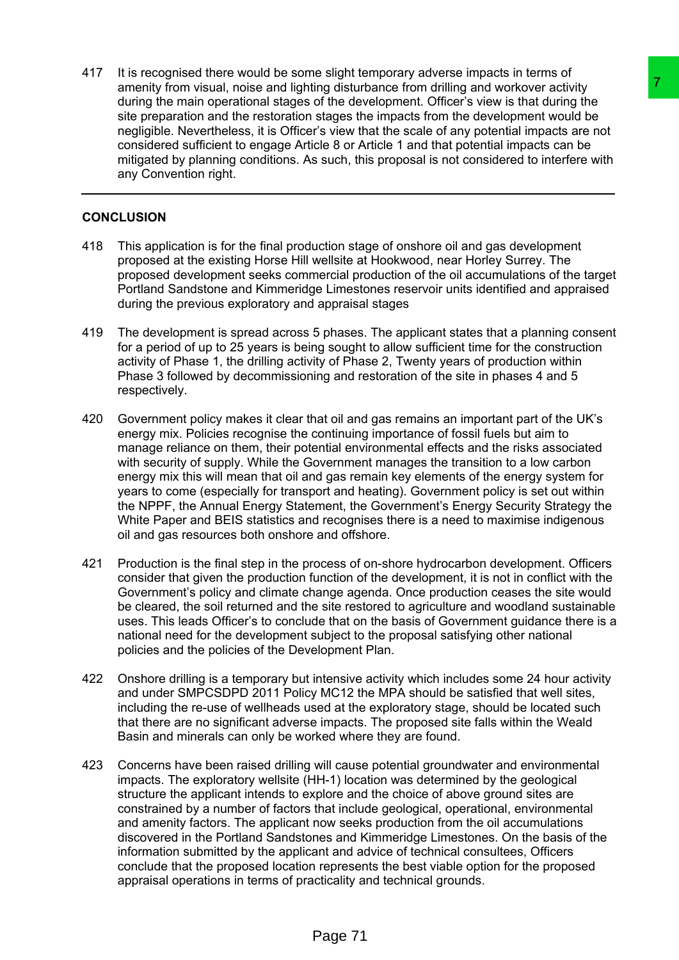417 It is recognised there would be some slight temporary adverse impacts in terms of amenity from visual, noise and lighting disturbance from drilling and workover activity during the main operational stages of the development. Officer's view is that during the site preparation and the restoration stages the impacts from the development would be negligible. Nevertheless, it is Officer's view that the scale of any potential impacts are not considered sufficient to engage Article 8 or Article 1 and that potential impacts can be mitigated by planning conditions. As such, this proposal is not considered to interfere with any Convention right.

## **CONCLUSION**

- 418 This application is for the final production stage of onshore oil and gas development proposed at the existing Horse Hill wellsite at Hookwood, near Horley Surrey. The proposed development seeks commercial production of the oil accumulations of the target Portland Sandstone and Kimmeridge Limestones reservoir units identified and appraised during the previous exploratory and appraisal stages
- 419 The development is spread across 5 phases. The applicant states that a planning consent for a period of up to 25 years is being sought to allow sufficient time for the construction activity of Phase 1, the drilling activity of Phase 2, Twenty years of production within Phase 3 followed by decommissioning and restoration of the site in phases 4 and 5 respectively.
- 420 Government policy makes it clear that oil and gas remains an important part of the UK's energy mix. Policies recognise the continuing importance of fossil fuels but aim to manage reliance on them, their potential environmental effects and the risks associated with security of supply. While the Government manages the transition to a low carbon energy mix this will mean that oil and gas remain key elements of the energy system for years to come (especially for transport and heating). Government policy is set out within the NPPF, the Annual Energy Statement, the Government's Energy Security Strategy the White Paper and BEIS statistics and recognises there is a need to maximise indigenous oil and gas resources both onshore and offshore. ing disturbance fron drilling and workover activity<br>on the diverace fron drilling and workover activity<br>stages the impease from the development. Officers view is that during the<br>stages the impease from the development woul
- 421 Production is the final step in the process of on-shore hydrocarbon development. Officers consider that given the production function of the development, it is not in conflict with the Government's policy and climate change agenda. Once production ceases the site would be cleared, the soil returned and the site restored to agriculture and woodland sustainable uses. This leads Officer's to conclude that on the basis of Government guidance there is a national need for the development subject to the proposal satisfying other national policies and the policies of the Development Plan.
- 422 Onshore drilling is a temporary but intensive activity which includes some 24 hour activity and under SMPCSDPD 2011 Policy MC12 the MPA should be satisfied that well sites, including the re-use of wellheads used at the exploratory stage, should be located such that there are no significant adverse impacts. The proposed site falls within the Weald Basin and minerals can only be worked where they are found.
- 423 Concerns have been raised drilling will cause potential groundwater and environmental impacts. The exploratory wellsite (HH-1) location was determined by the geological structure the applicant intends to explore and the choice of above ground sites are constrained by a number of factors that include geological, operational, environmental and amenity factors. The applicant now seeks production from the oil accumulations discovered in the Portland Sandstones and Kimmeridge Limestones. On the basis of the information submitted by the applicant and advice of technical consultees, Officers conclude that the proposed location represents the best viable option for the proposed appraisal operations in terms of practicality and technical grounds.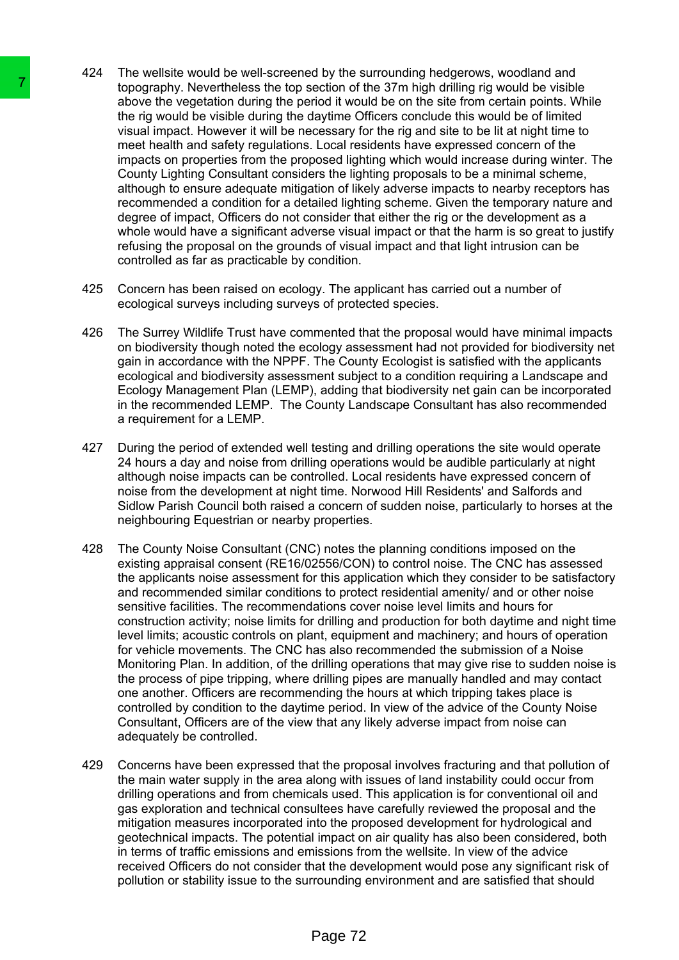- 424 The wellsite would be well-screened by the surrounding hedgerows, woodland and topography. Nevertheless the top section of the 37m high drilling rig would be visible above the vegetation during the period it would be on the site from certain points. While the rig would be visible during the daytime Officers conclude this would be of limited visual impact. However it will be necessary for the rig and site to be lit at night time to meet health and safety regulations. Local residents have expressed concern of the impacts on properties from the proposed lighting which would increase during winter. The County Lighting Consultant considers the lighting proposals to be a minimal scheme, although to ensure adequate mitigation of likely adverse impacts to nearby receptors has recommended a condition for a detailed lighting scheme. Given the temporary nature and degree of impact, Officers do not consider that either the rig or the development as a whole would have a significant adverse visual impact or that the harm is so great to justify refusing the proposal on the grounds of visual impact and that light intrusion can be controlled as far as practicable by condition.
- 425 Concern has been raised on ecology. The applicant has carried out a number of ecological surveys including surveys of protected species.
- 426 The Surrey Wildlife Trust have commented that the proposal would have minimal impacts on biodiversity though noted the ecology assessment had not provided for biodiversity net gain in accordance with the NPPF. The County Ecologist is satisfied with the applicants ecological and biodiversity assessment subject to a condition requiring a Landscape and Ecology Management Plan (LEMP), adding that biodiversity net gain can be incorporated in the recommended LEMP. The County Landscape Consultant has also recommended a requirement for a LEMP.
- 427 During the period of extended well testing and drilling operations the site would operate 24 hours a day and noise from drilling operations would be audible particularly at night although noise impacts can be controlled. Local residents have expressed concern of noise from the development at night time. Norwood Hill Residents' and Salfords and Sidlow Parish Council both raised a concern of sudden noise, particularly to horses at the neighbouring Equestrian or nearby properties.
- 428 The County Noise Consultant (CNC) notes the planning conditions imposed on the existing appraisal consent (RE16/02556/CON) to control noise. The CNC has assessed the applicants noise assessment for this application which they consider to be satisfactory and recommended similar conditions to protect residential amenity/ and or other noise sensitive facilities. The recommendations cover noise level limits and hours for construction activity; noise limits for drilling and production for both daytime and night time level limits; acoustic controls on plant, equipment and machinery; and hours of operation for vehicle movements. The CNC has also recommended the submission of a Noise Monitoring Plan. In addition, of the drilling operations that may give rise to sudden noise is the process of pipe tripping, where drilling pipes are manually handled and may contact one another. Officers are recommending the hours at which tripping takes place is controlled by condition to the daytime period. In view of the advice of the County Noise Consultant, Officers are of the view that any likely adverse impact from noise can adequately be controlled. The top would be visible during the top section of the rigo or and the propulation and the methal manual the wisite during the daying on whis tilt and wisite during the daying income the signal moment is metallication and
	- 429 Concerns have been expressed that the proposal involves fracturing and that pollution of the main water supply in the area along with issues of land instability could occur from drilling operations and from chemicals used. This application is for conventional oil and gas exploration and technical consultees have carefully reviewed the proposal and the mitigation measures incorporated into the proposed development for hydrological and geotechnical impacts. The potential impact on air quality has also been considered, both in terms of traffic emissions and emissions from the wellsite. In view of the advice received Officers do not consider that the development would pose any significant risk of pollution or stability issue to the surrounding environment and are satisfied that should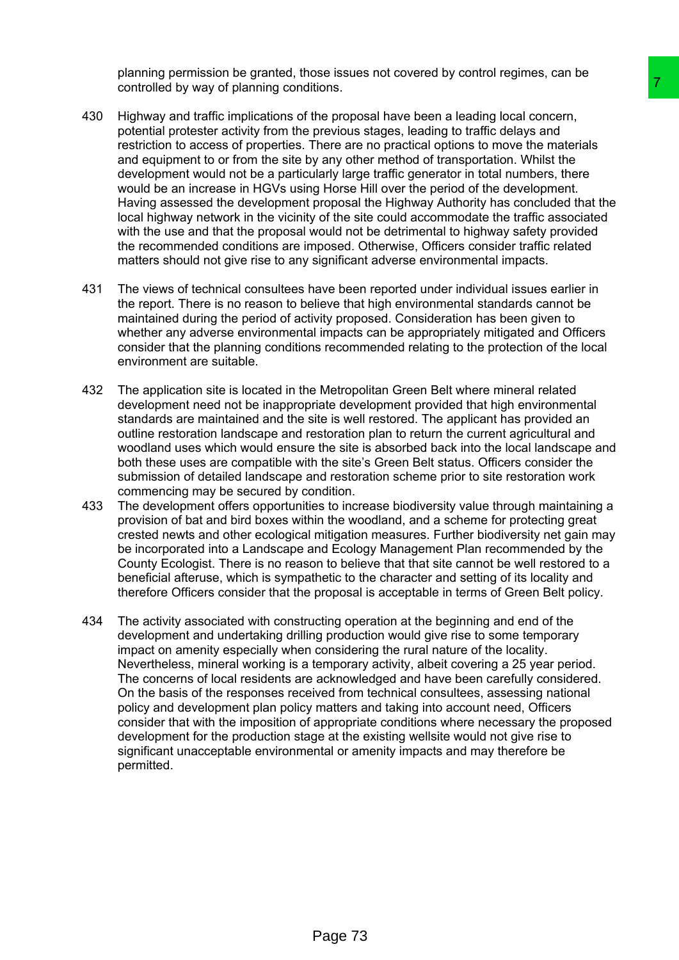planning permission be granted, those issues not covered by control regimes, can be controlled by way of planning conditions.

- 430 Highway and traffic implications of the proposal have been a leading local concern, potential protester activity from the previous stages, leading to traffic delays and restriction to access of properties. There are no practical options to move the materials and equipment to or from the site by any other method of transportation. Whilst the development would not be a particularly large traffic generator in total numbers, there would be an increase in HGVs using Horse Hill over the period of the development. Having assessed the development proposal the Highway Authority has concluded that the local highway network in the vicinity of the site could accommodate the traffic associated with the use and that the proposal would not be detrimental to highway safety provided the recommended conditions are imposed. Otherwise, Officers consider traffic related matters should not give rise to any significant adverse environmental impacts. final<br>then,<br>then yoposal have been a leading local concern,<br>the previous stages, leading to traffic delays and<br>previous stages, leading to traffic delays and<br>previous stages, leading to traffic delays and<br>y any other metho
- 431 The views of technical consultees have been reported under individual issues earlier in the report. There is no reason to believe that high environmental standards cannot be maintained during the period of activity proposed. Consideration has been given to whether any adverse environmental impacts can be appropriately mitigated and Officers consider that the planning conditions recommended relating to the protection of the local environment are suitable.
- 432 The application site is located in the Metropolitan Green Belt where mineral related development need not be inappropriate development provided that high environmental standards are maintained and the site is well restored. The applicant has provided an outline restoration landscape and restoration plan to return the current agricultural and woodland uses which would ensure the site is absorbed back into the local landscape and both these uses are compatible with the site's Green Belt status. Officers consider the submission of detailed landscape and restoration scheme prior to site restoration work commencing may be secured by condition.
- 433 The development offers opportunities to increase biodiversity value through maintaining a provision of bat and bird boxes within the woodland, and a scheme for protecting great crested newts and other ecological mitigation measures. Further biodiversity net gain may be incorporated into a Landscape and Ecology Management Plan recommended by the County Ecologist. There is no reason to believe that that site cannot be well restored to a beneficial afteruse, which is sympathetic to the character and setting of its locality and therefore Officers consider that the proposal is acceptable in terms of Green Belt policy.
- 434 The activity associated with constructing operation at the beginning and end of the development and undertaking drilling production would give rise to some temporary impact on amenity especially when considering the rural nature of the locality. Nevertheless, mineral working is a temporary activity, albeit covering a 25 year period. The concerns of local residents are acknowledged and have been carefully considered. On the basis of the responses received from technical consultees, assessing national policy and development plan policy matters and taking into account need, Officers consider that with the imposition of appropriate conditions where necessary the proposed development for the production stage at the existing wellsite would not give rise to significant unacceptable environmental or amenity impacts and may therefore be permitted.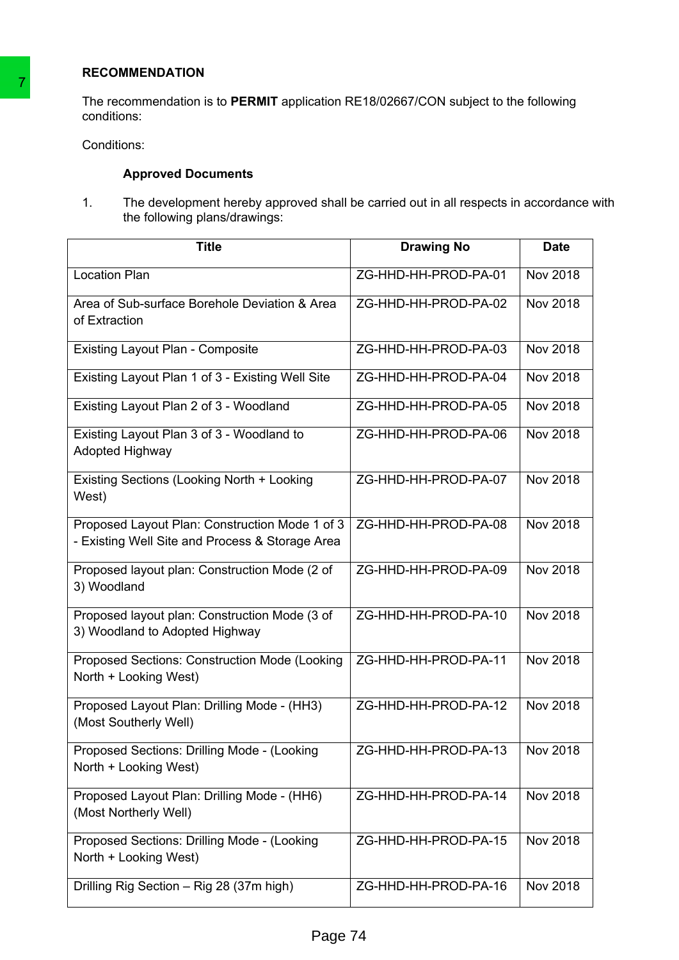# **RECOMMENDATION**

# **Approved Documents**

| Conditions:                                                                                                                  |                      |                 |
|------------------------------------------------------------------------------------------------------------------------------|----------------------|-----------------|
| <b>Approved Documents</b>                                                                                                    |                      |                 |
| 1.<br>The development hereby approved shall be carried out in all respects in accordance of<br>the following plans/drawings: |                      |                 |
| <b>Title</b>                                                                                                                 | <b>Drawing No</b>    | <b>Date</b>     |
| <b>Location Plan</b>                                                                                                         | ZG-HHD-HH-PROD-PA-01 | <b>Nov 2018</b> |
| Area of Sub-surface Borehole Deviation & Area<br>of Extraction                                                               | ZG-HHD-HH-PROD-PA-02 | Nov 2018        |
| <b>Existing Layout Plan - Composite</b>                                                                                      | ZG-HHD-HH-PROD-PA-03 | Nov 2018        |
| Existing Layout Plan 1 of 3 - Existing Well Site                                                                             | ZG-HHD-HH-PROD-PA-04 | Nov 2018        |
| Existing Layout Plan 2 of 3 - Woodland                                                                                       | ZG-HHD-HH-PROD-PA-05 | <b>Nov 2018</b> |
| Existing Layout Plan 3 of 3 - Woodland to<br>Adopted Highway                                                                 | ZG-HHD-HH-PROD-PA-06 | Nov 2018        |
| Existing Sections (Looking North + Looking<br>West)                                                                          | ZG-HHD-HH-PROD-PA-07 | Nov 2018        |
| Proposed Layout Plan: Construction Mode 1 of 3<br>- Existing Well Site and Process & Storage Area                            | ZG-HHD-HH-PROD-PA-08 | <b>Nov 2018</b> |
| Proposed layout plan: Construction Mode (2 of<br>3) Woodland                                                                 | ZG-HHD-HH-PROD-PA-09 | Nov 2018        |
| Proposed layout plan: Construction Mode (3 of<br>3) Woodland to Adopted Highway                                              | ZG-HHD-HH-PROD-PA-10 | Nov 2018        |
| Proposed Sections: Construction Mode (Looking<br>North + Looking West)                                                       | ZG-HHD-HH-PROD-PA-11 | <b>Nov 2018</b> |
| Proposed Layout Plan: Drilling Mode - (HH3)<br>(Most Southerly Well)                                                         | ZG-HHD-HH-PROD-PA-12 | Nov 2018        |
| Proposed Sections: Drilling Mode - (Looking<br>North + Looking West)                                                         | ZG-HHD-HH-PROD-PA-13 | Nov 2018        |
| Proposed Layout Plan: Drilling Mode - (HH6)<br>(Most Northerly Well)                                                         | ZG-HHD-HH-PROD-PA-14 | Nov 2018        |
| Proposed Sections: Drilling Mode - (Looking<br>North + Looking West)                                                         | ZG-HHD-HH-PROD-PA-15 | Nov 2018        |
| Drilling Rig Section - Rig 28 (37m high)                                                                                     | ZG-HHD-HH-PROD-PA-16 | Nov 2018        |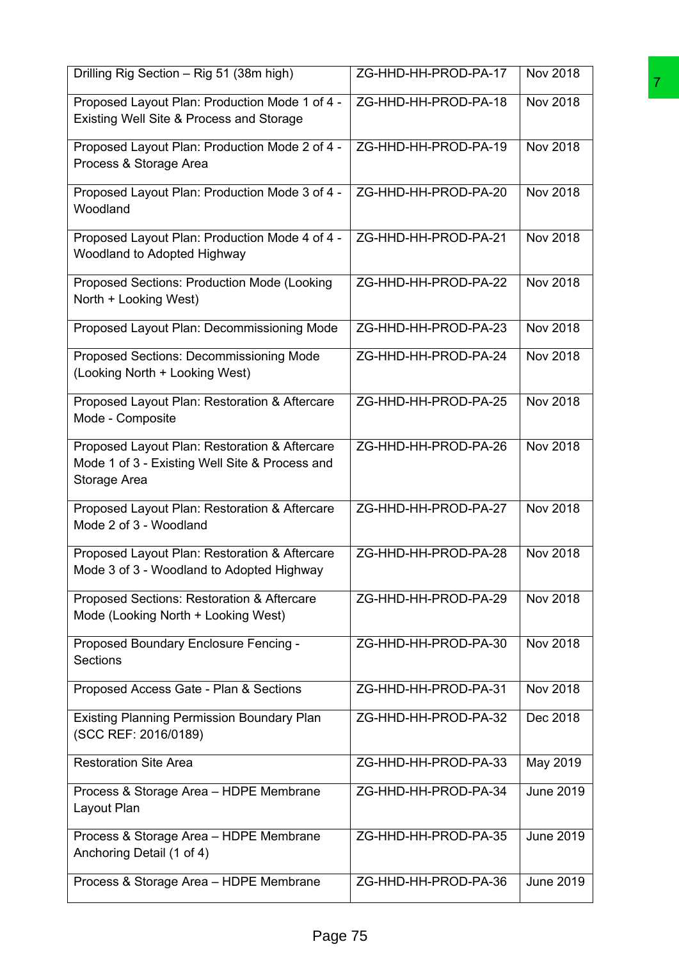| Drilling Rig Section - Rig 51 (38m high)                                                                        | ZG-HHD-HH-PROD-PA-17 | Nov 2018         |
|-----------------------------------------------------------------------------------------------------------------|----------------------|------------------|
| Proposed Layout Plan: Production Mode 1 of 4 -<br>Existing Well Site & Process and Storage                      | ZG-HHD-HH-PROD-PA-18 | Nov 2018         |
| Proposed Layout Plan: Production Mode 2 of 4 -<br>Process & Storage Area                                        | ZG-HHD-HH-PROD-PA-19 | Nov 2018         |
| Proposed Layout Plan: Production Mode 3 of 4 -<br>Woodland                                                      | ZG-HHD-HH-PROD-PA-20 | Nov 2018         |
| Proposed Layout Plan: Production Mode 4 of 4 -<br>Woodland to Adopted Highway                                   | ZG-HHD-HH-PROD-PA-21 | <b>Nov 2018</b>  |
| Proposed Sections: Production Mode (Looking<br>North + Looking West)                                            | ZG-HHD-HH-PROD-PA-22 | <b>Nov 2018</b>  |
| Proposed Layout Plan: Decommissioning Mode                                                                      | ZG-HHD-HH-PROD-PA-23 | Nov 2018         |
| Proposed Sections: Decommissioning Mode<br>(Looking North + Looking West)                                       | ZG-HHD-HH-PROD-PA-24 | Nov 2018         |
| Proposed Layout Plan: Restoration & Aftercare<br>Mode - Composite                                               | ZG-HHD-HH-PROD-PA-25 | Nov 2018         |
| Proposed Layout Plan: Restoration & Aftercare<br>Mode 1 of 3 - Existing Well Site & Process and<br>Storage Area | ZG-HHD-HH-PROD-PA-26 | <b>Nov 2018</b>  |
| Proposed Layout Plan: Restoration & Aftercare<br>Mode 2 of 3 - Woodland                                         | ZG-HHD-HH-PROD-PA-27 | Nov 2018         |
| Proposed Layout Plan: Restoration & Aftercare<br>Mode 3 of 3 - Woodland to Adopted Highway                      | ZG-HHD-HH-PROD-PA-28 | <b>Nov 2018</b>  |
| Proposed Sections: Restoration & Aftercare<br>Mode (Looking North + Looking West)                               | ZG-HHD-HH-PROD-PA-29 | Nov 2018         |
| Proposed Boundary Enclosure Fencing -<br><b>Sections</b>                                                        | ZG-HHD-HH-PROD-PA-30 | <b>Nov 2018</b>  |
| Proposed Access Gate - Plan & Sections                                                                          | ZG-HHD-HH-PROD-PA-31 | Nov 2018         |
| <b>Existing Planning Permission Boundary Plan</b><br>(SCC REF: 2016/0189)                                       | ZG-HHD-HH-PROD-PA-32 | Dec 2018         |
| <b>Restoration Site Area</b>                                                                                    | ZG-HHD-HH-PROD-PA-33 | May 2019         |
| Process & Storage Area - HDPE Membrane<br>Layout Plan                                                           | ZG-HHD-HH-PROD-PA-34 | <b>June 2019</b> |
| Process & Storage Area - HDPE Membrane<br>Anchoring Detail (1 of 4)                                             | ZG-HHD-HH-PROD-PA-35 | <b>June 2019</b> |
| Process & Storage Area - HDPE Membrane                                                                          | ZG-HHD-HH-PROD-PA-36 | <b>June 2019</b> |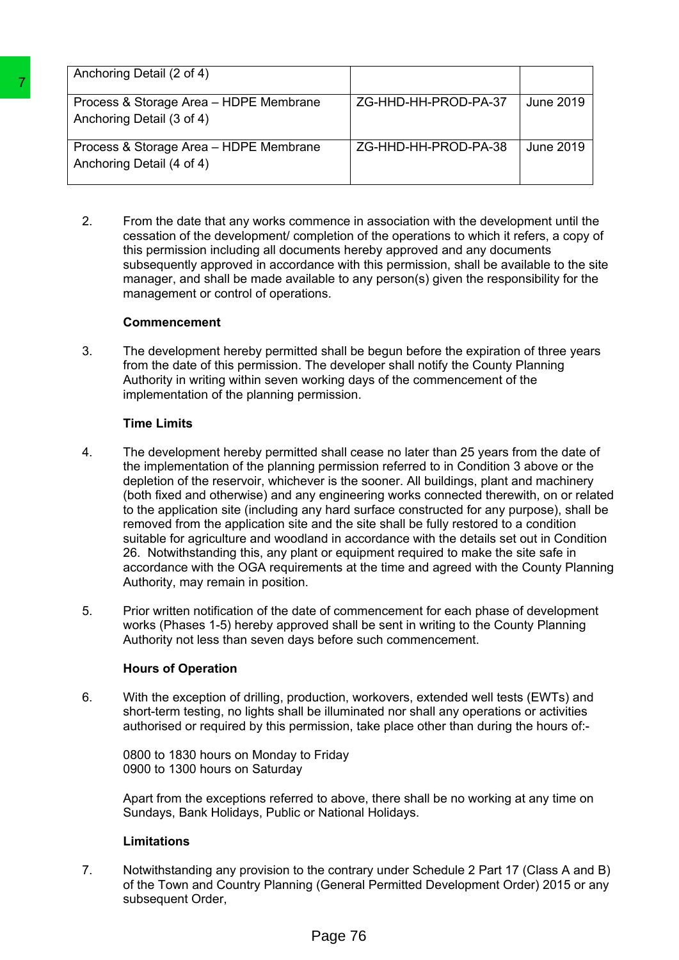| Anchoring Detail (2 of 4)                                           |                      |           |
|---------------------------------------------------------------------|----------------------|-----------|
| Process & Storage Area - HDPE Membrane<br>Anchoring Detail (3 of 4) | ZG-HHD-HH-PROD-PA-37 | June 2019 |
| Process & Storage Area - HDPE Membrane<br>Anchoring Detail (4 of 4) | ZG-HHD-HH-PROD-PA-38 | June 2019 |

2. From the date that any works commence in association with the development until the cessation of the development/ completion of the operations to which it refers, a copy of this permission including all documents hereby approved and any documents subsequently approved in accordance with this permission, shall be available to the site manager, and shall be made available to any person(s) given the responsibility for the management or control of operations.

#### **Commencement**

3. The development hereby permitted shall be begun before the expiration of three years from the date of this permission. The developer shall notify the County Planning Authority in writing within seven working days of the commencement of the implementation of the planning permission.

## **Time Limits**

- 4. The development hereby permitted shall cease no later than 25 years from the date of the implementation of the planning permission referred to in Condition 3 above or the depletion of the reservoir, whichever is the sooner. All buildings, plant and machinery (both fixed and otherwise) and any engineering works connected therewith, on or related to the application site (including any hard surface constructed for any purpose), shall be removed from the application site and the site shall be fully restored to a condition suitable for agriculture and woodland in accordance with the details set out in Condition 26. Notwithstanding this, any plant or equipment required to make the site safe in accordance with the OGA requirements at the time and agreed with the County Planning Authority, may remain in position. Transmission (1911)<br>
Process & Storage Area -- HDPE Membrane<br>
Anchoring Detail (3 of 4)<br>
Process & Storage Area -- HDPE Membrane<br>
Anchoring Detail (4 of 4)<br>
Process & Storage Area -- HDPE Membrane<br>
22<br>
22 From the date tha
	- 5. Prior written notification of the date of commencement for each phase of development works (Phases 1-5) hereby approved shall be sent in writing to the County Planning Authority not less than seven days before such commencement.

## **Hours of Operation**

6. With the exception of drilling, production, workovers, extended well tests (EWTs) and short-term testing, no lights shall be illuminated nor shall any operations or activities authorised or required by this permission, take place other than during the hours of:-

0800 to 1830 hours on Monday to Friday 0900 to 1300 hours on Saturday

Apart from the exceptions referred to above, there shall be no working at any time on Sundays, Bank Holidays, Public or National Holidays.

## **Limitations**

7. Notwithstanding any provision to the contrary under Schedule 2 Part 17 (Class A and B) of the Town and Country Planning (General Permitted Development Order) 2015 or any subsequent Order,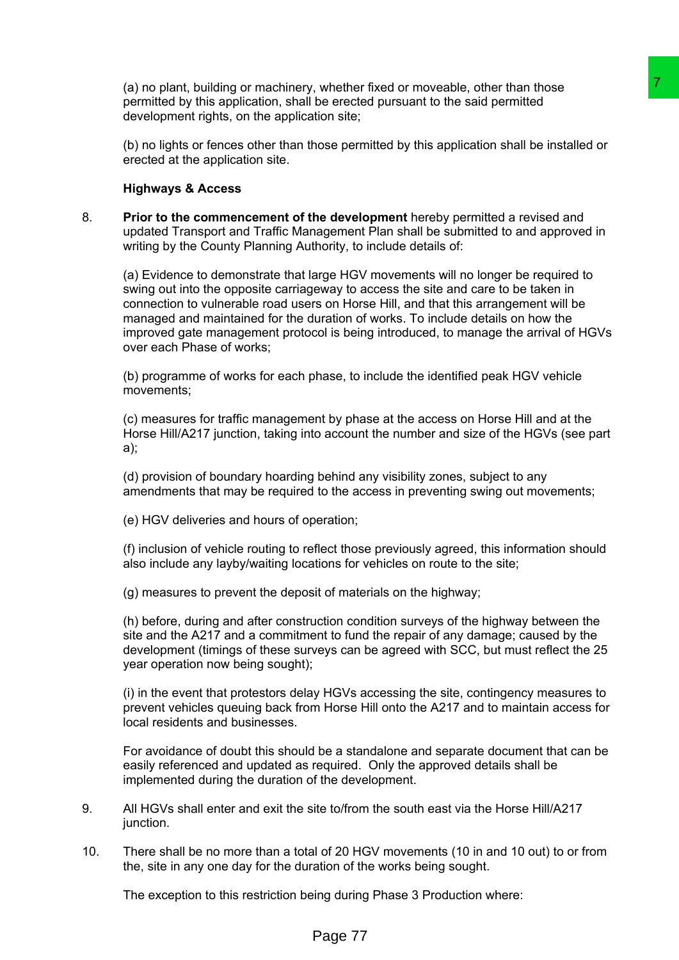(a) no plant, building or machinery, whether fixed or moveable, other than those permitted by this application, shall be erected pursuant to the said permitted development rights, on the application site;

(b) no lights or fences other than those permitted by this application shall be installed or erected at the application site.

#### **Highways & Access**

8. **Prior to the commencement of the development** hereby permitted a revised and updated Transport and Traffic Management Plan shall be submitted to and approved in writing by the County Planning Authority, to include details of:

(a) Evidence to demonstrate that large HGV movements will no longer be required to swing out into the opposite carriageway to access the site and care to be taken in connection to vulnerable road users on Horse Hill, and that this arrangement will be managed and maintained for the duration of works. To include details on how the improved gate management protocol is being introduced, to manage the arrival of HGVs over each Phase of works; , when fixed or moveable, other than those<br>be erected pursuant to the said permitted<br>tion site;<br>the needed pursuant to the said permitted<br>are posed for the said permitted and approved in<br>angement Plan shall be subtritled t

(b) programme of works for each phase, to include the identified peak HGV vehicle movements;

(c) measures for traffic management by phase at the access on Horse Hill and at the Horse Hill/A217 junction, taking into account the number and size of the HGVs (see part a);

(d) provision of boundary hoarding behind any visibility zones, subject to any amendments that may be required to the access in preventing swing out movements;

(e) HGV deliveries and hours of operation;

(f) inclusion of vehicle routing to reflect those previously agreed, this information should also include any layby/waiting locations for vehicles on route to the site;

(g) measures to prevent the deposit of materials on the highway;

(h) before, during and after construction condition surveys of the highway between the site and the A217 and a commitment to fund the repair of any damage; caused by the development (timings of these surveys can be agreed with SCC, but must reflect the 25 year operation now being sought);

(i) in the event that protestors delay HGVs accessing the site, contingency measures to prevent vehicles queuing back from Horse Hill onto the A217 and to maintain access for local residents and businesses.

For avoidance of doubt this should be a standalone and separate document that can be easily referenced and updated as required. Only the approved details shall be implemented during the duration of the development.

- 9. All HGVs shall enter and exit the site to/from the south east via the Horse Hill/A217 junction.
- 10. There shall be no more than a total of 20 HGV movements (10 in and 10 out) to or from the, site in any one day for the duration of the works being sought.

The exception to this restriction being during Phase 3 Production where: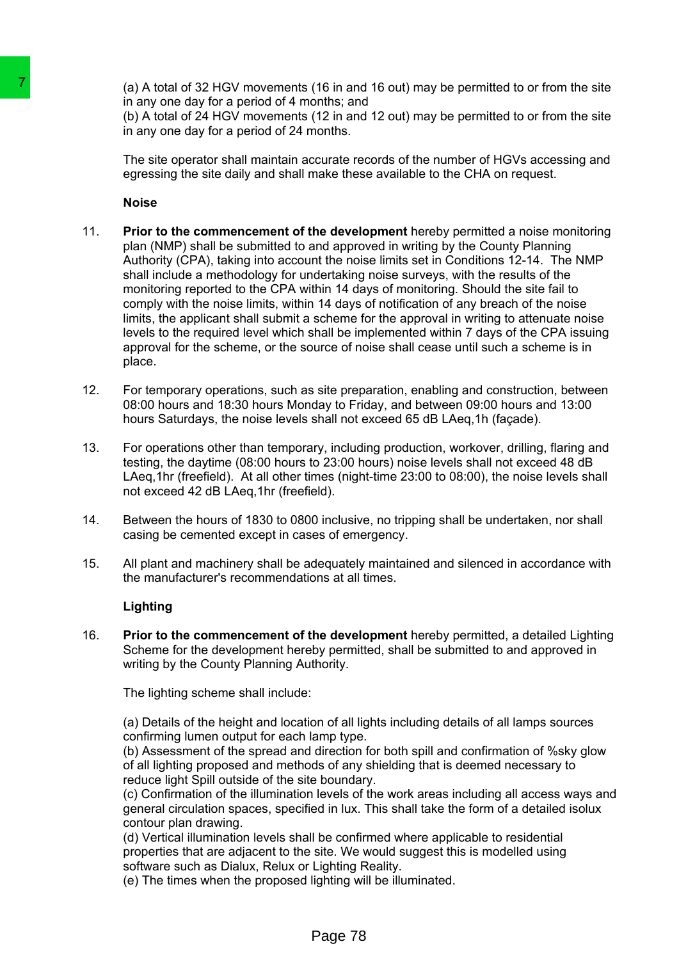(a) A total of 32 HGV movements (16 in and 16 out) may be permitted to or from the site in any one day for a period of 4 months; and

(b) A total of 24 HGV movements (12 in and 12 out) may be permitted to or from the site in any one day for a period of 24 months.

The site operator shall maintain accurate records of the number of HGVs accessing and egressing the site daily and shall make these available to the CHA on request.

#### **Noise**

- 11. **Prior to the commencement of the development** hereby permitted a noise monitoring plan (NMP) shall be submitted to and approved in writing by the County Planning Authority (CPA), taking into account the noise limits set in Conditions 12-14. The NMP shall include a methodology for undertaking noise surveys, with the results of the monitoring reported to the CPA within 14 days of monitoring. Should the site fail to comply with the noise limits, within 14 days of notification of any breach of the noise limits, the applicant shall submit a scheme for the approval in writing to attenuate noise levels to the required level which shall be implemented within 7 days of the CPA issuing approval for the scheme, or the source of noise shall cease until such a scheme is in place. Table and 32 HGV movements (16 in and<br>
in any one day for a period of 4 monthers, and<br>
in any one day for a period of 4 monthes; and<br>
(b) A total of 24 HGV movements (12 in and<br>
in any one day for a period of 24 months.<br>
i
	- 12. For temporary operations, such as site preparation, enabling and construction, between 08:00 hours and 18:30 hours Monday to Friday, and between 09:00 hours and 13:00 hours Saturdays, the noise levels shall not exceed 65 dB LAeq,1h (façade).
	- 13. For operations other than temporary, including production, workover, drilling, flaring and testing, the daytime (08:00 hours to 23:00 hours) noise levels shall not exceed 48 dB LAeq,1hr (freefield). At all other times (night-time 23:00 to 08:00), the noise levels shall not exceed 42 dB LAeq,1hr (freefield).
	- 14. Between the hours of 1830 to 0800 inclusive, no tripping shall be undertaken, nor shall casing be cemented except in cases of emergency.
	- 15. All plant and machinery shall be adequately maintained and silenced in accordance with the manufacturer's recommendations at all times.

#### **Lighting**

16. **Prior to the commencement of the development** hereby permitted, a detailed Lighting Scheme for the development hereby permitted, shall be submitted to and approved in writing by the County Planning Authority.

The lighting scheme shall include:

(a) Details of the height and location of all lights including details of all lamps sources confirming lumen output for each lamp type.

(b) Assessment of the spread and direction for both spill and confirmation of %sky glow of all lighting proposed and methods of any shielding that is deemed necessary to reduce light Spill outside of the site boundary.

(c) Confirmation of the illumination levels of the work areas including all access ways and general circulation spaces, specified in lux. This shall take the form of a detailed isolux contour plan drawing.

(d) Vertical illumination levels shall be confirmed where applicable to residential properties that are adjacent to the site. We would suggest this is modelled using software such as Dialux, Relux or Lighting Reality.

(e) The times when the proposed lighting will be illuminated.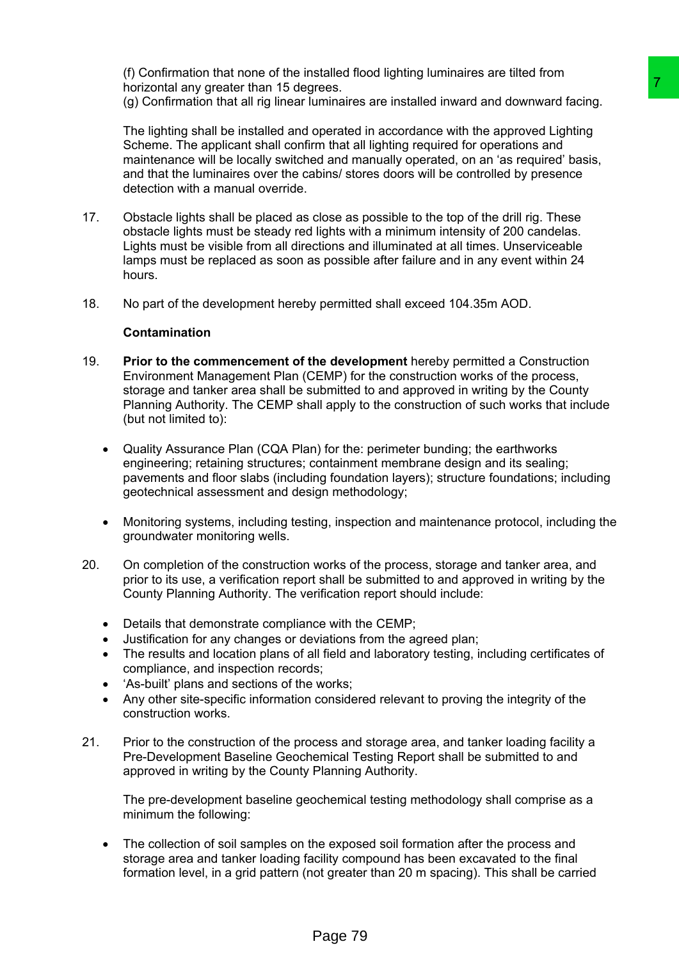(f) Confirmation that none of the installed flood lighting luminaires are tilted from horizontal any greater than 15 degrees.

(g) Confirmation that all rig linear luminaires are installed inward and downward facing.

The lighting shall be installed and operated in accordance with the approved Lighting Scheme. The applicant shall confirm that all lighting required for operations and maintenance will be locally switched and manually operated, on an 'as required' basis, and that the luminaires over the cabins/ stores doors will be controlled by presence detection with a manual override.

- 17. Obstacle lights shall be placed as close as possible to the top of the drill rig. These obstacle lights must be steady red lights with a minimum intensity of 200 candelas. Lights must be visible from all directions and illuminated at all times. Unserviceable lamps must be replaced as soon as possible after failure and in any event within 24 hours.
- 18. No part of the development hereby permitted shall exceed 104.35m AOD.

## **Contamination**

- 19. **Prior to the commencement of the development** hereby permitted a Construction Environment Management Plan (CEMP) for the construction works of the process, storage and tanker area shall be submitted to and approved in writing by the County Planning Authority. The CEMP shall apply to the construction of such works that include (but not limited to): reasons<br>the member all in the condition ward and downward facing<br>operated in accordance with the approved Lighting<br>member all illghing required for operations and<br>ed and manually operated, on an 'as required' basis,<br>but al
	- Quality Assurance Plan (CQA Plan) for the: perimeter bunding; the earthworks engineering; retaining structures; containment membrane design and its sealing; pavements and floor slabs (including foundation layers); structure foundations; including geotechnical assessment and design methodology;
	- Monitoring systems, including testing, inspection and maintenance protocol, including the groundwater monitoring wells.
- 20. On completion of the construction works of the process, storage and tanker area, and prior to its use, a verification report shall be submitted to and approved in writing by the County Planning Authority. The verification report should include:
	- Details that demonstrate compliance with the CEMP;
	- Justification for any changes or deviations from the agreed plan;
	- The results and location plans of all field and laboratory testing, including certificates of compliance, and inspection records;
	- 'As-built' plans and sections of the works;
	- Any other site-specific information considered relevant to proving the integrity of the construction works.
- 21. Prior to the construction of the process and storage area, and tanker loading facility a Pre-Development Baseline Geochemical Testing Report shall be submitted to and approved in writing by the County Planning Authority.

The pre-development baseline geochemical testing methodology shall comprise as a minimum the following:

 The collection of soil samples on the exposed soil formation after the process and storage area and tanker loading facility compound has been excavated to the final formation level, in a grid pattern (not greater than 20 m spacing). This shall be carried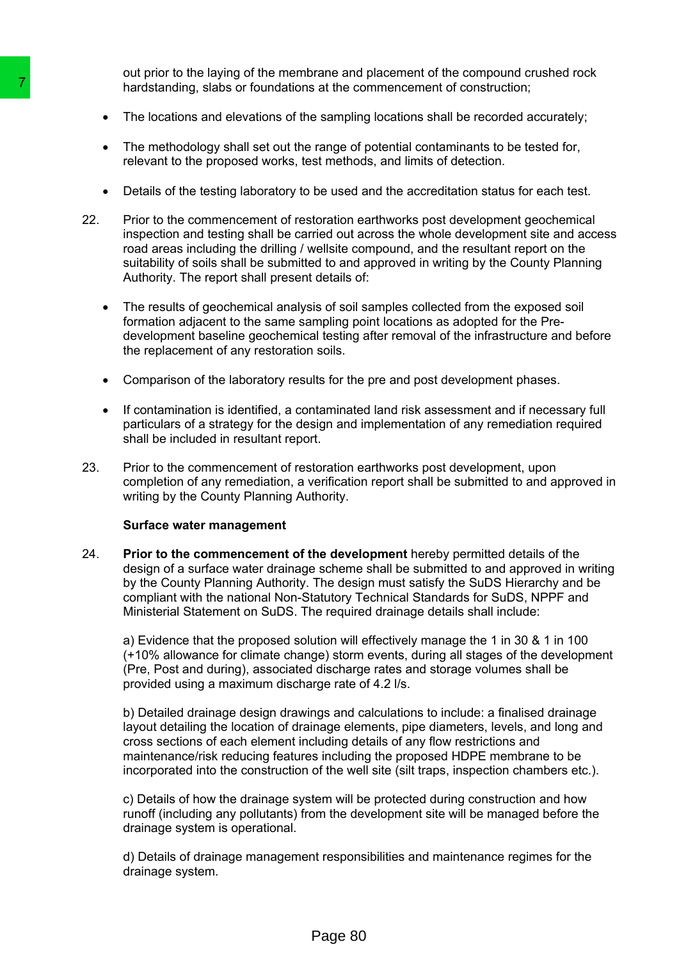out prior to the laying of the membrane and placement of the compound crushed rock hardstanding, slabs or foundations at the commencement of construction;

- The locations and elevations of the sampling locations shall be recorded accurately;
- The methodology shall set out the range of potential contaminants to be tested for, relevant to the proposed works, test methods, and limits of detection.
- Details of the testing laboratory to be used and the accreditation status for each test.
- 22. Prior to the commencement of restoration earthworks post development geochemical inspection and testing shall be carried out across the whole development site and access road areas including the drilling / wellsite compound, and the resultant report on the suitability of soils shall be submitted to and approved in writing by the County Planning Authority. The report shall present details of:
	- The results of geochemical analysis of soil samples collected from the exposed soil formation adjacent to the same sampling point locations as adopted for the Predevelopment baseline geochemical testing after removal of the infrastructure and before the replacement of any restoration soils.
	- Comparison of the laboratory results for the pre and post development phases.
	- If contamination is identified, a contaminated land risk assessment and if necessary full particulars of a strategy for the design and implementation of any remediation required shall be included in resultant report.
- 23. Prior to the commencement of restoration earthworks post development, upon completion of any remediation, a verification report shall be submitted to and approved in writing by the County Planning Authority.

#### **Surface water management**

24. **Prior to the commencement of the development** hereby permitted details of the design of a surface water drainage scheme shall be submitted to and approved in writing by the County Planning Authority. The design must satisfy the SuDS Hierarchy and be compliant with the national Non-Statutory Technical Standards for SuDS, NPPF and Ministerial Statement on SuDS. The required drainage details shall include: The methodology shalls of foundations at the controllanguation of the sampling relations and elevations of the sampling relations of the sampling relations and elevations of the sampling relations the compression of the c

a) Evidence that the proposed solution will effectively manage the 1 in 30 & 1 in 100 (+10% allowance for climate change) storm events, during all stages of the development (Pre, Post and during), associated discharge rates and storage volumes shall be provided using a maximum discharge rate of 4.2 l/s.

b) Detailed drainage design drawings and calculations to include: a finalised drainage layout detailing the location of drainage elements, pipe diameters, levels, and long and cross sections of each element including details of any flow restrictions and maintenance/risk reducing features including the proposed HDPE membrane to be incorporated into the construction of the well site (silt traps, inspection chambers etc.).

c) Details of how the drainage system will be protected during construction and how runoff (including any pollutants) from the development site will be managed before the drainage system is operational.

d) Details of drainage management responsibilities and maintenance regimes for the drainage system.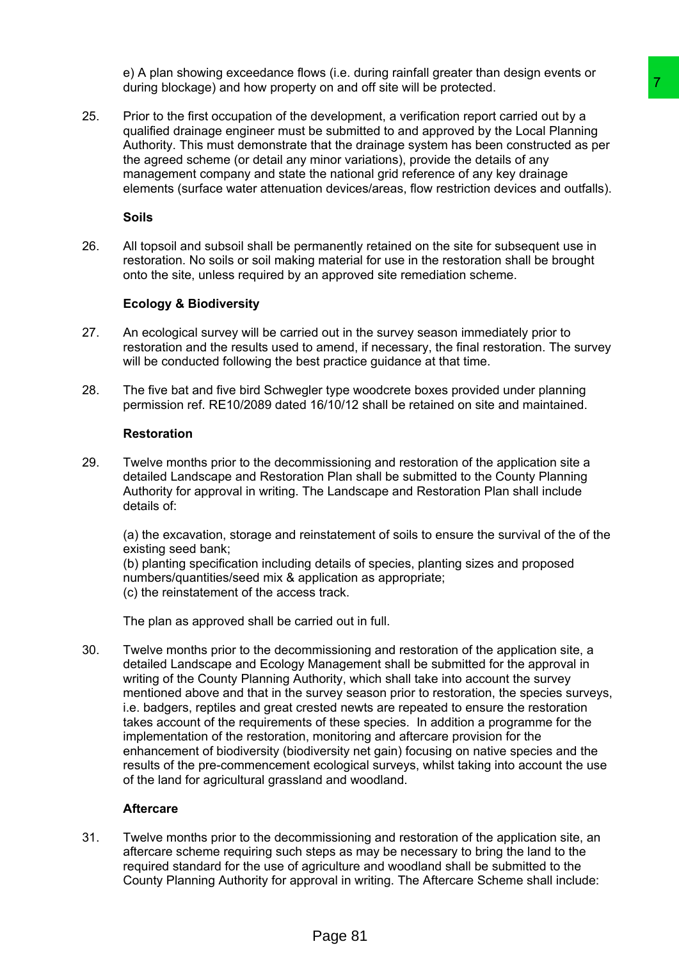e) A plan showing exceedance flows (i.e. during rainfall greater than design events or during blockage) and how property on and off site will be protected.

25. Prior to the first occupation of the development, a verification report carried out by a qualified drainage engineer must be submitted to and approved by the Local Planning Authority. This must demonstrate that the drainage system has been constructed as per the agreed scheme (or detail any minor variations), provide the details of any management company and state the national grid reference of any key drainage elements (surface water attenuation devices/areas, flow restriction devices and outfalls).

**Soils**

26. All topsoil and subsoil shall be permanently retained on the site for subsequent use in restoration. No soils or soil making material for use in the restoration shall be brought onto the site, unless required by an approved site remediation scheme.

## **Ecology & Biodiversity**

- 27. An ecological survey will be carried out in the survey season immediately prior to restoration and the results used to amend, if necessary, the final restoration. The survey will be conducted following the best practice quidance at that time.
- 28. The five bat and five bird Schwegler type woodcrete boxes provided under planning permission ref. RE10/2089 dated 16/10/12 shall be retained on site and maintained.

#### **Restoration**

29. Twelve months prior to the decommissioning and restoration of the application site a detailed Landscape and Restoration Plan shall be submitted to the County Planning Authority for approval in writing. The Landscape and Restoration Plan shall include details of:

(a) the excavation, storage and reinstatement of soils to ensure the survival of the of the existing seed bank;

(b) planting specification including details of species, planting sizes and proposed numbers/quantities/seed mix & application as appropriate; (c) the reinstatement of the access track.

The plan as approved shall be carried out in full.

30. Twelve months prior to the decommissioning and restoration of the application site, a detailed Landscape and Ecology Management shall be submitted for the approval in writing of the County Planning Authority, which shall take into account the survey mentioned above and that in the survey season prior to restoration, the species surveys, i.e. badgers, reptiles and great crested newts are repeated to ensure the restoration takes account of the requirements of these species. In addition a programme for the implementation of the restoration, monitoring and aftercare provision for the enhancement of biodiversity (biodiversity net gain) focusing on native species and the results of the pre-commencement ecological surveys, whilst taking into account the use of the land for agricultural grassland and woodland. The method of sile will be protected.<br>
The compent, a verification report carried out by a<br>
development, a verification report carried out by a<br>
discreption from the protected as per<br>
the submitted to and approved by the L

#### **Aftercare**

31. Twelve months prior to the decommissioning and restoration of the application site, an aftercare scheme requiring such steps as may be necessary to bring the land to the required standard for the use of agriculture and woodland shall be submitted to the County Planning Authority for approval in writing. The Aftercare Scheme shall include: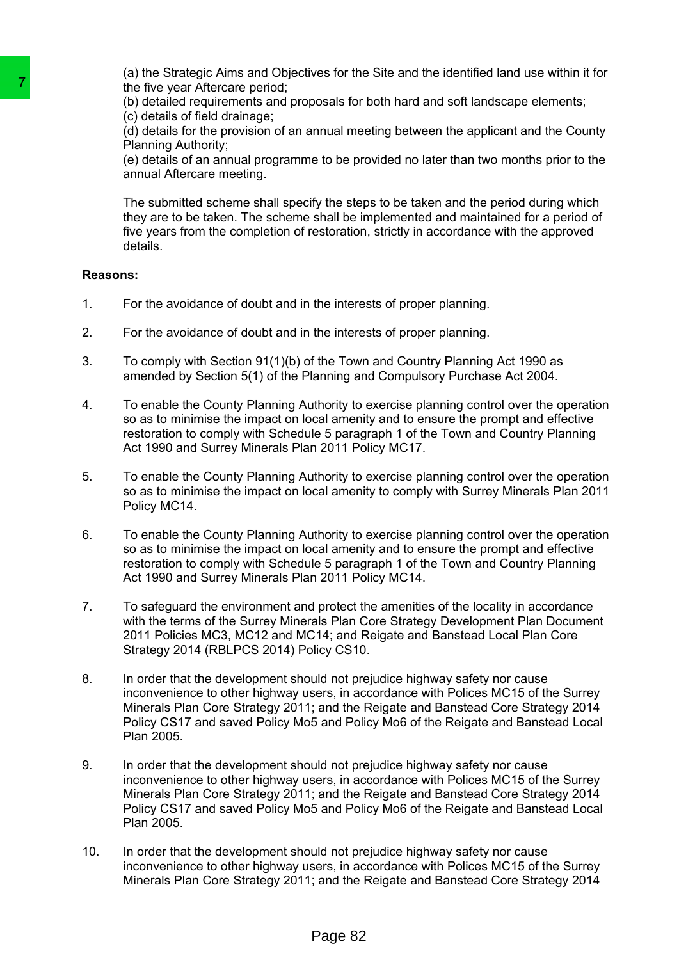(a) the Strategic Aims and Objectives for the Site and the identified land use within it for the five year Aftercare period;

(b) detailed requirements and proposals for both hard and soft landscape elements; (c) details of field drainage;

(d) details for the provision of an annual meeting between the applicant and the County Planning Authority;

(e) details of an annual programme to be provided no later than two months prior to the annual Aftercare meeting.

The submitted scheme shall specify the steps to be taken and the period during which they are to be taken. The scheme shall be implemented and maintained for a period of five years from the completion of restoration, strictly in accordance with the approved details.

## **Reasons:**

- 1. For the avoidance of doubt and in the interests of proper planning.
- 2. For the avoidance of doubt and in the interests of proper planning.
- 3. To comply with Section 91(1)(b) of the Town and Country Planning Act 1990 as amended by Section 5(1) of the Planning and Compulsory Purchase Act 2004.
- 4. To enable the County Planning Authority to exercise planning control over the operation so as to minimise the impact on local amenity and to ensure the prompt and effective restoration to comply with Schedule 5 paragraph 1 of the Town and Country Planning Act 1990 and Surrey Minerals Plan 2011 Policy MC17.
- 5. To enable the County Planning Authority to exercise planning control over the operation so as to minimise the impact on local amenity to comply with Surrey Minerals Plan 2011 Policy MC14.
- 6. To enable the County Planning Authority to exercise planning control over the operation so as to minimise the impact on local amenity and to ensure the prompt and effective restoration to comply with Schedule 5 paragraph 1 of the Town and Country Planning Act 1990 and Surrey Minerals Plan 2011 Policy MC14.
- 7. To safeguard the environment and protect the amenities of the locality in accordance with the terms of the Surrey Minerals Plan Core Strategy Development Plan Document 2011 Policies MC3, MC12 and MC14; and Reigate and Banstead Local Plan Core Strategy 2014 (RBLPCS 2014) Policy CS10.
- 8. In order that the development should not prejudice highway safety nor cause inconvenience to other highway users, in accordance with Polices MC15 of the Surrey Minerals Plan Core Strategy 2011; and the Reigate and Banstead Core Strategy 2014 Policy CS17 and saved Policy Mo5 and Policy Mo6 of the Reigate and Banstead Local Plan 2005.
- 9. In order that the development should not prejudice highway safety nor cause inconvenience to other highway users, in accordance with Polices MC15 of the Surrey Minerals Plan Core Strategy 2011; and the Reigate and Banstead Core Strategy 2014 Policy CS17 and saved Policy Mo5 and Policy Mo6 of the Reigate and Banstead Local Plan 2005. The five year Affercare period;<br>
the five year Affercare period;<br>
(b) detailed requirements and proposals for<br>
(c) details of field drainage;<br>
(d) details of the provision of an annual me<br>
(e) details of an ennual program
	- 10. In order that the development should not prejudice highway safety nor cause inconvenience to other highway users, in accordance with Polices MC15 of the Surrey Minerals Plan Core Strategy 2011; and the Reigate and Banstead Core Strategy 2014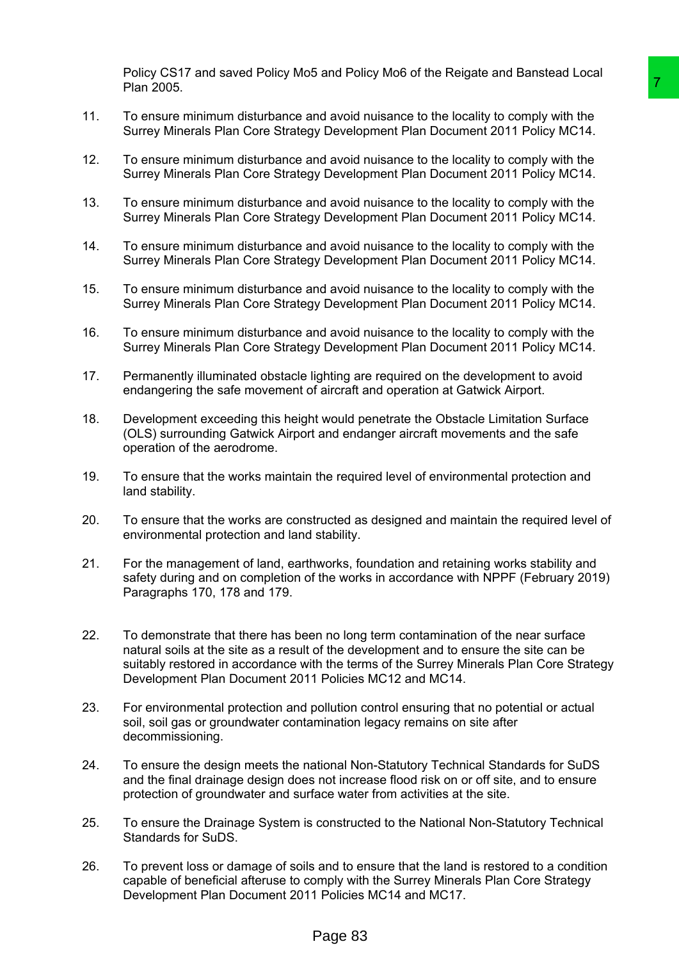Policy CS17 and saved Policy Mo5 and Policy Mo6 of the Reigate and Banstead Local Plan 2005.

- 11. To ensure minimum disturbance and avoid nuisance to the locality to comply with the Surrey Minerals Plan Core Strategy Development Plan Document 2011 Policy MC14.
- 12. To ensure minimum disturbance and avoid nuisance to the locality to comply with the Surrey Minerals Plan Core Strategy Development Plan Document 2011 Policy MC14.
- 13. To ensure minimum disturbance and avoid nuisance to the locality to comply with the Surrey Minerals Plan Core Strategy Development Plan Document 2011 Policy MC14.
- 14. To ensure minimum disturbance and avoid nuisance to the locality to comply with the Surrey Minerals Plan Core Strategy Development Plan Document 2011 Policy MC14.
- 15. To ensure minimum disturbance and avoid nuisance to the locality to comply with the Surrey Minerals Plan Core Strategy Development Plan Document 2011 Policy MC14.
- 16. To ensure minimum disturbance and avoid nuisance to the locality to comply with the Surrey Minerals Plan Core Strategy Development Plan Document 2011 Policy MC14.
- 17. Permanently illuminated obstacle lighting are required on the development to avoid endangering the safe movement of aircraft and operation at Gatwick Airport.
- 18. Development exceeding this height would penetrate the Obstacle Limitation Surface (OLS) surrounding Gatwick Airport and endanger aircraft movements and the safe operation of the aerodrome.
- 19. To ensure that the works maintain the required level of environmental protection and land stability.
- 20. To ensure that the works are constructed as designed and maintain the required level of environmental protection and land stability.
- 21. For the management of land, earthworks, foundation and retaining works stability and safety during and on completion of the works in accordance with NPPF (February 2019) Paragraphs 170, 178 and 179.
- 22. To demonstrate that there has been no long term contamination of the near surface natural soils at the site as a result of the development and to ensure the site can be suitably restored in accordance with the terms of the Surrey Minerals Plan Core Strategy Development Plan Document 2011 Policies MC12 and MC14. The Mayol Multimane to the locality to comply with the<br>by Development Plan Document 2011 Policy More Worphy with the<br>py Development Plan Document 2011 Policy MC14.<br>Hot avoid nuisance to the locality to comply with the<br>py D
- 23. For environmental protection and pollution control ensuring that no potential or actual soil, soil gas or groundwater contamination legacy remains on site after decommissioning.
- 24. To ensure the design meets the national Non-Statutory Technical Standards for SuDS and the final drainage design does not increase flood risk on or off site, and to ensure protection of groundwater and surface water from activities at the site.
- 25. To ensure the Drainage System is constructed to the National Non-Statutory Technical Standards for SuDS.
- 26. To prevent loss or damage of soils and to ensure that the land is restored to a condition capable of beneficial afteruse to comply with the Surrey Minerals Plan Core Strategy Development Plan Document 2011 Policies MC14 and MC17.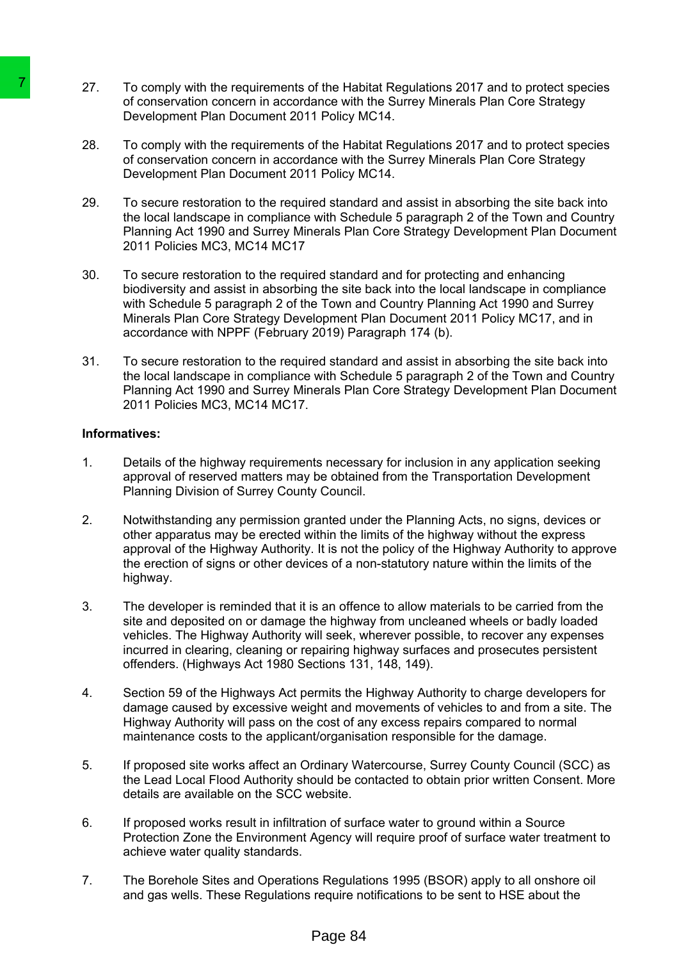- 27. To comply with the requirements of the Habitat Regulations 2017 and to protect species of conservation concern in accordance with the Surrey Minerals Plan Core Strategy Development Plan Document 2011 Policy MC14.
- 28. To comply with the requirements of the Habitat Regulations 2017 and to protect species of conservation concern in accordance with the Surrey Minerals Plan Core Strategy Development Plan Document 2011 Policy MC14.
- 29. To secure restoration to the required standard and assist in absorbing the site back into the local landscape in compliance with Schedule 5 paragraph 2 of the Town and Country Planning Act 1990 and Surrey Minerals Plan Core Strategy Development Plan Document 2011 Policies MC3, MC14 MC17
- 30. To secure restoration to the required standard and for protecting and enhancing biodiversity and assist in absorbing the site back into the local landscape in compliance with Schedule 5 paragraph 2 of the Town and Country Planning Act 1990 and Surrey Minerals Plan Core Strategy Development Plan Document 2011 Policy MC17, and in accordance with NPPF (February 2019) Paragraph 174 (b).
- 31. To secure restoration to the required standard and assist in absorbing the site back into the local landscape in compliance with Schedule 5 paragraph 2 of the Town and Country Planning Act 1990 and Surrey Minerals Plan Core Strategy Development Plan Document 2011 Policies MC3, MC14 MC17.

## **Informatives:**

- 1. Details of the highway requirements necessary for inclusion in any application seeking approval of reserved matters may be obtained from the Transportation Development Planning Division of Surrey County Council.
- 2. Notwithstanding any permission granted under the Planning Acts, no signs, devices or other apparatus may be erected within the limits of the highway without the express approval of the Highway Authority. It is not the policy of the Highway Authority to approve the erection of signs or other devices of a non-statutory nature within the limits of the highway. 27. To comply with the requirements of the Habra<br>
of conservation concern in accordance with<br>
Development Plan Document 2011 Policy M<br>
26. To comply with the requirements of the Habr<br>
of conservation concern in accordance
	- 3. The developer is reminded that it is an offence to allow materials to be carried from the site and deposited on or damage the highway from uncleaned wheels or badly loaded vehicles. The Highway Authority will seek, wherever possible, to recover any expenses incurred in clearing, cleaning or repairing highway surfaces and prosecutes persistent offenders. (Highways Act 1980 Sections 131, 148, 149).
	- 4. Section 59 of the Highways Act permits the Highway Authority to charge developers for damage caused by excessive weight and movements of vehicles to and from a site. The Highway Authority will pass on the cost of any excess repairs compared to normal maintenance costs to the applicant/organisation responsible for the damage.
	- 5. If proposed site works affect an Ordinary Watercourse, Surrey County Council (SCC) as the Lead Local Flood Authority should be contacted to obtain prior written Consent. More details are available on the SCC website.
	- 6. If proposed works result in infiltration of surface water to ground within a Source Protection Zone the Environment Agency will require proof of surface water treatment to achieve water quality standards.
	- 7. The Borehole Sites and Operations Regulations 1995 (BSOR) apply to all onshore oil and gas wells. These Regulations require notifications to be sent to HSE about the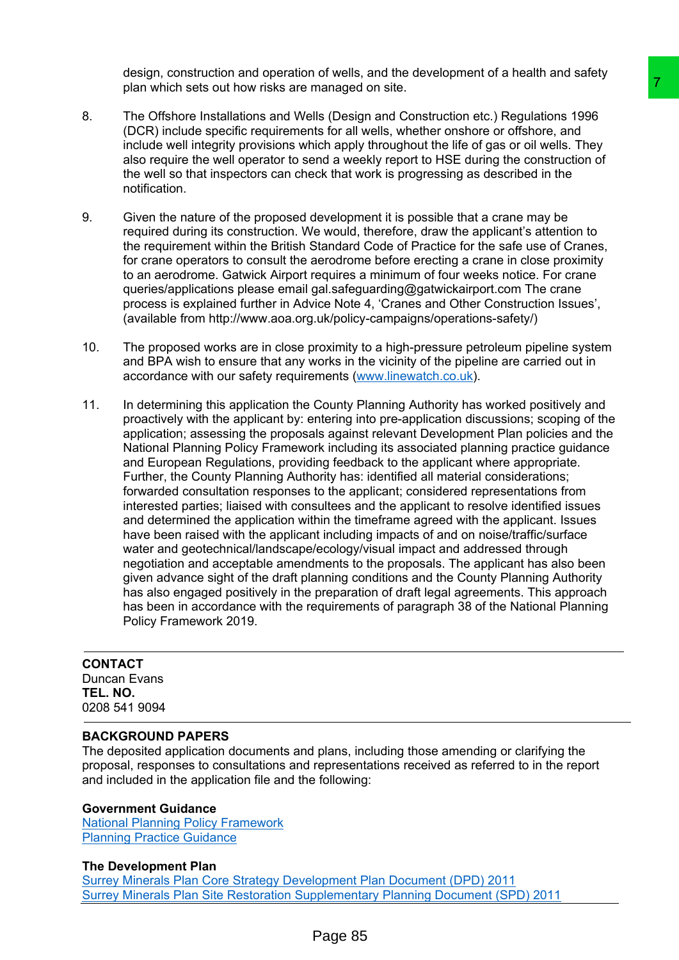design, construction and operation of wells, and the development of a health and safety plan which sets out how risks are managed on site.

- 8. The Offshore Installations and Wells (Design and Construction etc.) Regulations 1996 (DCR) include specific requirements for all wells, whether onshore or offshore, and include well integrity provisions which apply throughout the life of gas or oil wells. They also require the well operator to send a weekly report to HSE during the construction of the well so that inspectors can check that work is progressing as described in the notification.
- 9. Given the nature of the proposed development it is possible that a crane may be required during its construction. We would, therefore, draw the applicant's attention to the requirement within the British Standard Code of Practice for the safe use of Cranes, for crane operators to consult the aerodrome before erecting a crane in close proximity to an aerodrome. Gatwick Airport requires a minimum of four weeks notice. For crane queries/applications please email gal.safeguarding@gatwickairport.com The crane process is explained further in Advice Note 4, 'Cranes and Other Construction Issues', (available from http://www.aoa.org.uk/policy-campaigns/operations-safety/)
- 10. The proposed works are in close proximity to a high-pressure petroleum pipeline system and BPA wish to ensure that any works in the vicinity of the pipeline are carried out in accordance with our safety requirements ([www.linewatch.co.uk\)](http://www.linewatch.co.uk/).
- 11. In determining this application the County Planning Authority has worked positively and proactively with the applicant by: entering into pre-application discussions; scoping of the application; assessing the proposals against relevant Development Plan policies and the National Planning Policy Framework including its associated planning practice guidance and European Regulations, providing feedback to the applicant where appropriate. Further, the County Planning Authority has: identified all material considerations; forwarded consultation responses to the applicant; considered representations from interested parties; liaised with consultees and the applicant to resolve identified issues and determined the application within the timeframe agreed with the applicant. Issues have been raised with the applicant including impacts of and on noise/traffic/surface water and geotechnical/landscape/ecology/visual impact and addressed through negotiation and acceptable amendments to the proposals. The applicant has also been given advance sight of the draft planning conditions and the County Planning Authority has also engaged positively in the preparation of draft legal agreements. This approach has been in accordance with the requirements of paragraph 38 of the National Planning Policy Framework 2019. Transposite.<br>
Its [oresign and Constitution etc.) Regulations 1996<br>
Its for all wells, whether onshore or offshore, and<br>
Its for all wells, whether onshore or offshore, and<br>
its for all wells, whether onshore or offshore,

# **CONTACT** Duncan Evans **TEL. NO.**

0208 541 9094

## **BACKGROUND PAPERS**

The deposited application documents and plans, including those amending or clarifying the proposal, responses to consultations and representations received as referred to in the report and included in the application file and the following:

## **Government Guidance**

National Planning Policy [Framework](https://www.gov.uk/government/collections/revised-national-planning-policy-framework) Planning Practice [Guidance](http://planningguidance.communities.gov.uk/)

## **The Development Plan**

Surrey Minerals Plan Core Strategy [Development](http://www.surreycc.gov.uk/environment-housing-and-planning/minerals-and-waste-policies-and-plans/surrey-minerals-plan-core-strategy-development-plan-document) Plan Document (DPD) 2011 Surrey Minerals Plan Site Restoration [Supplementary](http://www.surreycc.gov.uk/environment-housing-and-planning/minerals-and-waste-policies-and-plans/surrey-minerals-plan-core-strategy-development-plan-document/surrey-minerals-plan-site-restoration-supplementary-planning-document) Planning Document (SPD) 2011